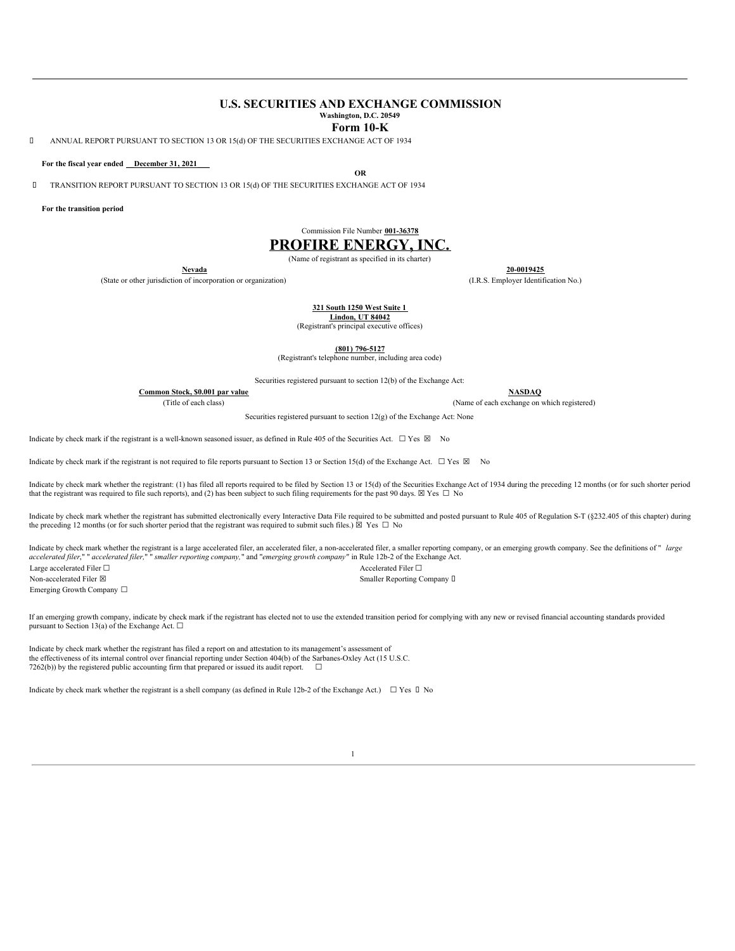### **U.S. SECURITIES AND EXCHANGE COMMISSION Washington, D.C. 20549 Form 10-K**

ANNUAL REPORT PURSUANT TO SECTION 13 OR 15(d) OF THE SECURITIES EXCHANGE ACT OF 1934

#### **For the fiscal year ended \_\_December 31, 2021\_\_\_**

**OR**

TRANSITION REPORT PURSUANT TO SECTION 13 OR 15(d) OF THE SECURITIES EXCHANGE ACT OF 1934

**For the transition period**

Commission File Number **001-36378**

# **PROFIRE ENERGY, INC.**

(Name of registrant as specified in its charter)

(State or other jurisdiction of incorporation or organization)

**Nevada 20-0019425**<br> **20-0019425**<br> **20-0019425**<br> **20-0019425**<br> **20-0019425**<br> **20-0019425**<br> **20-0019425** 

**321 South 1250 West Suite 1 Lindon, UT 84042**

(Registrant's principal executive offices)

**(801) 796-5127**

(Registrant's telephone number, including area code)

Securities registered pursuant to section 12(b) of the Exchange Act:

**Common Stock, \$0.001 par value NASDAQ**

(Title of each class) (Name of each exchange on which registered)

Securities registered pursuant to section 12(g) of the Exchange Act: None

Indicate by check mark if the registrant is a well-known seasoned issuer, as defined in Rule 405 of the Securities Act.  $\Box$  Yes  $\boxtimes$  No

Indicate by check mark if the registrant is not required to file reports pursuant to Section 13 or Section 15(d) of the Exchange Act.  $\Box$  Yes  $\boxtimes$  No

Indicate by check mark whether the registrant: (1) has filed all reports required to be filed by Section 13 or 15(d) of the Securities Exchange Act of 1934 during the preceding 12 months (or for such shorter period that the registrant was required to file such reports), and (2) has been subject to such filing requirements for the past 90 days.  $\boxtimes$  Yes  $\Box$  No

Indicate by check mark whether the registrant has submitted electronically every Interactive Data File required to be submitted and posted pursuant to Rule 405 of Regulation S-T (§232.405 of this chapter) during the preceding 12 months (or for such shorter period that the registrant was required to submit such files.)  $\boxtimes$  Yes  $\Box$  No

Indicate by check mark whether the registrant is a large accelerated filer, an accelerated filer, a non-accelerated filer, a smaller reporting company, or an emerging growth company. See the definitions of " *large accelerated filer*," " *accelerated filer,*" " *smaller reporting company,*" and "*emerging growth company"* in Rule 12b-2 of the Exchange Act. Large accelerated Filer □ <br>
Accelerated Filer □

Non-accelerated Filer  $\boxtimes$  Smaller Reporting Company I Emerging Growth Company  $\Box$ 

If an emerging growth company, indicate by check mark if the registrant has elected not to use the extended transition period for complying with any new or revised financial accounting standards provided pursuant to Section 13(a) of the Exchange Act.  $\Box$ 

Indicate by check mark whether the registrant has filed a report on and attestation to its management's assessment of the effectiveness of its internal control over financial reporting under Section 404(b) of the Sarbanes-Oxley Act (15 U.S.C. 7262(b)) by the registered public accounting firm that prepared or issued its audit report.  $\Box$ 

Indicate by check mark whether the registrant is a shell company (as defined in Rule 12b-2 of the Exchange Act.) ☐ Yes No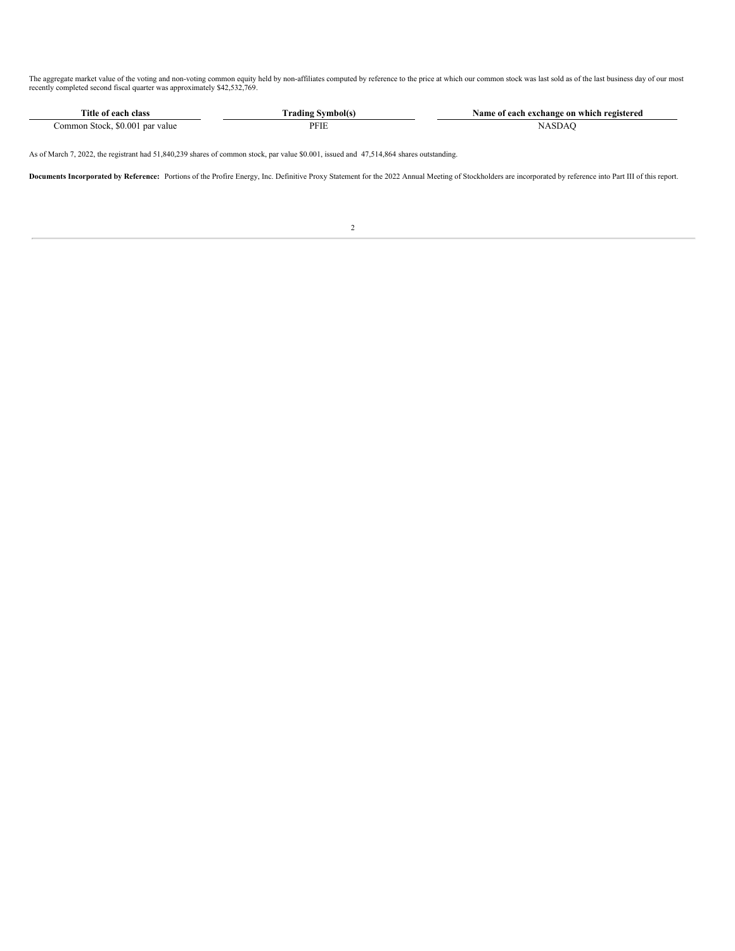The aggregate market value of the voting and non-voting common equity held by non-affiliates computed by reference to the price at which our common stock was last sold as of the last business day of our most recently compl

| Title.<br>clas.<br><br>-01                   |      | registered<br>exchange on :<br>Name of<br>ı which<br>each |
|----------------------------------------------|------|-----------------------------------------------------------|
| SO.OO<br>-stock-<br>.ommor<br>par value<br>. | PFIL |                                                           |

As of March 7, 2022, the registrant had 51,840,239 shares of common stock, par value \$0.001, issued and 47,514,864 shares outstanding.

Documents Incorporated by Reference: Portions of the Profire Energy, Inc. Definitive Proxy Statement for the 2022 Annual Meeting of Stockholders are incorporated by reference into Part III of this report.

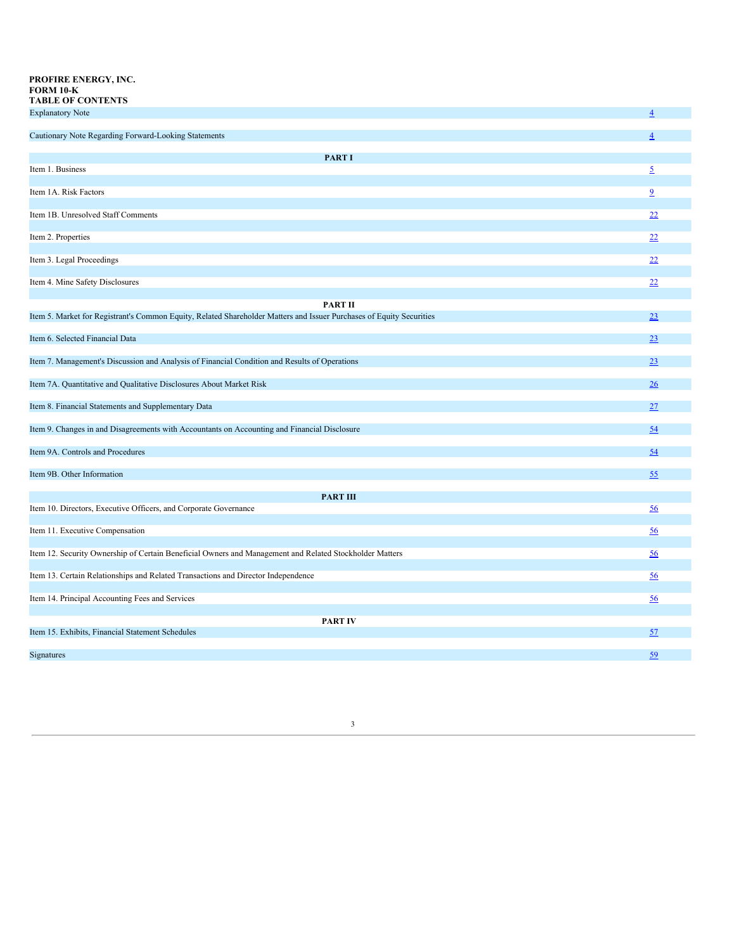**PROFIRE ENERGY, INC. FORM 10-K TABLE OF CONTENTS**

<span id="page-2-0"></span>

| <b>Explanatory Note</b>                                                                                              | $\overline{4}$ |
|----------------------------------------------------------------------------------------------------------------------|----------------|
| Cautionary Note Regarding Forward-Looking Statements                                                                 | $\overline{4}$ |
| <b>PART I</b>                                                                                                        |                |
| Item 1. Business                                                                                                     | $\overline{2}$ |
| Item 1A. Risk Factors                                                                                                | $\overline{2}$ |
|                                                                                                                      |                |
| Item 1B. Unresolved Staff Comments                                                                                   | 22             |
| Item 2. Properties                                                                                                   | 22             |
| Item 3. Legal Proceedings                                                                                            | 22             |
|                                                                                                                      |                |
| Item 4. Mine Safety Disclosures                                                                                      | 22             |
| <b>PART II</b>                                                                                                       |                |
| Item 5. Market for Registrant's Common Equity, Related Shareholder Matters and Issuer Purchases of Equity Securities | 23             |
| Item 6. Selected Financial Data                                                                                      | 23             |
| Item 7. Management's Discussion and Analysis of Financial Condition and Results of Operations                        | 23             |
|                                                                                                                      |                |
| Item 7A. Quantitative and Qualitative Disclosures About Market Risk                                                  | 26             |
| Item 8. Financial Statements and Supplementary Data                                                                  | 27             |
| Item 9. Changes in and Disagreements with Accountants on Accounting and Financial Disclosure                         | 54             |
| Item 9A. Controls and Procedures                                                                                     | 54             |
|                                                                                                                      |                |
| Item 9B. Other Information                                                                                           | 55             |
| <b>PART III</b>                                                                                                      |                |
| Item 10. Directors, Executive Officers, and Corporate Governance                                                     | 56             |
| Item 11. Executive Compensation                                                                                      | 56             |
|                                                                                                                      |                |
| Item 12. Security Ownership of Certain Beneficial Owners and Management and Related Stockholder Matters              | 56             |
| Item 13. Certain Relationships and Related Transactions and Director Independence                                    | 56             |
| Item 14. Principal Accounting Fees and Services                                                                      | 56             |
| <b>PART IV</b>                                                                                                       |                |
| Item 15. Exhibits, Financial Statement Schedules                                                                     | 57             |
|                                                                                                                      |                |
| Signatures                                                                                                           | 59             |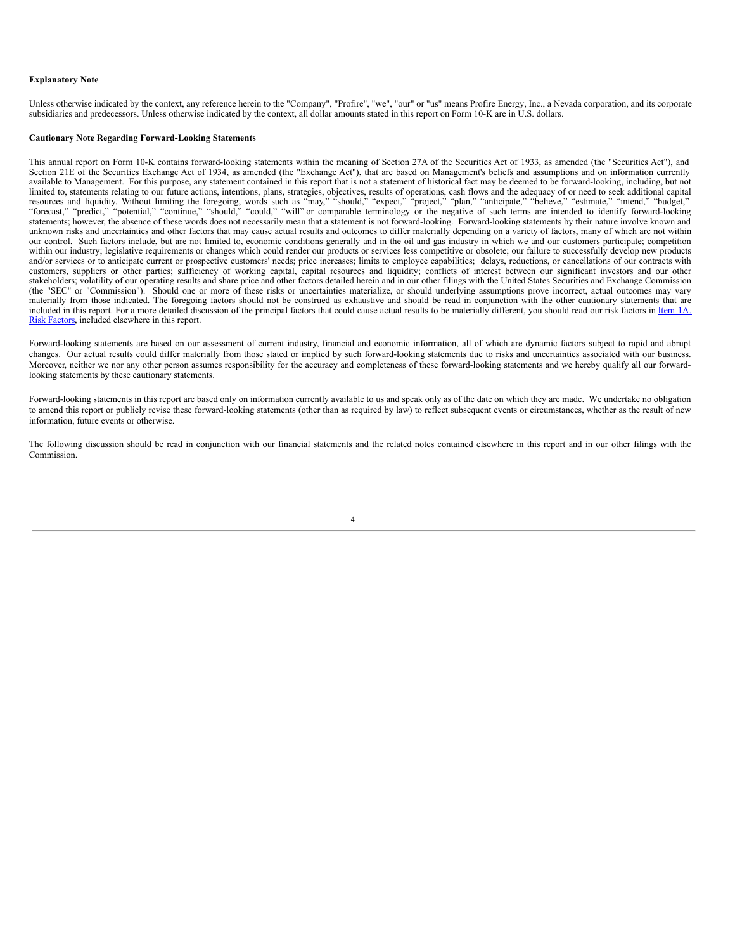### **Explanatory Note**

Unless otherwise indicated by the context, any reference herein to the "Company", "Profire", "we", "our" or "us" means Profire Energy, Inc., a Nevada corporation, and its corporate subsidiaries and predecessors. Unless otherwise indicated by the context, all dollar amounts stated in this report on Form 10-K are in U.S. dollars.

### <span id="page-3-0"></span>**Cautionary Note Regarding Forward-Looking Statements**

This annual report on Form 10-K contains forward-looking statements within the meaning of Section 27A of the Securities Act of 1933, as amended (the "Securities Act"), and Section 21E of the Securities Exchange Act of 1934, as amended (the "Exchange Act"), that are based on Management's beliefs and assumptions and on information currently available to Management. For this purpose, any statement contained in this report that is not a statement of historical fact may be deemed to be forward-looking, including, but not limited to, statements relating to our future actions, intentions, plans, strategies, objectives, results of operations, cash flows and the adequacy of or need to seek additional capital resources and liquidity. Without limiting the foregoing, words such as "may," "should," "expect," "project," "plan," "anticipate," "believe," "estimate," "intend," "budget," "forecast," "predict," "potential," "continue," "should," "could," "will" or comparable terminology or the negative of such terms are intended to identify forward-looking statements; however, the absence of these words does not necessarily mean that a statement is not forward-looking. Forward-looking statements by their nature involve known and unknown risks and uncertainties and other factors that may cause actual results and outcomes to differ materially depending on a variety of factors, many of which are not within our control. Such factors include, but are not limited to, economic conditions generally and in the oil and gas industry in which we and our customers participate; competition within our industry; legislative requirements or changes which could render our products or services less competitive or obsolete; our failure to successfully develop new products and/or services or to anticipate current or prospective customers' needs; price increases; limits to employee capabilities; delays, reductions, or cancellations of our contracts with customers, suppliers or other parties; sufficiency of working capital, capital resources and liquidity; conflicts of interest between our significant investors and our other stakeholders; volatility of our operating results and share price and other factors detailed herein and in our other filings with the United States Securities and Exchange Commission (the "SEC" or "Commission"). Should one or more of these risks or uncertainties materialize, or should underlying assumptions prove incorrect, actual outcomes may vary materially from those indicated. The foregoing factors should not be construed as exhaustive and should be read in conjunction with the other cautionary statements that are included in this report. For a more detailed [discussion](#page-8-0) of the principal factors that could cause actual results to be materially different, you should read our risk factors in Item 1A. Risk Factors, included elsewhere in this report.

Forward-looking statements are based on our assessment of current industry, financial and economic information, all of which are dynamic factors subject to rapid and abrupt changes. Our actual results could differ materially from those stated or implied by such forward-looking statements due to risks and uncertainties associated with our business. Moreover, neither we nor any other person assumes responsibility for the accuracy and completeness of these forward-looking statements and we hereby qualify all our forwardlooking statements by these cautionary statements.

Forward-looking statements in this report are based only on information currently available to us and speak only as of the date on which they are made. We undertake no obligation to amend this report or publicly revise these forward-looking statements (other than as required by law) to reflect subsequent events or circumstances, whether as the result of new information, future events or otherwise.

The following discussion should be read in conjunction with our financial statements and the related notes contained elsewhere in this report and in our other filings with the Commission.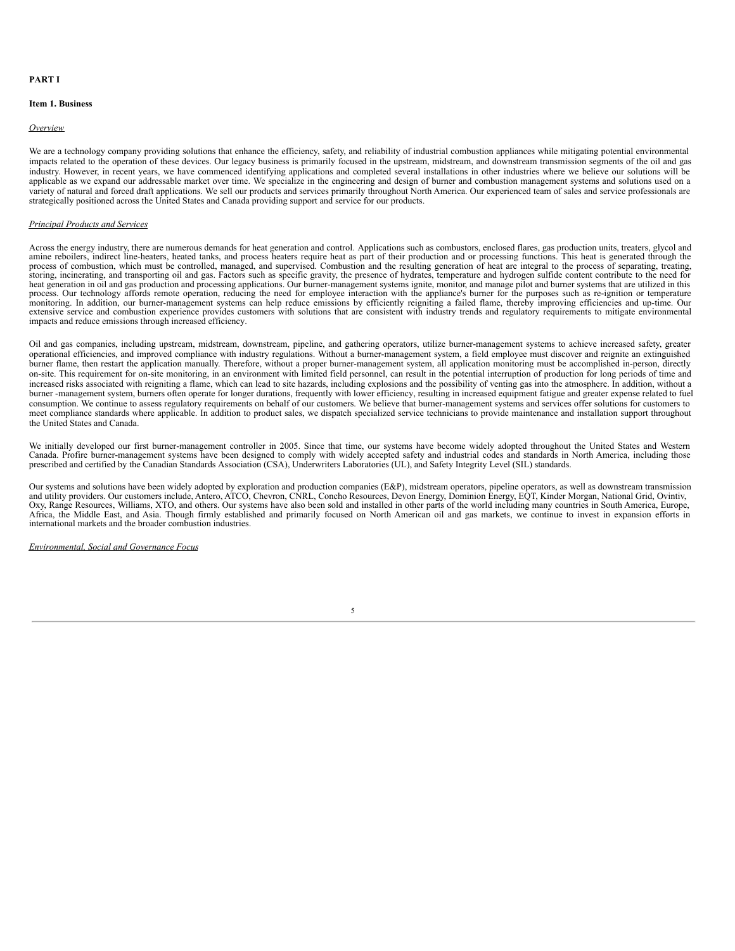### **PART I**

#### <span id="page-4-0"></span>**Item 1. Business**

#### *Overview*

We are a technology company providing solutions that enhance the efficiency, safety, and reliability of industrial combustion appliances while mitigating potential environmental impacts related to the operation of these devices. Our legacy business is primarily focused in the upstream, midstream, and downstream transmission segments of the oil and gas industry. However, in recent years, we have commenced identifying applications and completed several installations in other industries where we believe our solutions will be applicable as we expand our addressable market over time. We specialize in the engineering and design of burner and combustion management systems and solutions used on a variety of natural and forced draft applications. We sell our products and services primarily throughout North America. Our experienced team of sales and service professionals are strategically positioned across the United States and Canada providing support and service for our products.

### *Principal Products and Services*

Across the energy industry, there are numerous demands for heat generation and control. Applications such as combustors, enclosed flares, gas production units, treaters, glycol and amine reboilers, indirect line-heaters, heated tanks, and process heaters require heat as part of their production and or processing functions. This heat is generated through the process of combustion, which must be controlled, managed, and supervised. Combustion and the resulting generation of heat are integral to the process of separating, treating, storing, incinerating, and transporting oil and gas. Factors such as specific gravity, the presence of hydrates, temperature and hydrogen sulfide content contribute to the need for heat generation in oil and gas production and processing applications. Our burner-management systems ignite, monitor, and manage pilot and burner systems that are utilized in this process. Our technology affords remote ope extensive service and combustion experience provides customers with solutions that are consistent with industry trends and regulatory requirements to mitigate environmental<br>impacts and reduce emissions through increased ef

Oil and gas companies, including upstream, midstream, downstream, pipeline, and gathering operators, utilize burner-management systems to achieve increased safety, greater operational efficiencies, and improved compliance with industry regulations. Without a burner-management system, a field employee must discover and reignite an extinguished burner flame, then restart the application manually. Therefore, without a proper burner-management system, all application monitoring must be accomplished in-person, directly on-site. This requirement for on-site monitoring, in an environment with limited field personnel, can result in the potential interruption of production for long periods of time and increased risks associated with reigniting a flame, which can lead to site hazards, including explosions and the possibility of venting gas into the atmosphere. In addition, without a burner -management system, burners often operate for longer durations, frequently with lower efficiency, resulting in increased equipment fatigue and greater expense related to fuel consumption. We continue to assess regulatory requirements on behalf of our customers. We believe that burner-management systems and services offer solutions for customers to meet compliance standards where applicable. In addition to product sales, we dispatch specialized service technicians to provide maintenance and installation support throughout the United States and Canada.

We initially developed our first burner-management controller in 2005. Since that time, our systems have become widely adopted throughout the United States and Western Canada. Profire burner-management systems have been designed to comply with widely accepted safety and industrial codes and standards in North America, including those<br>prescribed and certified by the Canadian Standards Ass

Our systems and solutions have been widely adopted by exploration and production companies (E&P), midstream operators, pipeline operators, as well as downstream transmission<br>and utility providers. Our customers include, An Africa, the Middle East, and Asia. Though firmly established and primarily focused on North American oil and gas markets, we continue to invest in expansion efforts in international markets and the broader combustion indus

*Environmental, Social and Governance Focus*

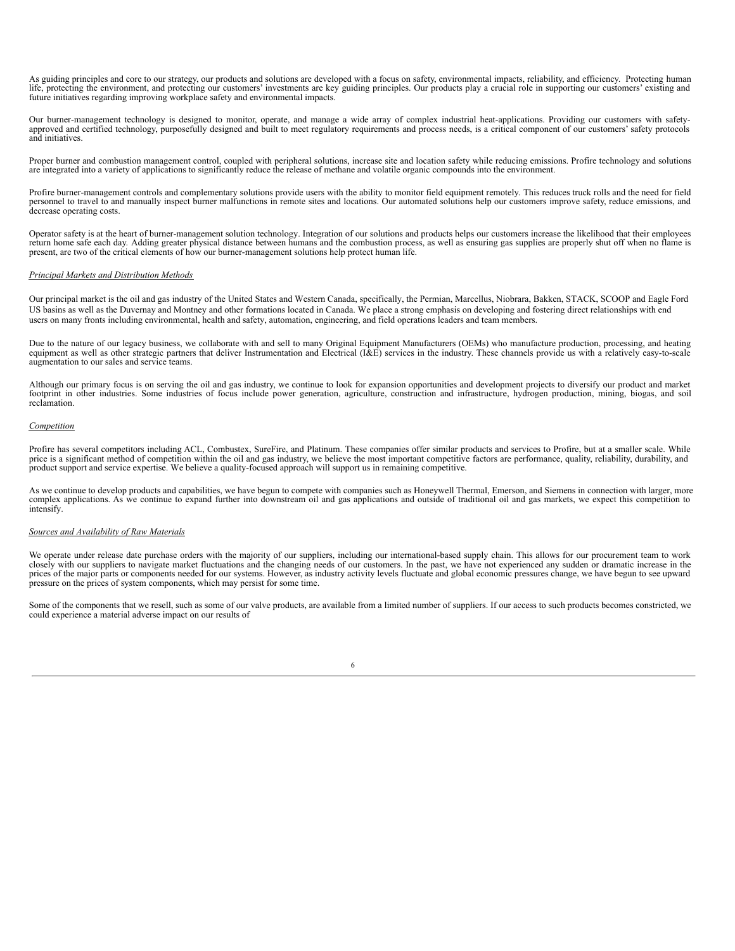As guiding principles and core to our strategy, our products and solutions are developed with a focus on safety, environmental impacts, reliability, and efficiency. Protecting human life, protecting the environment, and protecting our customers' investments are key guiding principles. Our products play a crucial role in supporting our customers' existing and future initiatives regarding improving workplace safety and environmental impacts.

Our burner-management technology is designed to monitor, operate, and manage a wide array of complex industrial heat-applications. Providing our customers with safetyapproved and certified technology, purposefully designed and built to meet regulatory requirements and process needs, is a critical component of our customers' safety protocols and initiatives.

Proper burner and combustion management control, coupled with peripheral solutions, increase site and location safety while reducing emissions. Profire technology and solutions are integrated into a variety of applications to significantly reduce the release of methane and volatile organic compounds into the environment.

Profire burner-management controls and complementary solutions provide users with the ability to monitor field equipment remotely. This reduces truck rolls and the need for field personnel to travel to and manually inspect burner malfunctions in remote sites and locations. Our automated solutions help our customers improve safety, reduce emissions, and decrease operating costs.

Operator safety is at the heart of burner-management solution technology. Integration of our solutions and products helps our customers increase the likelihood that their employees return home safe each day. Adding greater physical distance between humans and the combustion process, as well as ensuring gas supplies are properly shut off when no flame is present, are two of the critical elements of how our burner-management solutions help protect human life.

### *Principal Markets and Distribution Methods*

Our principal market is the oil and gas industry of the United States and Western Canada, specifically, the Permian, Marcellus, Niobrara, Bakken, STACK, SCOOP and Eagle Ford US basins as well as the Duvernay and Montney and other formations located in Canada. We place a strong emphasis on developing and fostering direct relationships with end users on many fronts including environmental, health and safety, automation, engineering, and field operations leaders and team members.

Due to the nature of our legacy business, we collaborate with and sell to many Original Equipment Manufacturers (OEMs) who manufacture production, processing, and heating<br>equipment as well as other strategic partners that augmentation to our sales and service teams.

Although our primary focus is on serving the oil and gas industry, we continue to look for expansion opportunities and development projects to diversify our product and market footprint in other industries. Some industries of focus include power generation, agriculture, construction and infrastructure, hydrogen production, mining, biogas, and soil reclamation.

#### *Competition*

Profire has several competitors including ACL, Combustex, SureFire, and Platinum. These companies offer similar products and services to Profire, but at a smaller scale. While price is a significant method of competition within the oil and gas industry, we believe the most important competitive factors are performance, quality, reliability, durability, and product support and service expertise. We believe a quality-focused approach will support us in remaining competitive.

As we continue to develop products and capabilities, we have begun to compete with companies such as Honeywell Thermal, Emerson, and Siemens in connection with larger, more complex applications. As we continue to expand further into downstream oil and gas applications and outside of traditional oil and gas markets, we expect this competition to intensify.

#### *Sources and Availability of Raw Materials*

We operate under release date purchase orders with the majority of our suppliers, including our international-based supply chain. This allows for our procurement team to work closely with our suppliers to navigate market fluctuations and the changing needs of our customers. In the past, we have not experienced any sudden or dramatic increase in the prices of the major parts or components needed for our systems. However, as industry activity levels fluctuate and global economic pressures change, we have begun to see upward pressure on the prices of system components, which may persist for some time.

Some of the components that we resell, such as some of our valve products, are available from a limited number of suppliers. If our access to such products becomes constricted, we could experience a material adverse impact on our results of

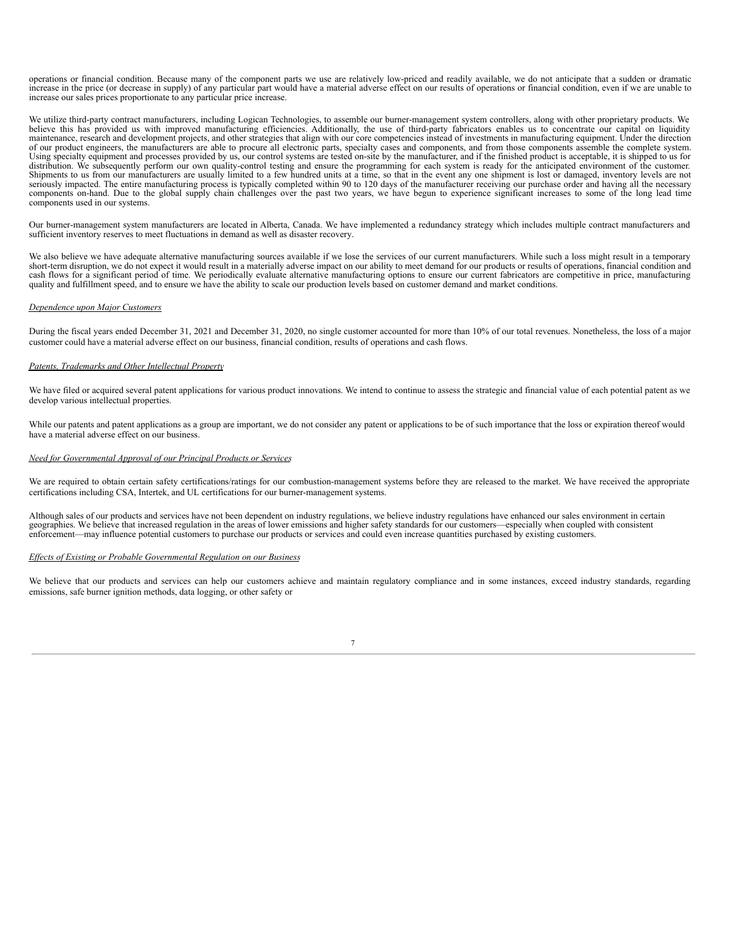operations or financial condition. Because many of the component parts we use are relatively low-priced and readily available, we do not anticipate that a sudden or dramatic increase in the price (or decrease in supply) of any particular part would have a material adverse effect on our results of operations or financial condition, even if we are unable to increase our sales prices proportionate to any particular price increase.

We utilize third-party contract manufacturers, including Logican Technologies, to assemble our burner-management system controllers, along with other proprietary products. We believe this has provided us with improved manufacturing efficiencies. Additionally, the use of third-party fabricators enables us to concentrate our capital on liquidity maintenance, research and development projects, and other strategies that align with our core competencies instead of investments in manufacturing equipment. Under the direction of our product engineers, the manufacturers are able to procure all electronic parts, specialty cases and components, and from those components assemble the complete system.<br>Using specialty equipment and processes provided distribution. We subsequently perform our own quality-control testing and ensure the programming for each system is ready for the anticipated environment of the customer.<br>Shipments to us from our manufacturers are usually seriously impacted. The entire manufacturing process is typically completed within 90 to 120 days of the manufacturer receiving our purchase order and having all the necessary components on-hand. Due to the global supply chain challenges over the past two years, we have begun to experience significant increases to some of the long lead time components used in our systems.

Our burner-management system manufacturers are located in Alberta, Canada. We have implemented a redundancy strategy which includes multiple contract manufacturers and sufficient inventory reserves to meet fluctuations in demand as well as disaster recovery.

We also believe we have adequate alternative manufacturing sources available if we lose the services of our current manufacturers. While such a loss might result in a temporary short-term disruption, we do not expect it would result in a materially adverse impact on our ability to meet demand for our products or results of operations, financial condition and cash flows for a significant period of time. We periodically evaluate alternative manufacturing options to ensure our current fabricators are competitive in price, manufacturing quality and fulfillment speed, and to ensure we have the ability to scale our production levels based on customer demand and market conditions.

#### *Dependence upon Major Customers*

During the fiscal years ended December 31, 2021 and December 31, 2020, no single customer accounted for more than 10% of our total revenues. Nonetheless, the loss of a major customer could have a material adverse effect on our business, financial condition, results of operations and cash flows.

### *Patents, Trademarks and Other Intellectual Property*

We have filed or acquired several patent applications for various product innovations. We intend to continue to assess the strategic and financial value of each potential patent as we develop various intellectual properties.

While our patents and patent applications as a group are important, we do not consider any patent or applications to be of such importance that the loss or expiration thereof would have a material adverse effect on our business.

#### *Need for Governmental Approval of our Principal Products or Services*

We are required to obtain certain safety certifications/ratings for our combustion-management systems before they are released to the market. We have received the appropriate certifications including CSA, Intertek, and UL certifications for our burner-management systems.

Although sales of our products and services have not been dependent on industry regulations, we believe industry regulations have enhanced our sales environment in certain geographies. We believe that increased regulation in the areas of lower emissions and higher safety standards for our customers—especially when coupled with consistent enforcement—may influence potential customers to purch

#### *Ef ects of Existing or Probable Governmental Regulation on our Business*

We believe that our products and services can help our customers achieve and maintain regulatory compliance and in some instances, exceed industry standards, regarding emissions, safe burner ignition methods, data logging, or other safety or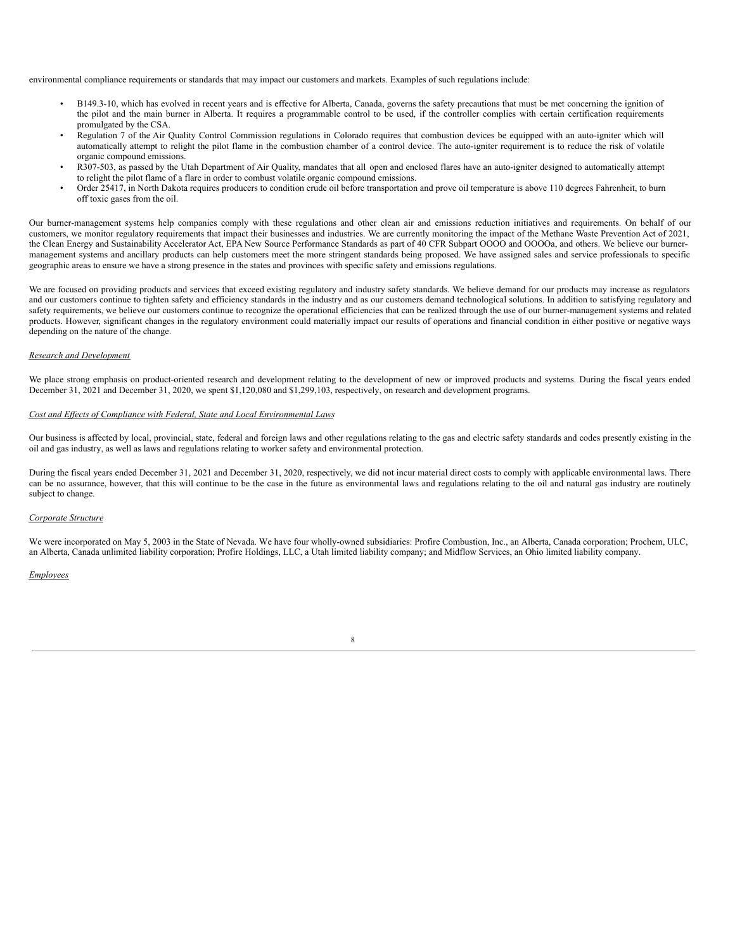environmental compliance requirements or standards that may impact our customers and markets. Examples of such regulations include:

- B149.3-10, which has evolved in recent years and is effective for Alberta, Canada, governs the safety precautions that must be met concerning the ignition of the pilot and the main burner in Alberta. It requires a programmable control to be used, if the controller complies with certain certification requirements promulgated by the CSA.
- Regulation 7 of the Air Quality Control Commission regulations in Colorado requires that combustion devices be equipped with an auto-igniter which will automatically attempt to relight the pilot flame in the combustion chamber of a control device. The auto-igniter requirement is to reduce the risk of volatile organic compound emissions.
- R307-503, as passed by the Utah Department of Air Quality, mandates that all open and enclosed flares have an auto-igniter designed to automatically attempt to relight the pilot flame of a flare in order to combust volatile organic compound emissions.
- Order 25417, in North Dakota requires producers to condition crude oil before transportation and prove oil temperature is above 110 degrees Fahrenheit, to burn off toxic gases from the oil.

Our burner-management systems help companies comply with these regulations and other clean air and emissions reduction initiatives and requirements. On behalf of our customers, we monitor regulatory requirements that impact their businesses and industries. We are currently monitoring the impact of the Methane Waste Prevention Act of 2021, the Clean Energy and Sustainability Accelerator Act, EPA New Source Performance Standards as part of 40 CFR Subpart OOOO and OOOOa, and others. We believe our burnermanagement systems and ancillary products can help customers meet the more stringent standards being proposed. We have assigned sales and service professionals to specific geographic areas to ensure we have a strong presence in the states and provinces with specific safety and emissions regulations.

We are focused on providing products and services that exceed existing regulatory and industry safety standards. We believe demand for our products may increase as regulators and our customers continue to tighten safety and efficiency standards in the industry and as our customers demand technological solutions. In addition to satisfying regulatory and safety requirements, we believe our customers continue to recognize the operational efficiencies that can be realized through the use of our burner-management systems and related products. However, significant changes in the regulatory environment could materially impact our results of operations and financial condition in either positive or negative ways depending on the nature of the change.

### *Research and Development*

We place strong emphasis on product-oriented research and development relating to the development of new or improved products and systems. During the fiscal years ended December 31, 2021 and December 31, 2020, we spent \$1,120,080 and \$1,299,103, respectively, on research and development programs.

### *Cost and Ef ects of Compliance with Federal, State and Local Environmental Laws*

Our business is affected by local, provincial, state, federal and foreign laws and other regulations relating to the gas and electric safety standards and codes presently existing in the oil and gas industry, as well as laws and regulations relating to worker safety and environmental protection.

During the fiscal years ended December 31, 2021 and December 31, 2020, respectively, we did not incur material direct costs to comply with applicable environmental laws. There can be no assurance, however, that this will continue to be the case in the future as environmental laws and regulations relating to the oil and natural gas industry are routinely subject to change.

### *Corporate Structure*

We were incorporated on May 5, 2003 in the State of Nevada. We have four wholly-owned subsidiaries: Profire Combustion, Inc., an Alberta, Canada corporation; Prochem, ULC, an Alberta, Canada unlimited liability corporation; Profire Holdings, LLC, a Utah limited liability company; and Midflow Services, an Ohio limited liability company.

8

#### *Employees*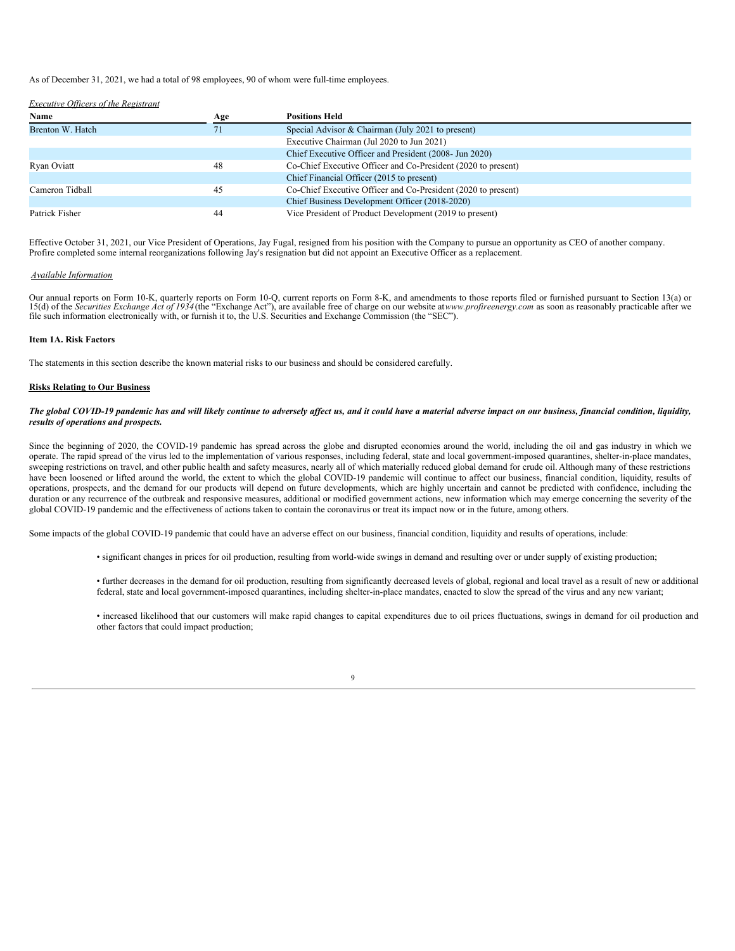As of December 31, 2021, we had a total of 98 employees, 90 of whom were full-time employees.

| Name             | Age | <b>Positions Held</b>                                         |
|------------------|-----|---------------------------------------------------------------|
| Brenton W. Hatch |     | Special Advisor & Chairman (July 2021 to present)             |
|                  |     | Executive Chairman (Jul 2020 to Jun 2021)                     |
|                  |     | Chief Executive Officer and President (2008- Jun 2020)        |
| Ryan Oviatt      | 48  | Co-Chief Executive Officer and Co-President (2020 to present) |
|                  |     | Chief Financial Officer (2015 to present)                     |
| Cameron Tidball  | 45  | Co-Chief Executive Officer and Co-President (2020 to present) |
|                  |     | Chief Business Development Officer (2018-2020)                |
| Patrick Fisher   | 44  | Vice President of Product Development (2019 to present)       |

Effective October 31, 2021, our Vice President of Operations, Jay Fugal, resigned from his position with the Company to pursue an opportunity as CEO of another company. Profire completed some internal reorganizations following Jay's resignation but did not appoint an Executive Officer as a replacement.

### *Available Information*

*Executive Of icers of the Registrant*

Our annual reports on Form 10-K, quarterly reports on Form 10-Q, current reports on Form 8-K, and amendments to those reports filed or furnished pursuant to Section 13(a) or 15(d) of the *Securities Exchange Act of 1934*(the "Exchange Act"), are available free of charge on our website at*www.profireenergy.com* as soon as reasonably practicable after we file such information electronically with, or furnish it to, the U.S. Securities and Exchange Commission (the "SEC").

### <span id="page-8-0"></span>**Item 1A. Risk Factors**

The statements in this section describe the known material risks to our business and should be considered carefully.

#### **Risks Relating to Our Business**

#### The global COVID-19 pandemic has and will likely continue to adversely affect us, and it could have a material adverse impact on our business, financial condition, liquidity, *results of operations and prospects.*

Since the beginning of 2020, the COVID-19 pandemic has spread across the globe and disrupted economies around the world, including the oil and gas industry in which we operate. The rapid spread of the virus led to the implementation of various responses, including federal, state and local government-imposed quarantines, shelter-in-place mandates, sweeping restrictions on travel, and other public health and safety measures, nearly all of which materially reduced global demand for crude oil. Although many of these restrictions have been loosened or lifted around the world, the extent to which the global COVID-19 pandemic will continue to affect our business, financial condition, liquidity, results of operations, prospects, and the demand for our products will depend on future developments, which are highly uncertain and cannot be predicted with confidence, including the duration or any recurrence of the outbreak and responsive measures, additional or modified government actions, new information which may emerge concerning the severity of the global COVID-19 pandemic and the effectiveness of actions taken to contain the coronavirus or treat its impact now or in the future, among others.

Some impacts of the global COVID-19 pandemic that could have an adverse effect on our business, financial condition, liquidity and results of operations, include:

- significant changes in prices for oil production, resulting from world-wide swings in demand and resulting over or under supply of existing production;
- further decreases in the demand for oil production, resulting from significantly decreased levels of global, regional and local travel as a result of new or additional federal, state and local government-imposed quarantines, including shelter-in-place mandates, enacted to slow the spread of the virus and any new variant;

• increased likelihood that our customers will make rapid changes to capital expenditures due to oil prices fluctuations, swings in demand for oil production and other factors that could impact production;

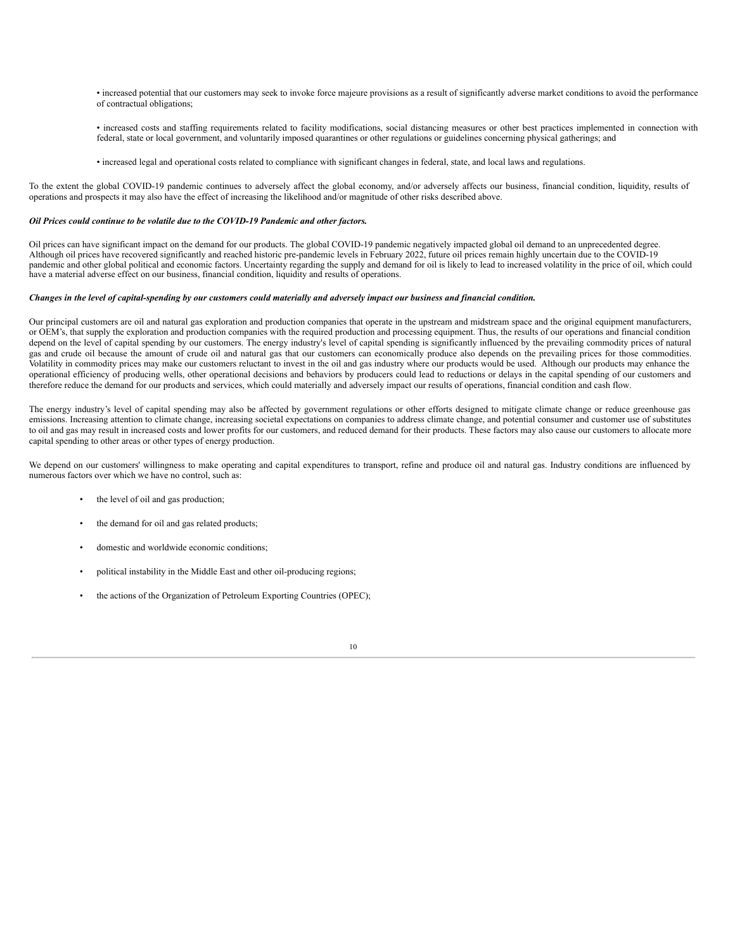- increased potential that our customers may seek to invoke force majeure provisions as a result of significantly adverse market conditions to avoid the performance of contractual obligations;
- increased costs and staffing requirements related to facility modifications, social distancing measures or other best practices implemented in connection with federal, state or local government, and voluntarily imposed quarantines or other regulations or guidelines concerning physical gatherings; and
- increased legal and operational costs related to compliance with significant changes in federal, state, and local laws and regulations.

To the extent the global COVID-19 pandemic continues to adversely affect the global economy, and/or adversely affects our business, financial condition, liquidity, results of operations and prospects it may also have the effect of increasing the likelihood and/or magnitude of other risks described above.

#### *Oil Prices could continue to be volatile due to the COVID-19 Pandemic and other factors.*

Oil prices can have significant impact on the demand for our products. The global COVID-19 pandemic negatively impacted global oil demand to an unprecedented degree. Although oil prices have recovered significantly and reached historic pre-pandemic levels in February 2022, future oil prices remain highly uncertain due to the COVID-19 pandemic and other global political and economic factors. Uncertainty regarding the supply and demand for oil is likely to lead to increased volatility in the price of oil, which could have a material adverse effect on our business, financial condition, liquidity and results of operations.

### Changes in the level of capital-spending by our customers could materially and adversely impact our business and financial condition.

Our principal customers are oil and natural gas exploration and production companies that operate in the upstream and midstream space and the original equipment manufacturers, or OEM's, that supply the exploration and production companies with the required production and processing equipment. Thus, the results of our operations and financial condition depend on the level of capital spending by our customers. The energy industry's level of capital spending is significantly influenced by the prevailing commodity prices of natural gas and crude oil because the amount of crude oil and natural gas that our customers can economically produce also depends on the prevailing prices for those commodities. Volatility in commodity prices may make our customers reluctant to invest in the oil and gas industry where our products would be used. Although our products may enhance the operational efficiency of producing wells, other operational decisions and behaviors by producers could lead to reductions or delays in the capital spending of our customers and therefore reduce the demand for our products and services, which could materially and adversely impact our results of operations, financial condition and cash flow.

The energy industry's level of capital spending may also be affected by government regulations or other efforts designed to mitigate climate change or reduce greenhouse gas emissions. Increasing attention to climate change, increasing societal expectations on companies to address climate change, and potential consumer and customer use of substitutes to oil and gas may result in increased costs and lower profits for our customers, and reduced demand for their products. These factors may also cause our customers to allocate more capital spending to other areas or other types of energy production.

We depend on our customers' willingness to make operating and capital expenditures to transport, refine and produce oil and natural gas. Industry conditions are influenced by numerous factors over which we have no control, such as:

- the level of oil and gas production;
- the demand for oil and gas related products;
- domestic and worldwide economic conditions;
- political instability in the Middle East and other oil-producing regions;
- the actions of the Organization of Petroleum Exporting Countries (OPEC);

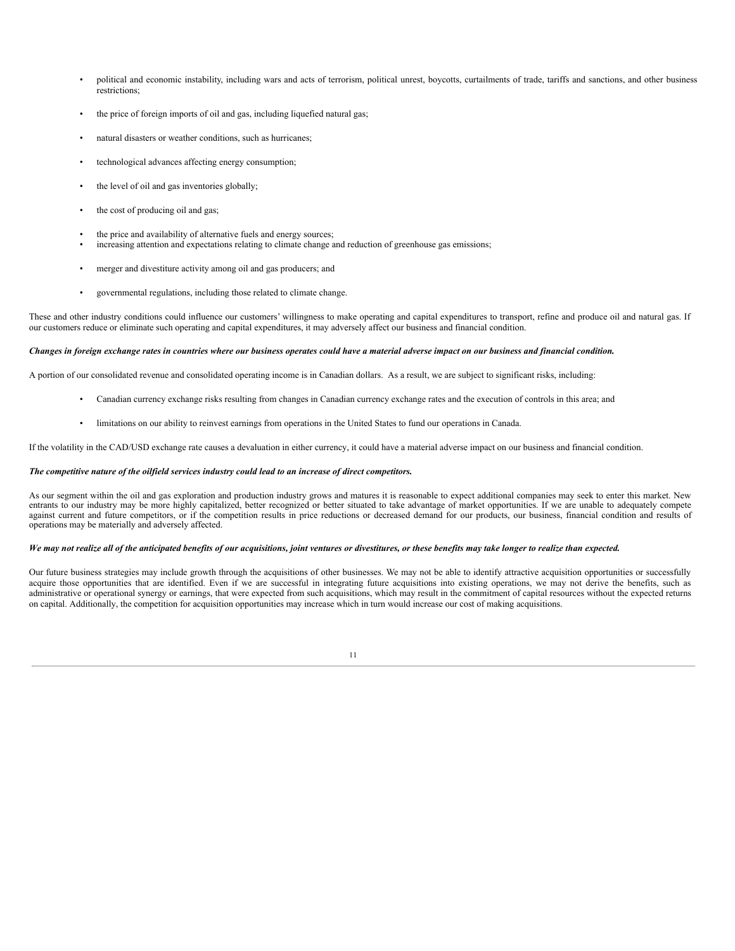- political and economic instability, including wars and acts of terrorism, political unrest, boycotts, curtailments of trade, tariffs and sanctions, and other business restrictions;
- the price of foreign imports of oil and gas, including liquefied natural gas;
- natural disasters or weather conditions, such as hurricanes;
- technological advances affecting energy consumption;
- the level of oil and gas inventories globally;
- the cost of producing oil and gas;
- the price and availability of alternative fuels and energy sources;
- increasing attention and expectations relating to climate change and reduction of greenhouse gas emissions;
- merger and divestiture activity among oil and gas producers; and
- governmental regulations, including those related to climate change.

These and other industry conditions could influence our customers' willingness to make operating and capital expenditures to transport, refine and produce oil and natural gas. If our customers reduce or eliminate such operating and capital expenditures, it may adversely affect our business and financial condition.

### Changes in foreign exchange rates in countries where our business operates could have a material adverse impact on our business and financial condition.

A portion of our consolidated revenue and consolidated operating income is in Canadian dollars. As a result, we are subject to significant risks, including:

- Canadian currency exchange risks resulting from changes in Canadian currency exchange rates and the execution of controls in this area; and
- limitations on our ability to reinvest earnings from operations in the United States to fund our operations in Canada.

If the volatility in the CAD/USD exchange rate causes a devaluation in either currency, it could have a material adverse impact on our business and financial condition.

#### *The competitive nature of the oilfield services industry could lead to an increase of direct competitors.*

As our segment within the oil and gas exploration and production industry grows and matures it is reasonable to expect additional companies may seek to enter this market. New entrants to our industry may be more highly capitalized, better recognized or better situated to take advantage of market opportunities. If we are unable to adequately compete against current and future competitors, or if the competition results in price reductions or decreased demand for our products, our business, financial condition and results of operations may be materially and adversely affected.

### We may not realize all of the anticipated benefits of our acquisitions, joint ventures or divestitures, or these benefits may take longer to realize than expected.

Our future business strategies may include growth through the acquisitions of other businesses. We may not be able to identify attractive acquisition opportunities or successfully acquire those opportunities that are identified. Even if we are successful in integrating future acquisitions into existing operations, we may not derive the benefits, such as administrative or operational synergy or earnings, that were expected from such acquisitions, which may result in the commitment of capital resources without the expected returns on capital. Additionally, the competition for acquisition opportunities may increase which in turn would increase our cost of making acquisitions.

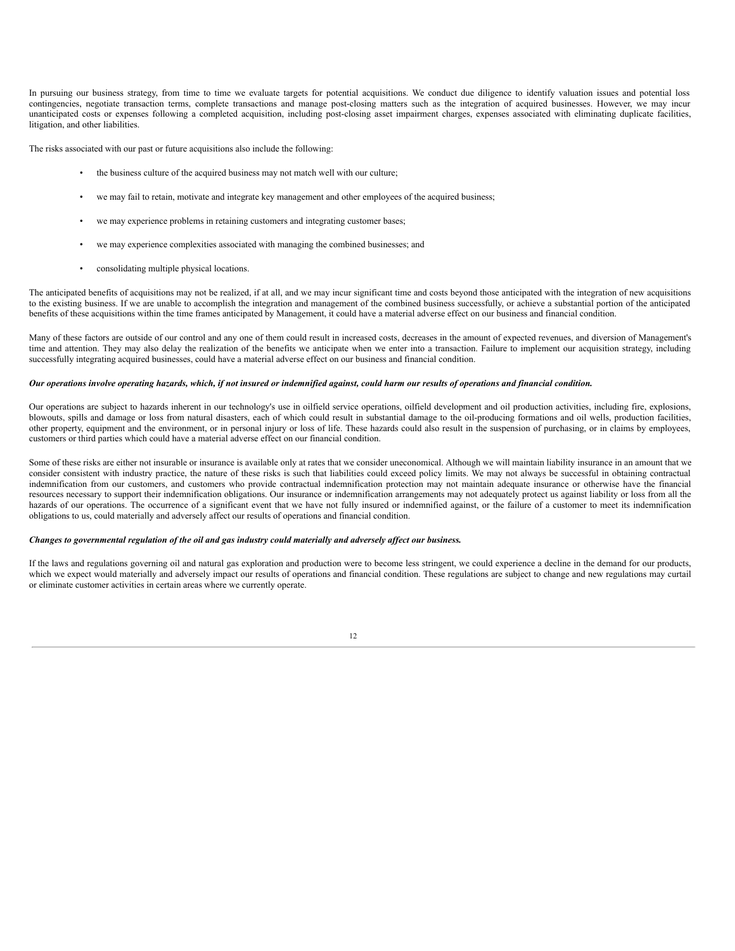In pursuing our business strategy, from time to time we evaluate targets for potential acquisitions. We conduct due diligence to identify valuation issues and potential loss contingencies, negotiate transaction terms, complete transactions and manage post-closing matters such as the integration of acquired businesses. However, we may incur unanticipated costs or expenses following a completed acquisition, including post-closing asset impairment charges, expenses associated with eliminating duplicate facilities, litigation, and other liabilities.

The risks associated with our past or future acquisitions also include the following:

- the business culture of the acquired business may not match well with our culture;
- we may fail to retain, motivate and integrate key management and other employees of the acquired business;
- we may experience problems in retaining customers and integrating customer bases;
- we may experience complexities associated with managing the combined businesses; and
- consolidating multiple physical locations.

The anticipated benefits of acquisitions may not be realized, if at all, and we may incur significant time and costs beyond those anticipated with the integration of new acquisitions to the existing business. If we are unable to accomplish the integration and management of the combined business successfully, or achieve a substantial portion of the anticipated benefits of these acquisitions within the time frames anticipated by Management, it could have a material adverse effect on our business and financial condition.

Many of these factors are outside of our control and any one of them could result in increased costs, decreases in the amount of expected revenues, and diversion of Management's time and attention. They may also delay the realization of the benefits we anticipate when we enter into a transaction. Failure to implement our acquisition strategy, including successfully integrating acquired businesses, could have a material adverse effect on our business and financial condition.

### Our operations involve operating hazards, which, if not insured or indemnified against, could harm our results of operations and financial condition.

Our operations are subject to hazards inherent in our technology's use in oilfield service operations, oilfield development and oil production activities, including fire, explosions, blowouts, spills and damage or loss from natural disasters, each of which could result in substantial damage to the oil-producing formations and oil wells, production facilities, other property, equipment and the environment, or in personal injury or loss of life. These hazards could also result in the suspension of purchasing, or in claims by employees, customers or third parties which could have a material adverse effect on our financial condition.

Some of these risks are either not insurable or insurance is available only at rates that we consider uneconomical. Although we will maintain liability insurance in an amount that we consider consistent with industry practice, the nature of these risks is such that liabilities could exceed policy limits. We may not always be successful in obtaining contractual indemnification from our customers, and customers who provide contractual indemnification protection may not maintain adequate insurance or otherwise have the financial resources necessary to support their indemnification obligations. Our insurance or indemnification arrangements may not adequately protect us against liability or loss from all the hazards of our operations. The occurrence of a significant event that we have not fully insured or indemnified against, or the failure of a customer to meet its indemnification obligations to us, could materially and adversely affect our results of operations and financial condition.

### Changes to governmental regulation of the oil and gas industry could materially and adversely affect our business.

If the laws and regulations governing oil and natural gas exploration and production were to become less stringent, we could experience a decline in the demand for our products, which we expect would materially and adversely impact our results of operations and financial condition. These regulations are subject to change and new regulations may curtail or eliminate customer activities in certain areas where we currently operate.

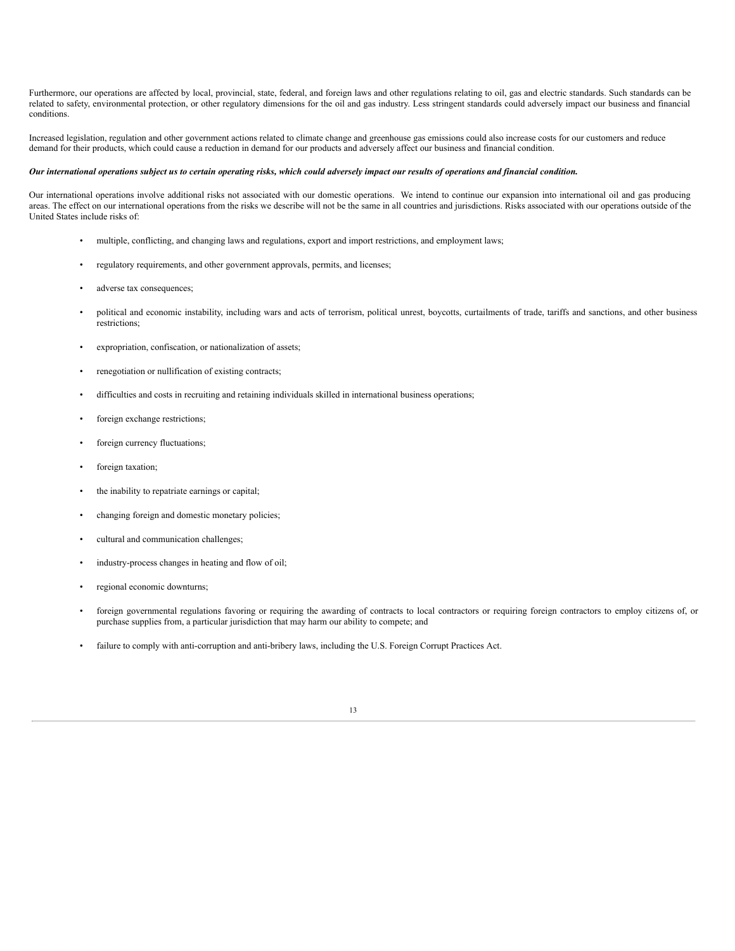Furthermore, our operations are affected by local, provincial, state, federal, and foreign laws and other regulations relating to oil, gas and electric standards. Such standards can be related to safety, environmental protection, or other regulatory dimensions for the oil and gas industry. Less stringent standards could adversely impact our business and financial conditions.

Increased legislation, regulation and other government actions related to climate change and greenhouse gas emissions could also increase costs for our customers and reduce demand for their products, which could cause a reduction in demand for our products and adversely affect our business and financial condition.

### Our international operations subject us to certain operating risks, which could adversely impact our results of operations and financial condition.

Our international operations involve additional risks not associated with our domestic operations. We intend to continue our expansion into international oil and gas producing areas. The effect on our international operations from the risks we describe will not be the same in all countries and jurisdictions. Risks associated with our operations outside of the United States include risks of:

- multiple, conflicting, and changing laws and regulations, export and import restrictions, and employment laws;
- regulatory requirements, and other government approvals, permits, and licenses;
- adverse tax consequences;
- political and economic instability, including wars and acts of terrorism, political unrest, boycotts, curtailments of trade, tariffs and sanctions, and other business restrictions;
- expropriation, confiscation, or nationalization of assets;
- renegotiation or nullification of existing contracts;
- difficulties and costs in recruiting and retaining individuals skilled in international business operations;
- foreign exchange restrictions;
- foreign currency fluctuations;
- foreign taxation;
- the inability to repatriate earnings or capital;
- changing foreign and domestic monetary policies;
- cultural and communication challenges;
- industry-process changes in heating and flow of oil;
- regional economic downturns;
- foreign governmental regulations favoring or requiring the awarding of contracts to local contractors or requiring foreign contractors to employ citizens of, or purchase supplies from, a particular jurisdiction that may harm our ability to compete; and
- failure to comply with anti-corruption and anti-bribery laws, including the U.S. Foreign Corrupt Practices Act.

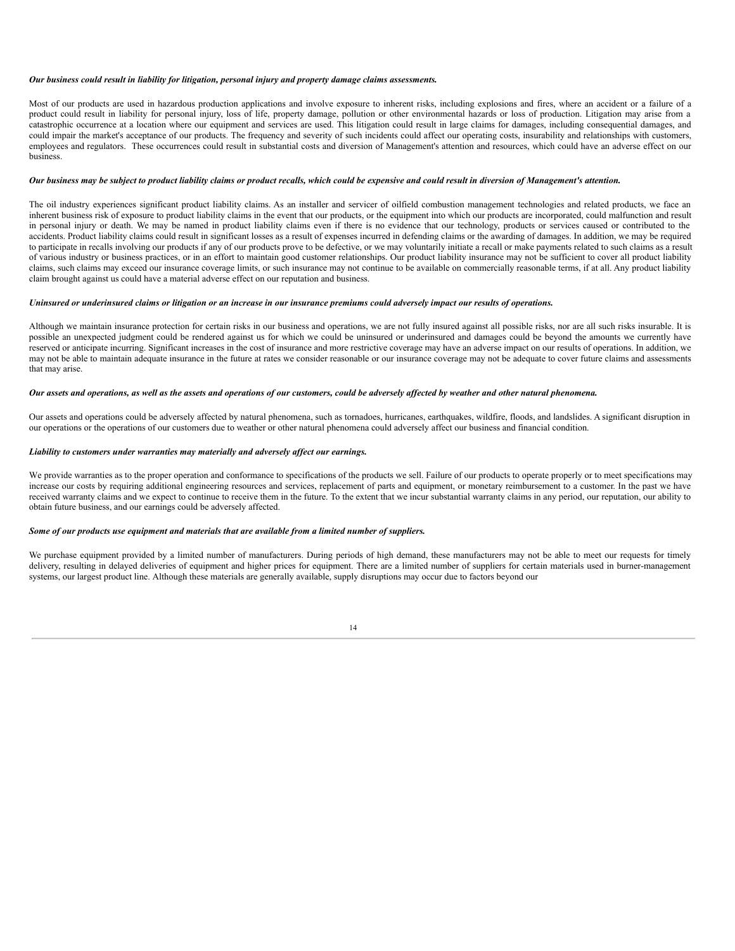### *Our business could result in liability for litigation, personal injury and property damage claims assessments.*

Most of our products are used in hazardous production applications and involve exposure to inherent risks, including explosions and fires, where an accident or a failure of a product could result in liability for personal injury, loss of life, property damage, pollution or other environmental hazards or loss of production. Litigation may arise from a catastrophic occurrence at a location where our equipment and services are used. This litigation could result in large claims for damages, including consequential damages, and could impair the market's acceptance of our products. The frequency and severity of such incidents could affect our operating costs, insurability and relationships with customers, employees and regulators. These occurrences could result in substantial costs and diversion of Management's attention and resources, which could have an adverse effect on our business.

### Our business may be subject to product liability claims or product recalls, which could be expensive and could result in diversion of Management's attention.

The oil industry experiences significant product liability claims. As an installer and servicer of oilfield combustion management technologies and related products, we face an inherent business risk of exposure to product liability claims in the event that our products, or the equipment into which our products are incorporated, could malfunction and result in personal injury or death. We may be named in product liability claims even if there is no evidence that our technology, products or services caused or contributed to the accidents. Product liability claims could result in significant losses as a result of expenses incurred in defending claims or the awarding of damages. In addition, we may be required to participate in recalls involving our products if any of our products prove to be defective, or we may voluntarily initiate a recall or make payments related to such claims as a result of various industry or business practices, or in an effort to maintain good customer relationships. Our product liability insurance may not be sufficient to cover all product liability claims, such claims may exceed our insurance coverage limits, or such insurance may not continue to be available on commercially reasonable terms, if at all. Any product liability claim brought against us could have a material adverse effect on our reputation and business.

### Uninsured or underinsured claims or litigation or an increase in our insurance premiums could adversely impact our results of operations.

Although we maintain insurance protection for certain risks in our business and operations, we are not fully insured against all possible risks, nor are all such risks insurable. It is possible an unexpected judgment could be rendered against us for which we could be uninsured or underinsured and damages could be beyond the amounts we currently have reserved or anticipate incurring. Significant increases in the cost of insurance and more restrictive coverage may have an adverse impact on our results of operations. In addition, we may not be able to maintain adequate insurance in the future at rates we consider reasonable or our insurance coverage may not be adequate to cover future claims and assessments that may arise.

#### Our assets and operations, as well as the assets and operations of our customers, could be adversely affected by weather and other natural phenomena.

Our assets and operations could be adversely affected by natural phenomena, such as tornadoes, hurricanes, earthquakes, wildfire, floods, and landslides. A significant disruption in our operations or the operations of our customers due to weather or other natural phenomena could adversely affect our business and financial condition.

#### *Liability to customers under warranties may materially and adversely af ect our earnings.*

We provide warranties as to the proper operation and conformance to specifications of the products we sell. Failure of our products to operate properly or to meet specifications may increase our costs by requiring additional engineering resources and services, replacement of parts and equipment, or monetary reimbursement to a customer. In the past we have received warranty claims and we expect to continue to receive them in the future. To the extent that we incur substantial warranty claims in any period, our reputation, our ability to obtain future business, and our earnings could be adversely affected.

#### *Some of our products use equipment and materials that are available from a limited number of suppliers.*

We purchase equipment provided by a limited number of manufacturers. During periods of high demand, these manufacturers may not be able to meet our requests for timely delivery, resulting in delayed deliveries of equipment and higher prices for equipment. There are a limited number of suppliers for certain materials used in burner-management systems, our largest product line. Although these materials are generally available, supply disruptions may occur due to factors beyond our

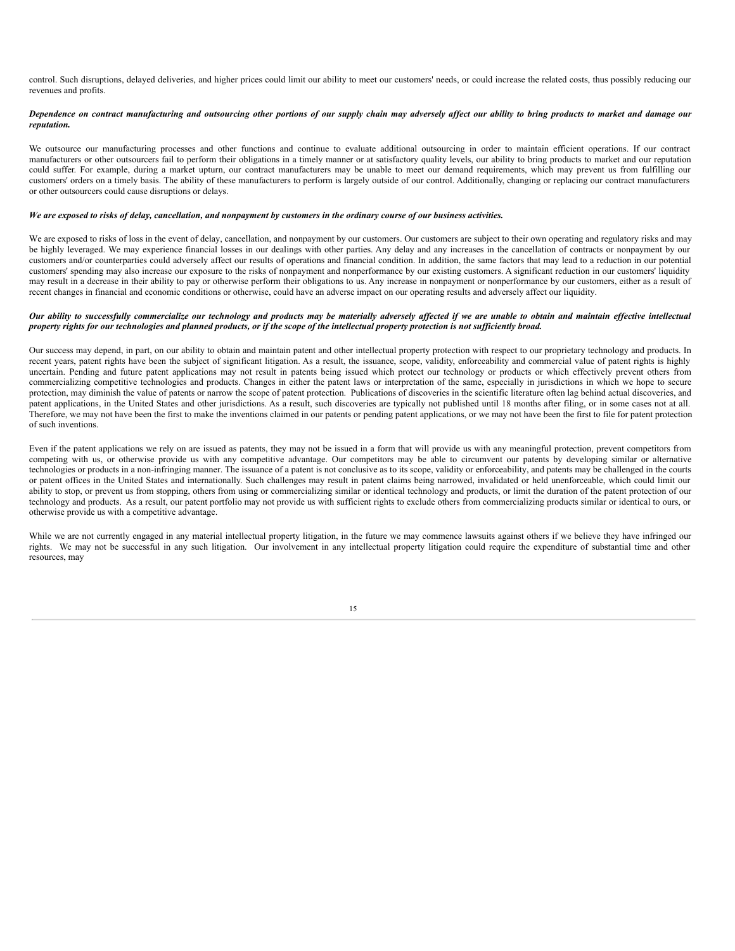control. Such disruptions, delayed deliveries, and higher prices could limit our ability to meet our customers' needs, or could increase the related costs, thus possibly reducing our revenues and profits.

### Dependence on contract manufacturing and outsourcing other portions of our supply chain may adversely affect our ability to bring products to market and damage our *reputation.*

We outsource our manufacturing processes and other functions and continue to evaluate additional outsourcing in order to maintain efficient operations. If our contract manufacturers or other outsourcers fail to perform their obligations in a timely manner or at satisfactory quality levels, our ability to bring products to market and our reputation could suffer. For example, during a market upturn, our contract manufacturers may be unable to meet our demand requirements, which may prevent us from fulfilling our customers' orders on a timely basis. The ability of these manufacturers to perform is largely outside of our control. Additionally, changing or replacing our contract manufacturers or other outsourcers could cause disruptions or delays.

### We are exposed to risks of delay, cancellation, and nonpayment by customers in the ordinary course of our business activities.

We are exposed to risks of loss in the event of delay, cancellation, and nonpayment by our customers. Our customers are subject to their own operating and regulatory risks and may be highly leveraged. We may experience financial losses in our dealings with other parties. Any delay and any increases in the cancellation of contracts or nonpayment by our customers and/or counterparties could adversely affect our results of operations and financial condition. In addition, the same factors that may lead to a reduction in our potential customers' spending may also increase our exposure to the risks of nonpayment and nonperformance by our existing customers. A significant reduction in our customers' liquidity may result in a decrease in their ability to pay or otherwise perform their obligations to us. Any increase in nonpayment or nonperformance by our customers, either as a result of recent changes in financial and economic conditions or otherwise, could have an adverse impact on our operating results and adversely affect our liquidity.

### Our ability to successfully commercialize our technology and products may be materially adversely affected if we are unable to obtain and maintain effective intellectual property rights for our technologies and planned products, or if the scope of the intellectual property protection is not sufficiently broad.

Our success may depend, in part, on our ability to obtain and maintain patent and other intellectual property protection with respect to our proprietary technology and products. In recent years, patent rights have been the subject of significant litigation. As a result, the issuance, scope, validity, enforceability and commercial value of patent rights is highly uncertain. Pending and future patent applications may not result in patents being issued which protect our technology or products or which effectively prevent others from commercializing competitive technologies and products. Changes in either the patent laws or interpretation of the same, especially in jurisdictions in which we hope to secure protection, may diminish the value of patents or narrow the scope of patent protection. Publications of discoveries in the scientific literature often lag behind actual discoveries, and patent applications, in the United States and other jurisdictions. As a result, such discoveries are typically not published until 18 months after filing, or in some cases not at all. Therefore, we may not have been the first to make the inventions claimed in our patents or pending patent applications, or we may not have been the first to file for patent protection of such inventions.

Even if the patent applications we rely on are issued as patents, they may not be issued in a form that will provide us with any meaningful protection, prevent competitors from competing with us, or otherwise provide us with any competitive advantage. Our competitors may be able to circumvent our patents by developing similar or alternative technologies or products in a non-infringing manner. The issuance of a patent is not conclusive as to its scope, validity or enforceability, and patents may be challenged in the courts or patent offices in the United States and internationally. Such challenges may result in patent claims being narrowed, invalidated or held unenforceable, which could limit our ability to stop, or prevent us from stopping, others from using or commercializing similar or identical technology and products, or limit the duration of the patent protection of our technology and products. As a result, our patent portfolio may not provide us with sufficient rights to exclude others from commercializing products similar or identical to ours, or otherwise provide us with a competitive advantage.

While we are not currently engaged in any material intellectual property litigation, in the future we may commence lawsuits against others if we believe they have infringed our rights. We may not be successful in any such litigation. Our involvement in any intellectual property litigation could require the expenditure of substantial time and other resources, may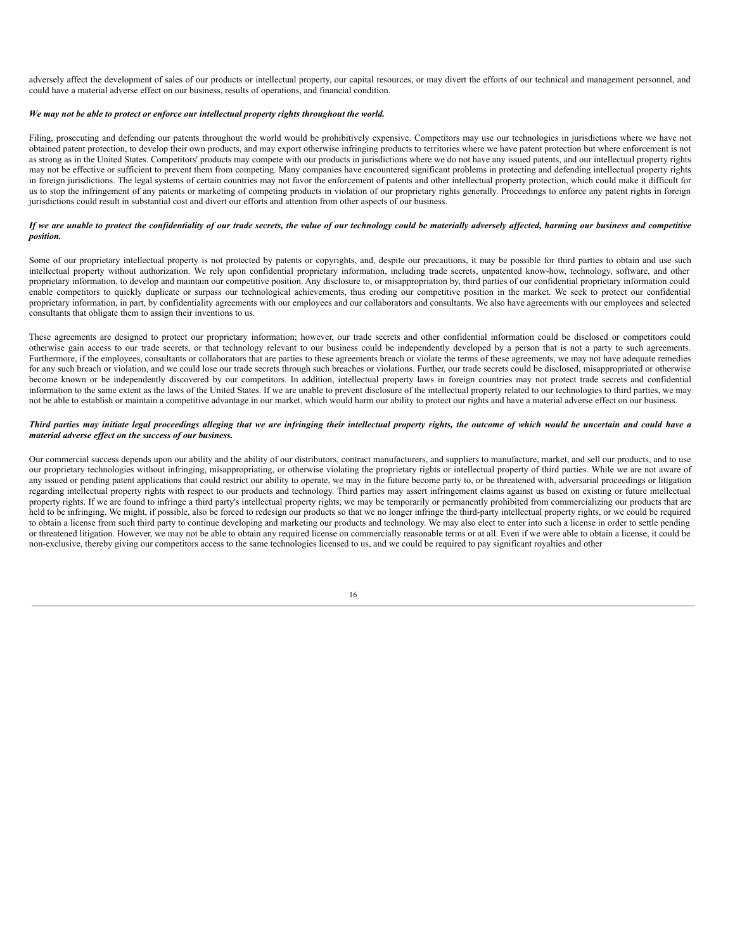adversely affect the development of sales of our products or intellectual property, our capital resources, or may divert the efforts of our technical and management personnel, and could have a material adverse effect on our business, results of operations, and financial condition.

### *We may not be able to protect or enforce our intellectual property rights throughout the world.*

Filing, prosecuting and defending our patents throughout the world would be prohibitively expensive. Competitors may use our technologies in jurisdictions where we have not obtained patent protection, to develop their own products, and may export otherwise infringing products to territories where we have patent protection but where enforcement is not as strong as in the United States. Competitors' products may compete with our products in jurisdictions where we do not have any issued patents, and our intellectual property rights may not be effective or sufficient to prevent them from competing. Many companies have encountered significant problems in protecting and defending intellectual property rights in foreign jurisdictions. The legal systems of certain countries may not favor the enforcement of patents and other intellectual property protection, which could make it difficult for us to stop the infringement of any patents or marketing of competing products in violation of our proprietary rights generally. Proceedings to enforce any patent rights in foreign jurisdictions could result in substantial cost and divert our efforts and attention from other aspects of our business.

### If we are unable to protect the confidentiality of our trade secrets, the value of our technology could be materially adversely affected, harming our business and competitive *position.*

Some of our proprietary intellectual property is not protected by patents or copyrights, and, despite our precautions, it may be possible for third parties to obtain and use such intellectual property without authorization. We rely upon confidential proprietary information, including trade secrets, unpatented know-how, technology, software, and other proprietary information, to develop and maintain our competitive position. Any disclosure to, or misappropriation by, third parties of our confidential proprietary information could enable competitors to quickly duplicate or surpass our technological achievements, thus eroding our competitive position in the market. We seek to protect our confidential proprietary information, in part, by confidentiality agreements with our employees and our collaborators and consultants. We also have agreements with our employees and selected consultants that obligate them to assign their inventions to us.

These agreements are designed to protect our proprietary information; however, our trade secrets and other confidential information could be disclosed or competitors could otherwise gain access to our trade secrets, or that technology relevant to our business could be independently developed by a person that is not a party to such agreements. Furthermore, if the employees, consultants or collaborators that are parties to these agreements breach or violate the terms of these agreements, we may not have adequate remedies for any such breach or violation, and we could lose our trade secrets through such breaches or violations. Further, our trade secrets could be disclosed, misappropriated or otherwise become known or be independently discovered by our competitors. In addition, intellectual property laws in foreign countries may not protect trade secrets and confidential information to the same extent as the laws of the United States. If we are unable to prevent disclosure of the intellectual property related to our technologies to third parties, we may not be able to establish or maintain a competitive advantage in our market, which would harm our ability to protect our rights and have a material adverse effect on our business.

### Third parties may initiate legal proceedings alleging that we are infringing their intellectual property rights, the outcome of which would be uncertain and could have a *material adverse ef ect on the success of our business.*

Our commercial success depends upon our ability and the ability of our distributors, contract manufacturers, and suppliers to manufacture, market, and sell our products, and to use our proprietary technologies without infringing, misappropriating, or otherwise violating the proprietary rights or intellectual property of third parties. While we are not aware of any issued or pending patent applications that could restrict our ability to operate, we may in the future become party to, or be threatened with, adversarial proceedings or litigation regarding intellectual property rights with respect to our products and technology. Third parties may assert infringement claims against us based on existing or future intellectual property rights. If we are found to infringe a third party's intellectual property rights, we may be temporarily or permanently prohibited from commercializing our products that are held to be infringing. We might, if possible, also be forced to redesign our products so that we no longer infringe the third-party intellectual property rights, or we could be required to obtain a license from such third party to continue developing and marketing our products and technology. We may also elect to enter into such a license in order to settle pending or threatened litigation. However, we may not be able to obtain any required license on commercially reasonable terms or at all. Even if we were able to obtain a license, it could be non-exclusive, thereby giving our competitors access to the same technologies licensed to us, and we could be required to pay significant royalties and other

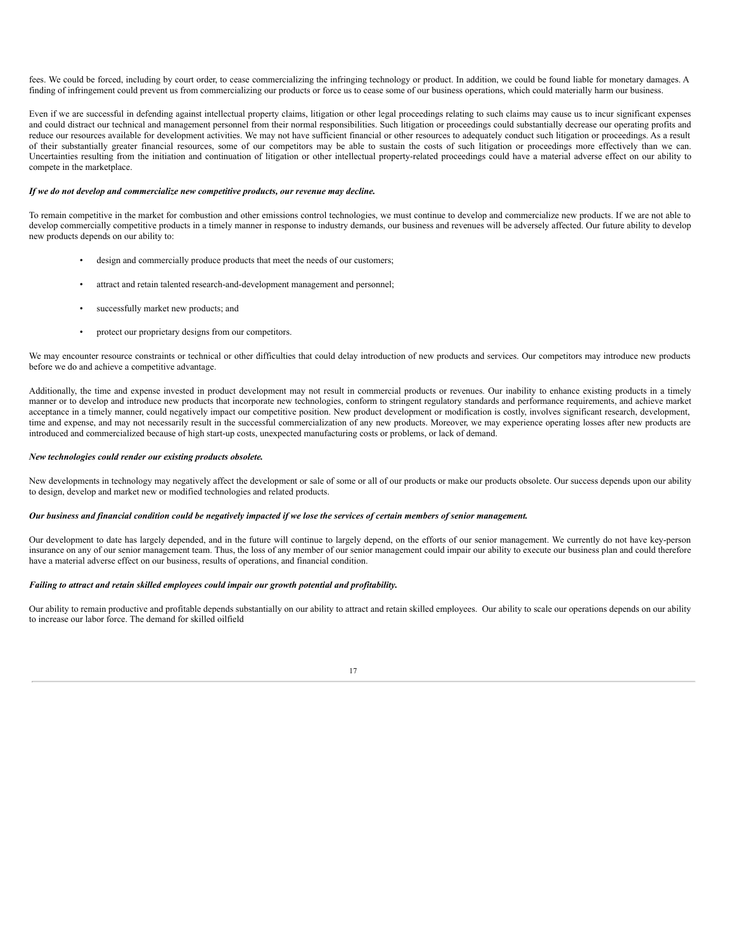fees. We could be forced, including by court order, to cease commercializing the infringing technology or product. In addition, we could be found liable for monetary damages. A finding of infringement could prevent us from commercializing our products or force us to cease some of our business operations, which could materially harm our business.

Even if we are successful in defending against intellectual property claims, litigation or other legal proceedings relating to such claims may cause us to incur significant expenses and could distract our technical and management personnel from their normal responsibilities. Such litigation or proceedings could substantially decrease our operating profits and reduce our resources available for development activities. We may not have sufficient financial or other resources to adequately conduct such litigation or proceedings. As a result of their substantially greater financial resources, some of our competitors may be able to sustain the costs of such litigation or proceedings more effectively than we can. Uncertainties resulting from the initiation and continuation of litigation or other intellectual property-related proceedings could have a material adverse effect on our ability to compete in the marketplace.

#### *If we do not develop and commercialize new competitive products, our revenue may decline.*

To remain competitive in the market for combustion and other emissions control technologies, we must continue to develop and commercialize new products. If we are not able to develop commercially competitive products in a timely manner in response to industry demands, our business and revenues will be adversely affected. Our future ability to develop new products depends on our ability to:

- design and commercially produce products that meet the needs of our customers;
- attract and retain talented research-and-development management and personnel;
- successfully market new products; and
- protect our proprietary designs from our competitors.

We may encounter resource constraints or technical or other difficulties that could delay introduction of new products and services. Our competitors may introduce new products before we do and achieve a competitive advantage.

Additionally, the time and expense invested in product development may not result in commercial products or revenues. Our inability to enhance existing products in a timely manner or to develop and introduce new products that incorporate new technologies, conform to stringent regulatory standards and performance requirements, and achieve market acceptance in a timely manner, could negatively impact our competitive position. New product development or modification is costly, involves significant research, development, time and expense, and may not necessarily result in the successful commercialization of any new products. Moreover, we may experience operating losses after new products are introduced and commercialized because of high start-up costs, unexpected manufacturing costs or problems, or lack of demand.

#### *New technologies could render our existing products obsolete.*

New developments in technology may negatively affect the development or sale of some or all of our products or make our products obsolete. Our success depends upon our ability to design, develop and market new or modified technologies and related products.

#### Our business and financial condition could be negatively impacted if we lose the services of certain members of senior management.

Our development to date has largely depended, and in the future will continue to largely depend, on the efforts of our senior management. We currently do not have key-person insurance on any of our senior management team. Thus, the loss of any member of our senior management could impair our ability to execute our business plan and could therefore have a material adverse effect on our business, results of operations, and financial condition.

#### *Failing to attract and retain skilled employees could impair our growth potential and profitability.*

Our ability to remain productive and profitable depends substantially on our ability to attract and retain skilled employees. Our ability to scale our operations depends on our ability to increase our labor force. The demand for skilled oilfield

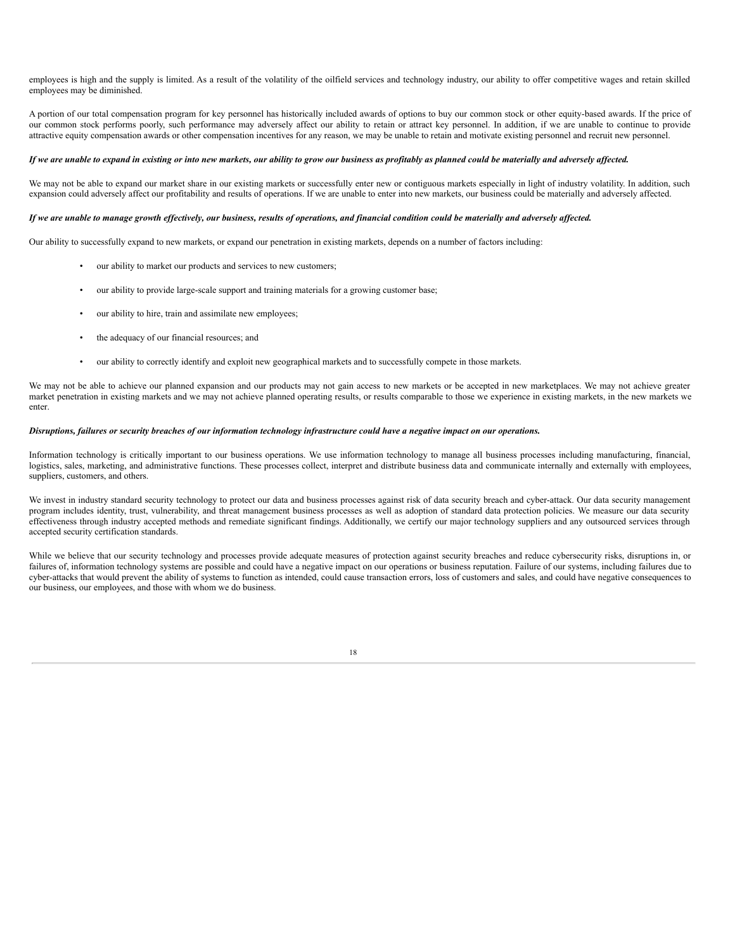employees is high and the supply is limited. As a result of the volatility of the oilfield services and technology industry, our ability to offer competitive wages and retain skilled employees may be diminished.

A portion of our total compensation program for key personnel has historically included awards of options to buy our common stock or other equity-based awards. If the price of our common stock performs poorly, such performance may adversely affect our ability to retain or attract key personnel. In addition, if we are unable to continue to provide attractive equity compensation awards or other compensation incentives for any reason, we may be unable to retain and motivate existing personnel and recruit new personnel.

### If we are unable to expand in existing or into new markets, our ability to grow our business as profitably as planned could be materially and adversely affected.

We may not be able to expand our market share in our existing markets or successfully enter new or contiguous markets especially in light of industry volatility. In addition, such expansion could adversely affect our profitability and results of operations. If we are unable to enter into new markets, our business could be materially and adversely affected.

### If we are unable to manage growth effectively, our business, results of operations, and financial condition could be materially and adversely affected.

Our ability to successfully expand to new markets, or expand our penetration in existing markets, depends on a number of factors including:

- our ability to market our products and services to new customers;
- our ability to provide large-scale support and training materials for a growing customer base;
- our ability to hire, train and assimilate new employees;
- the adequacy of our financial resources; and
- our ability to correctly identify and exploit new geographical markets and to successfully compete in those markets.

We may not be able to achieve our planned expansion and our products may not gain access to new markets or be accepted in new marketplaces. We may not achieve greater market penetration in existing markets and we may not achieve planned operating results, or results comparable to those we experience in existing markets, in the new markets we enter.

### Disruptions, failures or security breaches of our information technology infrastructure could have a negative impact on our operations.

Information technology is critically important to our business operations. We use information technology to manage all business processes including manufacturing, financial, logistics, sales, marketing, and administrative functions. These processes collect, interpret and distribute business data and communicate internally and externally with employees, suppliers, customers, and others.

We invest in industry standard security technology to protect our data and business processes against risk of data security breach and cyber-attack. Our data security management program includes identity, trust, vulnerability, and threat management business processes as well as adoption of standard data protection policies. We measure our data security effectiveness through industry accepted methods and remediate significant findings. Additionally, we certify our major technology suppliers and any outsourced services through accepted security certification standards.

While we believe that our security technology and processes provide adequate measures of protection against security breaches and reduce cybersecurity risks, disruptions in, or failures of, information technology systems are possible and could have a negative impact on our operations or business reputation. Failure of our systems, including failures due to cyber-attacks that would prevent the ability of systems to function as intended, could cause transaction errors, loss of customers and sales, and could have negative consequences to our business, our employees, and those with whom we do business.

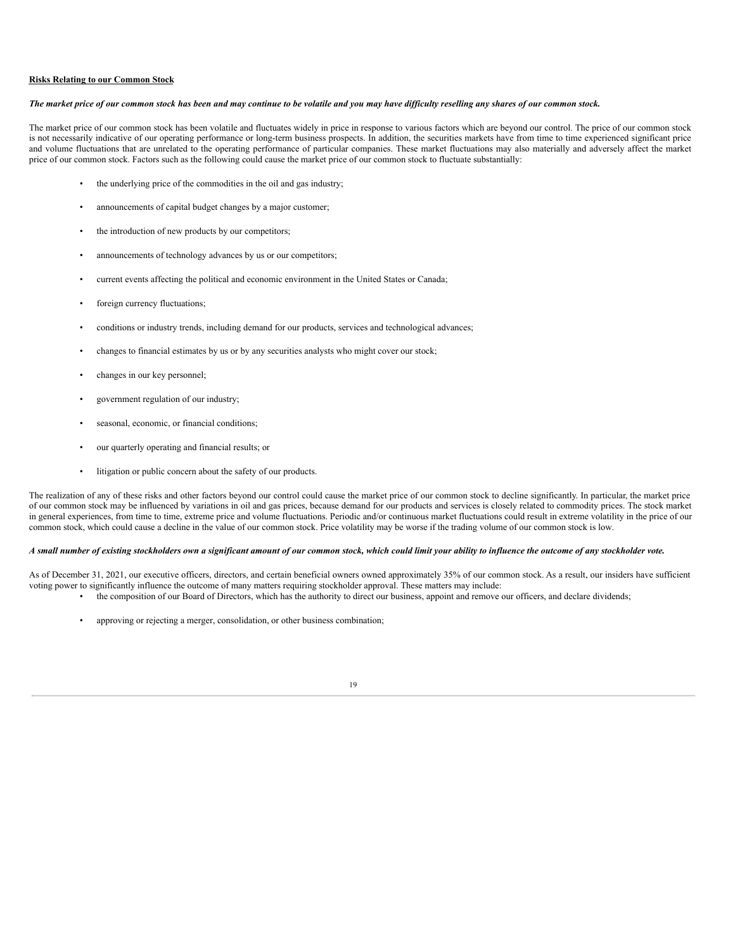### **Risks Relating to our Common Stock**

#### The market price of our common stock has been and may continue to be volatile and you may have difficulty reselling any shares of our common stock.

The market price of our common stock has been volatile and fluctuates widely in price in response to various factors which are beyond our control. The price of our common stock is not necessarily indicative of our operating performance or long-term business prospects. In addition, the securities markets have from time to time experienced significant price and volume fluctuations that are unrelated to the operating performance of particular companies. These market fluctuations may also materially and adversely affect the market price of our common stock. Factors such as the following could cause the market price of our common stock to fluctuate substantially:

- the underlying price of the commodities in the oil and gas industry;
- announcements of capital budget changes by a major customer;
- the introduction of new products by our competitors;
- announcements of technology advances by us or our competitors;
- current events affecting the political and economic environment in the United States or Canada;
- foreign currency fluctuations;
- conditions or industry trends, including demand for our products, services and technological advances;
- changes to financial estimates by us or by any securities analysts who might cover our stock;
- changes in our key personnel;
- government regulation of our industry;
- seasonal, economic, or financial conditions;
- our quarterly operating and financial results; or
- litigation or public concern about the safety of our products.

The realization of any of these risks and other factors beyond our control could cause the market price of our common stock to decline significantly. In particular, the market price of our common stock may be influenced by variations in oil and gas prices, because demand for our products and services is closely related to commodity prices. The stock market in general experiences, from time to time, extreme price and volume fluctuations. Periodic and/or continuous market fluctuations could result in extreme volatility in the price of our common stock, which could cause a decline in the value of our common stock. Price volatility may be worse if the trading volume of our common stock is low.

#### A small number of existing stockholders own a significant amount of our common stock, which could limit your ability to influence the outcome of any stockholder vote.

As of December 31, 2021, our executive officers, directors, and certain beneficial owners owned approximately 35% of our common stock. As a result, our insiders have sufficient voting power to significantly influence the outcome of many matters requiring stockholder approval. These matters may include:

- the composition of our Board of Directors, which has the authority to direct our business, appoint and remove our officers, and declare dividends;
- approving or rejecting a merger, consolidation, or other business combination;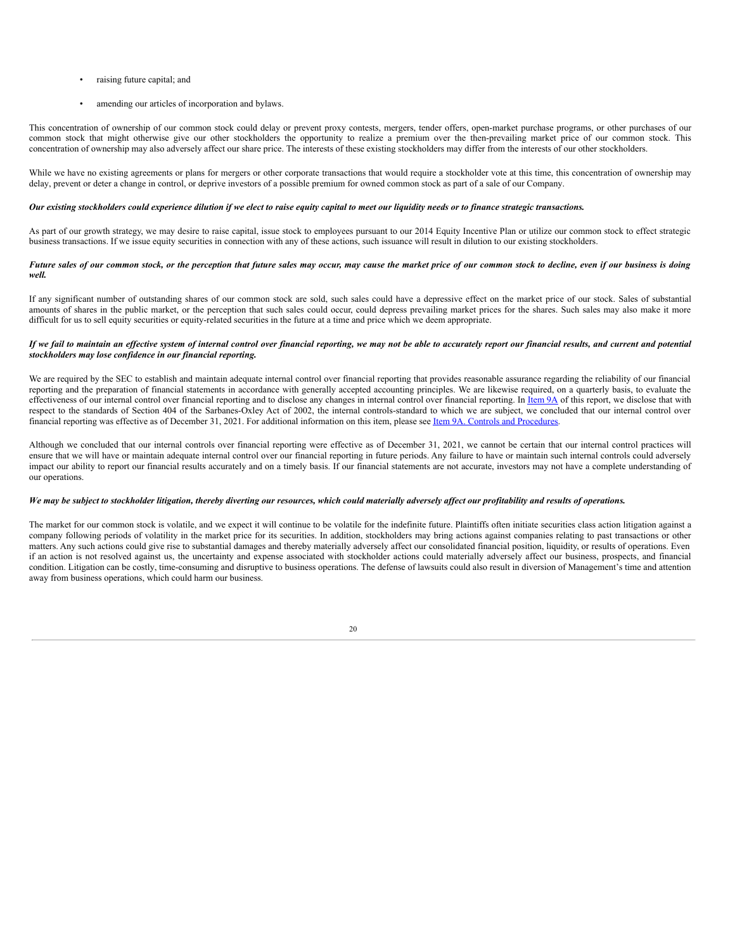- raising future capital; and
- amending our articles of incorporation and bylaws.

This concentration of ownership of our common stock could delay or prevent proxy contests, mergers, tender offers, open-market purchase programs, or other purchases of our common stock that might otherwise give our other stockholders the opportunity to realize a premium over the then-prevailing market price of our common stock. This concentration of ownership may also adversely affect our share price. The interests of these existing stockholders may differ from the interests of our other stockholders.

While we have no existing agreements or plans for mergers or other corporate transactions that would require a stockholder vote at this time, this concentration of ownership may delay, prevent or deter a change in control, or deprive investors of a possible premium for owned common stock as part of a sale of our Company.

#### Our existing stockholders could experience dilution if we elect to raise equity capital to meet our liquidity needs or to finance strategic transactions.

As part of our growth strategy, we may desire to raise capital, issue stock to employees pursuant to our 2014 Equity Incentive Plan or utilize our common stock to effect strategic business transactions. If we issue equity securities in connection with any of these actions, such issuance will result in dilution to our existing stockholders.

#### Future sales of our common stock, or the perception that future sales may occur, may cause the market price of our common stock to decline, even if our business is doing *well.*

If any significant number of outstanding shares of our common stock are sold, such sales could have a depressive effect on the market price of our stock. Sales of substantial amounts of shares in the public market, or the perception that such sales could occur, could depress prevailing market prices for the shares. Such sales may also make it more difficult for us to sell equity securities or equity-related securities in the future at a time and price which we deem appropriate.

#### If we fail to maintain an effective system of internal control over financial reporting, we may not be able to accurately report our financial results, and current and potential *stockholders may lose confidence in our financial reporting.*

We are required by the SEC to establish and maintain adequate internal control over financial reporting that provides reasonable assurance regarding the reliability of our financial reporting and the preparation of financial statements in accordance with generally accepted accounting principles. We are likewise required, on a quarterly basis, to evaluate the effectiveness of our internal control over financial reporting and to disclose any changes in internal control over financial reporting. In [Item](#page-53-0) 9A of this report, we disclose that with respect to the standards of Section 404 of the Sarbanes-Oxley Act of 2002, the internal controls-standard to which we are subject, we concluded that our internal control over financial reporting was effective as of December 31, 2021. For additional information on this item, please see Item 9A. Controls and [Procedures](#page-53-0).

Although we concluded that our internal controls over financial reporting were effective as of December 31, 2021, we cannot be certain that our internal control practices will ensure that we will have or maintain adequate internal control over our financial reporting in future periods. Any failure to have or maintain such internal controls could adversely impact our ability to report our financial results accurately and on a timely basis. If our financial statements are not accurate, investors may not have a complete understanding of our operations.

### We may be subject to stockholder litigation, thereby diverting our resources, which could materially adversely affect our profitability and results of operations.

The market for our common stock is volatile, and we expect it will continue to be volatile for the indefinite future. Plaintiffs often initiate securities class action litigation against a company following periods of volatility in the market price for its securities. In addition, stockholders may bring actions against companies relating to past transactions or other matters. Any such actions could give rise to substantial damages and thereby materially adversely affect our consolidated financial position, liquidity, or results of operations. Even if an action is not resolved against us, the uncertainty and expense associated with stockholder actions could materially adversely affect our business, prospects, and financial condition. Litigation can be costly, time-consuming and disruptive to business operations. The defense of lawsuits could also result in diversion of Management's time and attention away from business operations, which could harm our business.

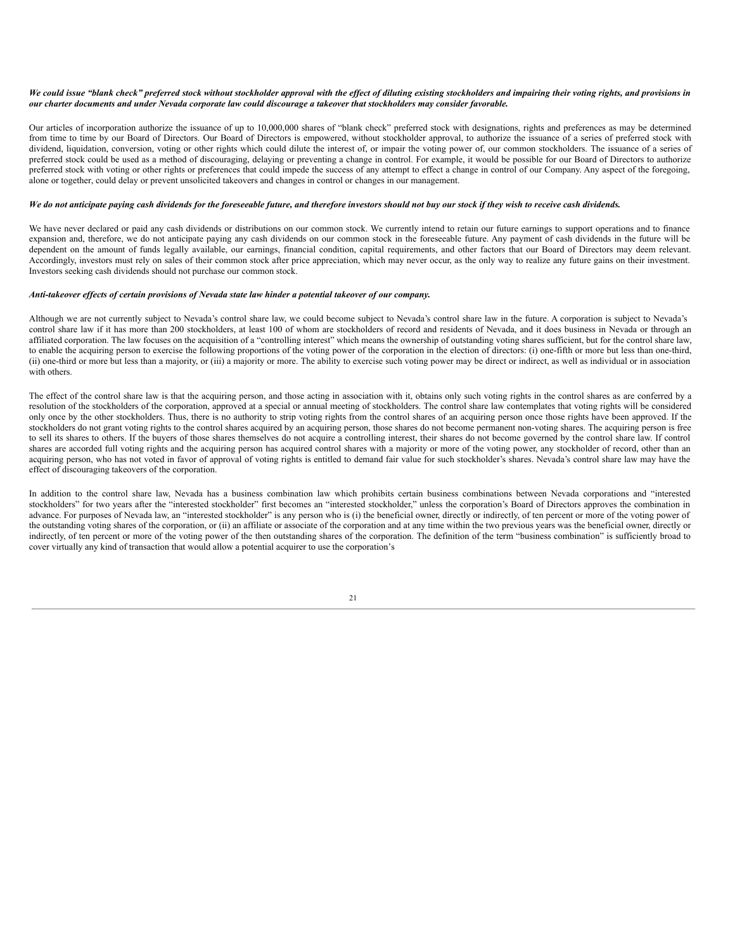#### We could issue "blank check" preferred stock without stockholder approval with the effect of diluting existing stockholders and impairing their voting rights, and provisions in our charter documents and under Nevada corporate law could discourage a takeover that stockholders may consider favorable.

Our articles of incorporation authorize the issuance of up to 10,000,000 shares of "blank check" preferred stock with designations, rights and preferences as may be determined from time to time by our Board of Directors. Our Board of Directors is empowered, without stockholder approval, to authorize the issuance of a series of preferred stock with dividend, liquidation, conversion, voting or other rights which could dilute the interest of, or impair the voting power of, our common stockholders. The issuance of a series of preferred stock could be used as a method of discouraging, delaying or preventing a change in control. For example, it would be possible for our Board of Directors to authorize preferred stock with voting or other rights or preferences that could impede the success of any attempt to effect a change in control of our Company. Any aspect of the foregoing, alone or together, could delay or prevent unsolicited takeovers and changes in control or changes in our management.

#### We do not anticipate paying cash dividends for the foreseeable future, and therefore investors should not buy our stock if they wish to receive cash dividends.

We have never declared or paid any cash dividends or distributions on our common stock. We currently intend to retain our future earnings to support operations and to finance expansion and, therefore, we do not anticipate paying any cash dividends on our common stock in the foreseeable future. Any payment of cash dividends in the future will be dependent on the amount of funds legally available, our earnings, financial condition, capital requirements, and other factors that our Board of Directors may deem relevant. Accordingly, investors must rely on sales of their common stock after price appreciation, which may never occur, as the only way to realize any future gains on their investment. Investors seeking cash dividends should not purchase our common stock.

### Anti-takeover effects of certain provisions of Nevada state law hinder a potential takeover of our company.

Although we are not currently subject to Nevada's control share law, we could become subject to Nevada's control share law in the future. A corporation is subject to Nevada's control share law if it has more than 200 stockholders, at least 100 of whom are stockholders of record and residents of Nevada, and it does business in Nevada or through an affiliated corporation. The law focuses on the acquisition of a "controlling interest" which means the ownership of outstanding voting shares sufficient, but for the control share law, to enable the acquiring person to exercise the following proportions of the voting power of the corporation in the election of directors: (i) one-fifth or more but less than one-third, (ii) one-third or more but less than a majority, or (iii) a majority or more. The ability to exercise such voting power may be direct or indirect, as well as individual or in association with others.

The effect of the control share law is that the acquiring person, and those acting in association with it, obtains only such voting rights in the control shares as are conferred by a resolution of the stockholders of the corporation, approved at a special or annual meeting of stockholders. The control share law contemplates that voting rights will be considered only once by the other stockholders. Thus, there is no authority to strip voting rights from the control shares of an acquiring person once those rights have been approved. If the stockholders do not grant voting rights to the control shares acquired by an acquiring person, those shares do not become permanent non-voting shares. The acquiring person is free to sell its shares to others. If the buyers of those shares themselves do not acquire a controlling interest, their shares do not become governed by the control share law. If control shares are accorded full voting rights and the acquiring person has acquired control shares with a majority or more of the voting power, any stockholder of record, other than an acquiring person, who has not voted in favor of approval of voting rights is entitled to demand fair value for such stockholder's shares. Nevada's control share law may have the effect of discouraging takeovers of the corporation.

In addition to the control share law, Nevada has a business combination law which prohibits certain business combinations between Nevada corporations and "interested stockholders" for two years after the "interested stockholder" first becomes an "interested stockholder," unless the corporation's Board of Directors approves the combination in advance. For purposes of Nevada law, an "interested stockholder" is any person who is (i) the beneficial owner, directly or indirectly, of ten percent or more of the voting power of the outstanding voting shares of the corporation, or (ii) an affiliate or associate of the corporation and at any time within the two previous years was the beneficial owner, directly or indirectly, of ten percent or more of the voting power of the then outstanding shares of the corporation. The definition of the term "business combination" is sufficiently broad to cover virtually any kind of transaction that would allow a potential acquirer to use the corporation's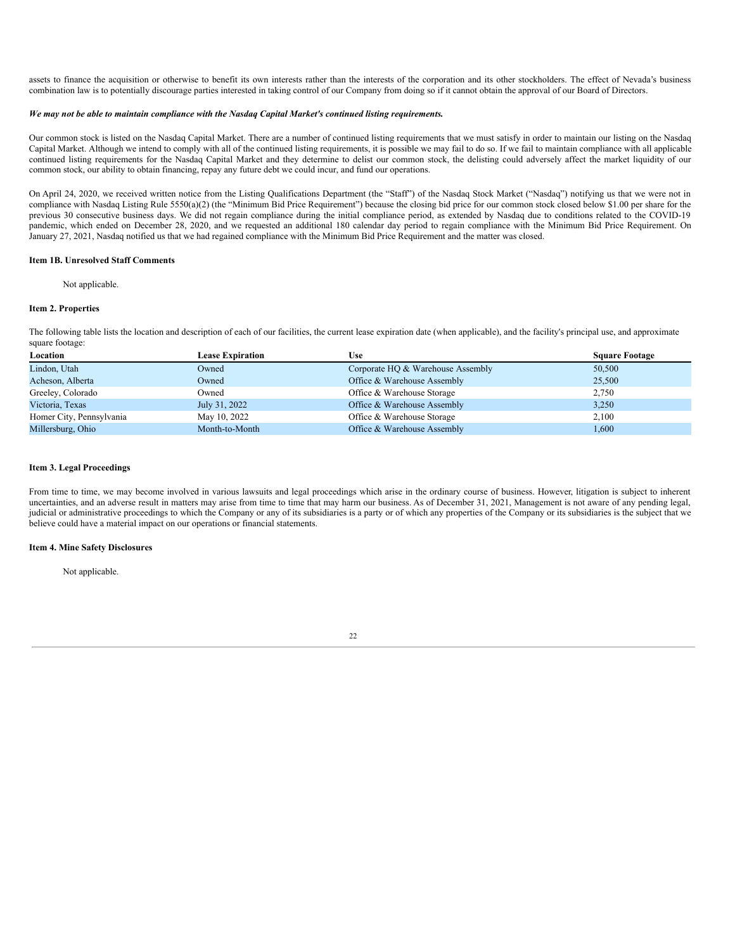assets to finance the acquisition or otherwise to benefit its own interests rather than the interests of the corporation and its other stockholders. The effect of Nevada's business combination law is to potentially discourage parties interested in taking control of our Company from doing so if it cannot obtain the approval of our Board of Directors.

### *We may not be able to maintain compliance with the Nasdaq Capital Market's continued listing requirements.*

Our common stock is listed on the Nasdaq Capital Market. There are a number of continued listing requirements that we must satisfy in order to maintain our listing on the Nasdaq Capital Market. Although we intend to comply with all of the continued listing requirements, it is possible we may fail to do so. If we fail to maintain compliance with all applicable continued listing requirements for the Nasdaq Capital Market and they determine to delist our common stock, the delisting could adversely affect the market liquidity of our common stock, our ability to obtain financing, repay any future debt we could incur, and fund our operations.

On April 24, 2020, we received written notice from the Listing Qualifications Department (the "Staff") of the Nasdaq Stock Market ("Nasdaq") notifying us that we were not in compliance with Nasdaq Listing Rule 5550(a)(2) (the "Minimum Bid Price Requirement") because the closing bid price for our common stock closed below \$1.00 per share for the previous 30 consecutive business days. We did not regain compliance during the initial compliance period, as extended by Nasdaq due to conditions related to the COVID-19 pandemic, which ended on December 28, 2020, and we requested an additional 180 calendar day period to regain compliance with the Minimum Bid Price Requirement. On January 27, 2021, Nasdaq notified us that we had regained compliance with the Minimum Bid Price Requirement and the matter was closed.

### <span id="page-21-0"></span>**Item 1B. Unresolved Staff Comments**

Not applicable.

### <span id="page-21-1"></span>**Item 2. Properties**

The following table lists the location and description of each of our facilities, the current lease expiration date (when applicable), and the facility's principal use, and approximate square footage:

| Location                 | <b>Lease Expiration</b> | Use                               | <b>Square Footage</b> |
|--------------------------|-------------------------|-----------------------------------|-----------------------|
| Lindon, Utah             | Owned                   | Corporate HQ & Warehouse Assembly | 50,500                |
| Acheson, Alberta         | Owned                   | Office & Warehouse Assembly       | 25,500                |
| Greeley, Colorado        | Owned                   | Office & Warehouse Storage        | 2,750                 |
| Victoria, Texas          | July 31, 2022           | Office & Warehouse Assembly       | 3,250                 |
| Homer City, Pennsylvania | May 10, 2022            | Office & Warehouse Storage        | 2.100                 |
| Millersburg, Ohio        | Month-to-Month          | Office & Warehouse Assembly       | 1,600                 |

#### <span id="page-21-2"></span>**Item 3. Legal Proceedings**

From time to time, we may become involved in various lawsuits and legal proceedings which arise in the ordinary course of business. However, litigation is subject to inherent uncertainties, and an adverse result in matters may arise from time to time that may harm our business. As of December 31, 2021, Management is not aware of any pending legal, judicial or administrative proceedings to which the Company or any of its subsidiaries is a party or of which any properties of the Company or its subsidiaries is the subject that we believe could have a material impact on our operations or financial statements.

#### <span id="page-21-3"></span>**Item 4. Mine Safety Disclosures**

Not applicable.

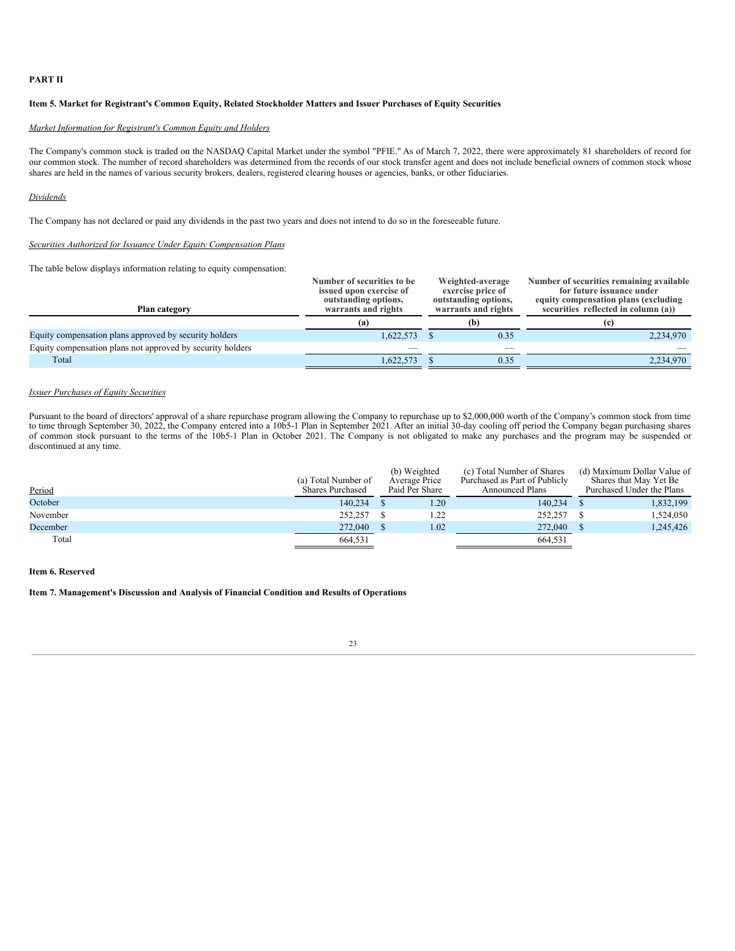### **PART II**

#### <span id="page-22-0"></span>Item 5. Market for Registrant's Common Equity, Related Stockholder Matters and Issuer Purchases of Equity Securities

### *Market Information for Registrant's Common Equity and Holders*

The Company's common stock is traded on the NASDAQ Capital Market under the symbol "PFIE." As of March 7, 2022, there were approximately 81 shareholders of record for our common stock. The number of record shareholders was determined from the records of our stock transfer agent and does not include beneficial owners of common stock whose shares are held in the names of various security brokers, dealers, registered clearing houses or agencies, banks, or other fiduciaries.

### *Dividends*

The Company has not declared or paid any dividends in the past two years and does not intend to do so in the foreseeable future.

### *Securities Authorized for Issuance Under Equity Compensation Plans*

The table below displays information relating to equity compensation:

| Plan category                                              | Number of securities to be<br>issued upon exercise of<br>outstanding options,<br>warrants and rights | Weighted-average<br>exercise price of<br>outstanding options,<br>warrants and rights | Number of securities remaining available<br>for future issuance under<br>equity compensation plans (excluding<br>securities reflected in column (a)) |
|------------------------------------------------------------|------------------------------------------------------------------------------------------------------|--------------------------------------------------------------------------------------|------------------------------------------------------------------------------------------------------------------------------------------------------|
|                                                            | (a)                                                                                                  | (b)                                                                                  |                                                                                                                                                      |
| Equity compensation plans approved by security holders     | 1,622,573                                                                                            | 0.35                                                                                 | 2,234,970                                                                                                                                            |
| Equity compensation plans not approved by security holders |                                                                                                      |                                                                                      |                                                                                                                                                      |
| Total                                                      | 1,622,573                                                                                            | 0.35                                                                                 | 2,234,970                                                                                                                                            |

#### *Issuer Purchases of Equity Securities*

Pursuant to the board of directors' approval of a share repurchase program allowing the Company to repurchase up to \$2,000,000 worth of the Company's common stock from time to time through September 30, 2022, the Company entered into a 10b5-1 Plan in September 2021. After an initial 30-day cooling off period the Company began purchasing shares of common stock pursuant to the terms of the 10b5-1 Plan in October 2021. The Company is not obligated to make any purchases and the program may be suspended or discontinued at any time.

| Period   | (a) Total Number of<br><b>Shares Purchased</b> | (b) Weighted<br>Average Price<br>Paid Per Share | (c) Total Number of Shares<br>Purchased as Part of Publicly<br><b>Announced Plans</b> | (d) Maximum Dollar Value of<br>Shares that May Yet Be<br>Purchased Under the Plans |
|----------|------------------------------------------------|-------------------------------------------------|---------------------------------------------------------------------------------------|------------------------------------------------------------------------------------|
| October  | 140,234                                        | 1.20                                            | 140,234                                                                               | 1,832,199                                                                          |
| November | 252,257                                        | 1.22                                            | 252,257                                                                               | 1,524,050                                                                          |
| December | 272,040                                        | 1.02                                            | 272,040                                                                               | 1,245,426                                                                          |
| Total    | 664,531                                        |                                                 | 664,531                                                                               |                                                                                    |

### <span id="page-22-1"></span>**Item 6. Reserved**

<span id="page-22-2"></span>**Item 7. Management's Discussion and Analysis of Financial Condition and Results of Operations**

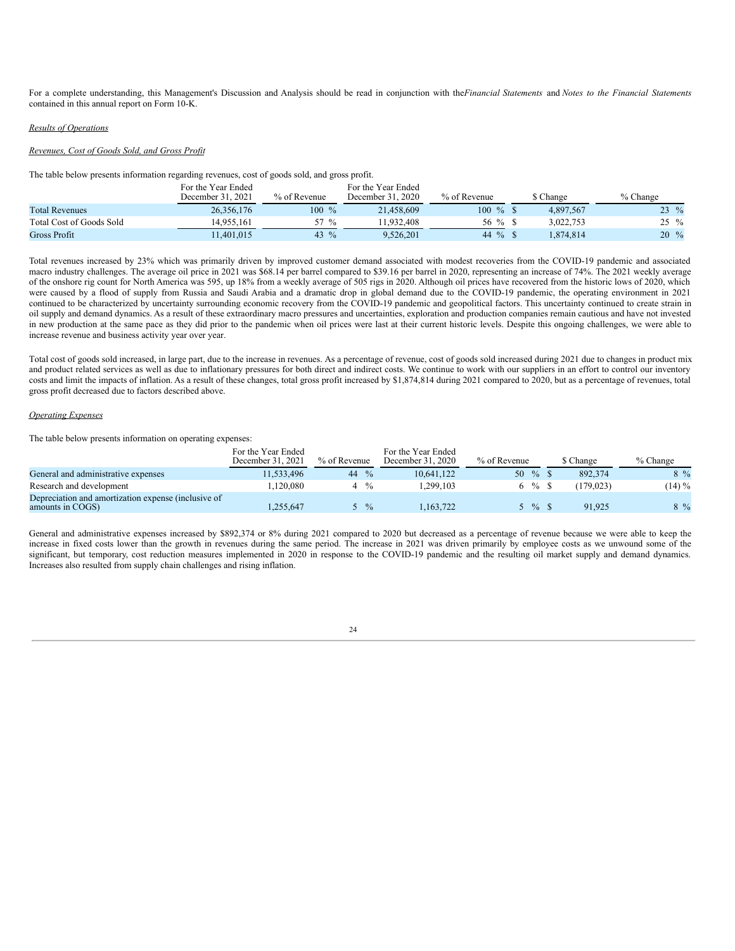For a complete understanding, this Management's Discussion and Analysis should be read in conjunction with the*Financial Statements* and *Notes to the Financial Statements* contained in this annual report on Form 10-K.

### *Results of Operations*

### *Revenues, Cost of Goods Sold, and Gross Profit*

The table below presents information regarding revenues, cost of goods sold, and gross profit.

|                          | For the Year Ended<br>December 31, 2021 | $%$ of Revenue | For the Year Ended<br>December 31, 2020 | % of Revenue | \$ Change | % Change         |
|--------------------------|-----------------------------------------|----------------|-----------------------------------------|--------------|-----------|------------------|
| <b>Total Revenues</b>    | 26.356.176                              | $100\%$        | 21.458.609                              | $100\%$ \$   | 4.897.567 | $23 \frac{9}{6}$ |
| Total Cost of Goods Sold | 14.955.161                              | 57 %           | 11.932.408                              | 56 % \$      | 3.022.753 | 25 %             |
| Gross Profit             | !1.401.015                              | 43 $\%$        | 9.526.201                               | 44 % \$      | .874.814  | $20\frac{9}{6}$  |

Total revenues increased by 23% which was primarily driven by improved customer demand associated with modest recoveries from the COVID-19 pandemic and associated macro industry challenges. The average oil price in 2021 was \$68.14 per barrel compared to \$39.16 per barrel in 2020, representing an increase of 74%. The 2021 weekly average of the onshore rig count for North America was 595, up 18% from a weekly average of 505 rigs in 2020. Although oil prices have recovered from the historic lows of 2020, which were caused by a flood of supply from Russia and Saudi Arabia and a dramatic drop in global demand due to the COVID-19 pandemic, the operating environment in 2021 continued to be characterized by uncertainty surrounding economic recovery from the COVID-19 pandemic and geopolitical factors. This uncertainty continued to create strain in oil supply and demand dynamics. As a result of these extraordinary macro pressures and uncertainties, exploration and production companies remain cautious and have not invested in new production at the same pace as they did prior to the pandemic when oil prices were last at their current historic levels. Despite this ongoing challenges, we were able to increase revenue and business activity year over year.

Total cost of goods sold increased, in large part, due to the increase in revenues. As a percentage of revenue, cost of goods sold increased during 2021 due to changes in product mix and product related services as well as due to inflationary pressures for both direct and indirect costs. We continue to work with our suppliers in an effort to control our inventory costs and limit the impacts of inflation. As a result of these changes, total gross profit increased by \$1,874,814 during 2021 compared to 2020, but as a percentage of revenues, total gross profit decreased due to factors described above.

### *Operating Expenses*

The table below presents information on operating expenses:

|                                                                         | For the Year Ended<br>December 31, 2021 | % of Revenue        | For the Year Ended<br>December 31, 2020 | % of Revenue | \$ Change | $%$ Change |
|-------------------------------------------------------------------------|-----------------------------------------|---------------------|-----------------------------------------|--------------|-----------|------------|
| General and administrative expenses                                     | 11.533.496                              | 44<br>$\frac{0}{0}$ | 10.641.122                              | 50 $\%$ \$   | 892,374   | $8\%$      |
| Research and development                                                | .120.080                                | $\frac{0}{0}$       | .299.103                                | 6 % \$       | (179.023) | $(14) \%$  |
| Depreciation and amortization expense (inclusive of<br>amounts in COGS) | .255.647                                | $\frac{6}{10}$      | .163.722                                | 5 % \$       | 91.925    | $8\,%$     |

General and administrative expenses increased by \$892,374 or 8% during 2021 compared to 2020 but decreased as a percentage of revenue because we were able to keep the increase in fixed costs lower than the growth in revenues during the same period. The increase in 2021 was driven primarily by employee costs as we unwound some of the significant, but temporary, cost reduction measures implemented in 2020 in response to the COVID-19 pandemic and the resulting oil market supply and demand dynamics. Increases also resulted from supply chain challenges and rising inflation.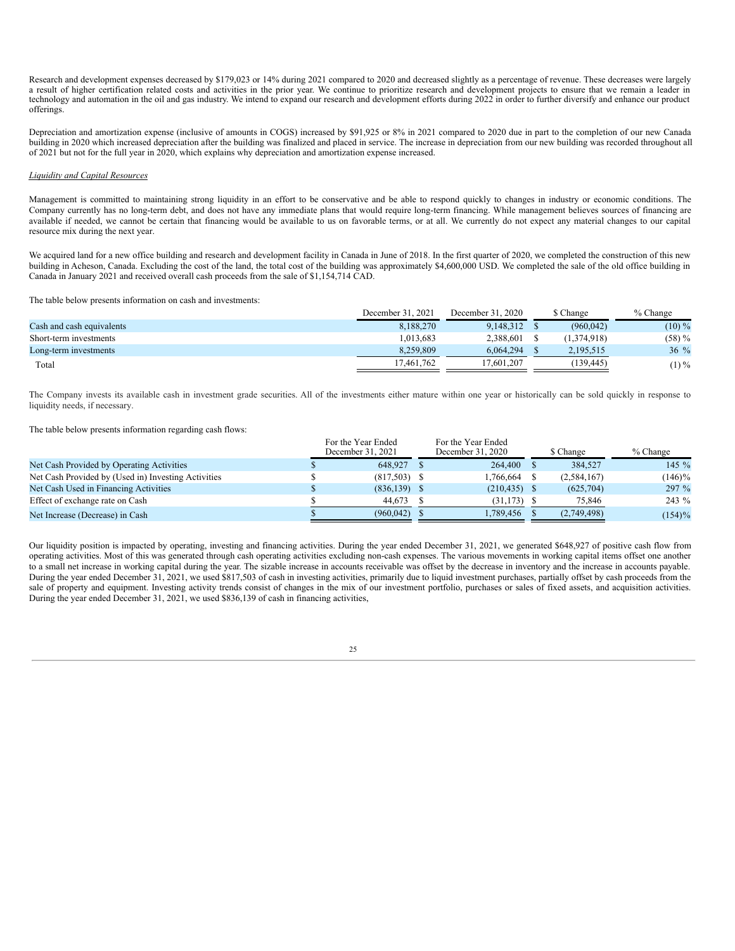Research and development expenses decreased by \$179,023 or 14% during 2021 compared to 2020 and decreased slightly as a percentage of revenue. These decreases were largely a result of higher certification related costs and activities in the prior year. We continue to prioritize research and development projects to ensure that we remain a leader in technology and automation in the oil and gas industry. We intend to expand our research and development efforts during 2022 in order to further diversify and enhance our product offerings.

Depreciation and amortization expense (inclusive of amounts in COGS) increased by \$91,925 or 8% in 2021 compared to 2020 due in part to the completion of our new Canada building in 2020 which increased depreciation after the building was finalized and placed in service. The increase in depreciation from our new building was recorded throughout all of 2021 but not for the full year in 2020, which explains why depreciation and amortization expense increased.

#### *Liquidity and Capital Resources*

Management is committed to maintaining strong liquidity in an effort to be conservative and be able to respond quickly to changes in industry or economic conditions. The Company currently has no long-term debt, and does not have any immediate plans that would require long-term financing. While management believes sources of financing are available if needed, we cannot be certain that financing would be available to us on favorable terms, or at all. We currently do not expect any material changes to our capital resource mix during the next year.

We acquired land for a new office building and research and development facility in Canada in June of 2018. In the first quarter of 2020, we completed the construction of this new building in Acheson, Canada. Excluding the cost of the land, the total cost of the building was approximately \$4,600,000 USD. We completed the sale of the old office building in Canada in January 2021 and received overall cash proceeds from the sale of \$1,154,714 CAD.

The table below presents information on cash and investments:

|                           | December 31, 2021 | December 31, 2020 | Change      | $%$ Change |
|---------------------------|-------------------|-------------------|-------------|------------|
| Cash and cash equivalents | 8.188.270         | 9.148.312         | (960.042)   | $(10)\%$   |
| Short-term investments    | 1.013.683         | 2.388.601         | (1.374.918) | $(58) \%$  |
| Long-term investments     | 8.259.809         | 6.064.294         | 2,195,515   | $36\%$     |
| Total                     | 17.461.762        | 17.601.207        | (139, 445)  | $(1)\%$    |

The Company invests its available cash in investment grade securities. All of the investments either mature within one year or historically can be sold quickly in response to liquidity needs, if necessary.

### The table below presents information regarding cash flows:

|                                                     | For the Year Ended | For the Year Ended |             |            |
|-----------------------------------------------------|--------------------|--------------------|-------------|------------|
|                                                     | December 31, 2021  | December 31, 2020  | \$ Change   | $%$ Change |
| Net Cash Provided by Operating Activities           | 648,927            | 264,400 \$         | 384.527     | 145 $\%$   |
| Net Cash Provided by (Used in) Investing Activities | $(817,503)$ \$     | 1,766,664 \$       | (2,584,167) | $(146)\%$  |
| Net Cash Used in Financing Activities               | $(836, 139)$ \$    | $(210, 435)$ \$    | (625,704)   | 297 %      |
| Effect of exchange rate on Cash                     | 44.673             | $(31,173)$ \$      | 75,846      | 243 %      |
| Net Increase (Decrease) in Cash                     | (960.042)          | 1,789,456 \$       | (2,749,498) | (154)%     |

Our liquidity position is impacted by operating, investing and financing activities. During the year ended December 31, 2021, we generated \$648,927 of positive cash flow from operating activities. Most of this was generated through cash operating activities excluding non-cash expenses. The various movements in working capital items offset one another to a small net increase in working capital during the year. The sizable increase in accounts receivable was offset by the decrease in inventory and the increase in accounts payable. During the year ended December 31, 2021, we used \$817,503 of cash in investing activities, primarily due to liquid investment purchases, partially offset by cash proceeds from the sale of property and equipment. Investing activity trends consist of changes in the mix of our investment portfolio, purchases or sales of fixed assets, and acquisition activities. During the year ended December 31, 2021, we used \$836,139 of cash in financing activities,

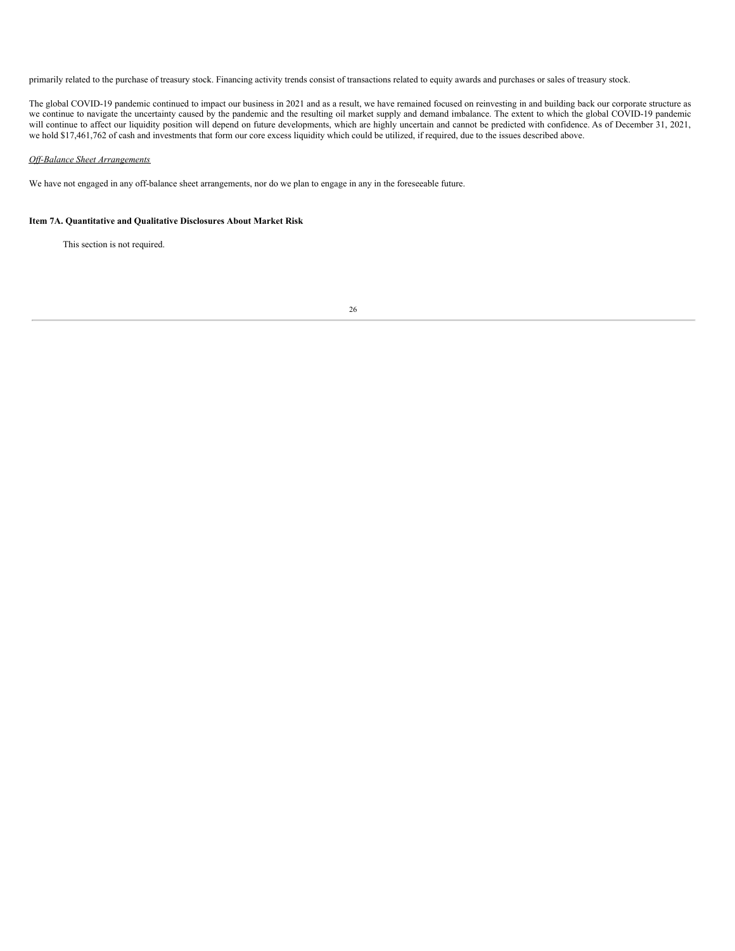primarily related to the purchase of treasury stock. Financing activity trends consist of transactions related to equity awards and purchases or sales of treasury stock.

The global COVID-19 pandemic continued to impact our business in 2021 and as a result, we have remained focused on reinvesting in and building back our corporate structure as we continue to navigate the uncertainty caused by the pandemic and the resulting oil market supply and demand imbalance. The extent to which the global COVID-19 pandemic will continue to affect our liquidity position will depend on future developments, which are highly uncertain and cannot be predicted with confidence. As of December 31, 2021, we hold \$17,461,762 of cash and investments that form our core excess liquidity which could be utilized, if required, due to the issues described above.

## *Of -Balance Sheet Arrangements*

We have not engaged in any off-balance sheet arrangements, nor do we plan to engage in any in the foreseeable future.

### <span id="page-25-0"></span>**Item 7A. Quantitative and Qualitative Disclosures About Market Risk**

<span id="page-25-1"></span>This section is not required.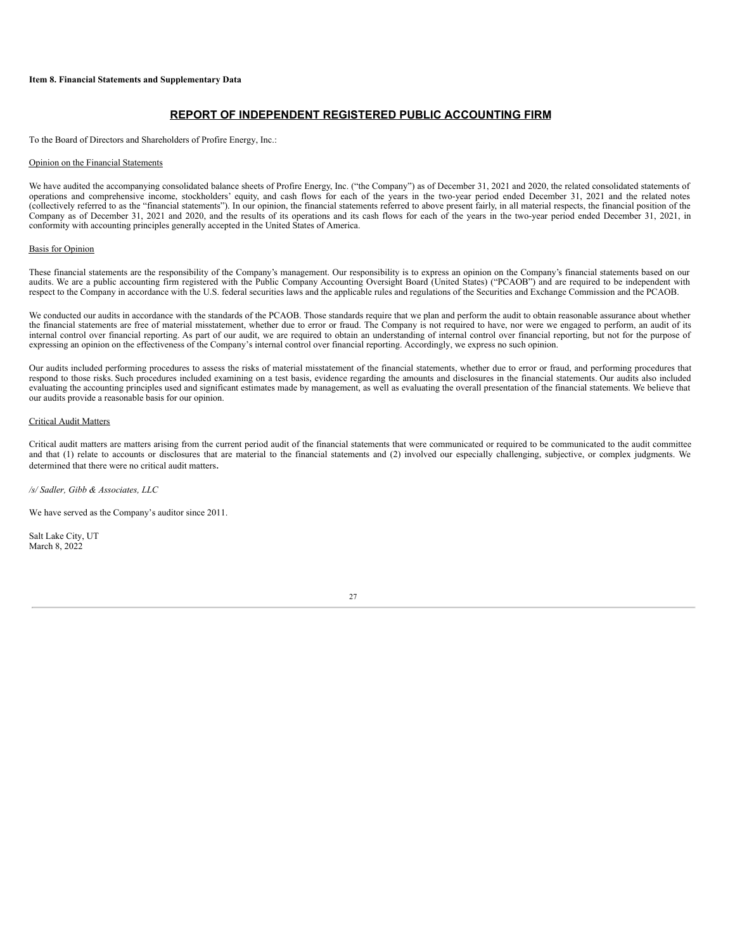## **REPORT OF INDEPENDENT REGISTERED PUBLIC ACCOUNTING FIRM**

To the Board of Directors and Shareholders of Profire Energy, Inc.:

#### Opinion on the Financial Statements

We have audited the accompanying consolidated balance sheets of Profire Energy, Inc. ("the Company") as of December 31, 2021 and 2020, the related consolidated statements of operations and comprehensive income, stockholders' equity, and cash flows for each of the years in the two-year period ended December 31, 2021 and the related notes (collectively referred to as the "financial statements"). In our opinion, the financial statements referred to above present fairly, in all material respects, the financial position of the Company as of December 31, 2021 and 2020, and the results of its operations and its cash flows for each of the years in the two-year period ended December 31, 2021, in conformity with accounting principles generally accepted in the United States of America.

### Basis for Opinion

These financial statements are the responsibility of the Company's management. Our responsibility is to express an opinion on the Company's financial statements based on our audits. We are a public accounting firm registered with the Public Company Accounting Oversight Board (United States) ("PCAOB") and are required to be independent with respect to the Company in accordance with the U.S. federal securities laws and the applicable rules and regulations of the Securities and Exchange Commission and the PCAOB.

We conducted our audits in accordance with the standards of the PCAOB. Those standards require that we plan and perform the audit to obtain reasonable assurance about whether the financial statements are free of material misstatement, whether due to error or fraud. The Company is not required to have, nor were we engaged to perform, an audit of its internal control over financial reporting. As part of our audit, we are required to obtain an understanding of internal control over financial reporting, but not for the purpose of expressing an opinion on the effectiveness of the Company's internal control over financial reporting. Accordingly, we express no such opinion.

Our audits included performing procedures to assess the risks of material misstatement of the financial statements, whether due to error or fraud, and performing procedures that respond to those risks. Such procedures included examining on a test basis, evidence regarding the amounts and disclosures in the financial statements. Our audits also included evaluating the accounting principles used and significant estimates made by management, as well as evaluating the overall presentation of the financial statements. We believe that our audits provide a reasonable basis for our opinion.

### Critical Audit Matters

Critical audit matters are matters arising from the current period audit of the financial statements that were communicated or required to be communicated to the audit committee and that (1) relate to accounts or disclosures that are material to the financial statements and (2) involved our especially challenging, subjective, or complex judgments. We determined that there were no critical audit matters.

*/s/ Sadler, Gibb & Associates, LLC*

We have served as the Company's auditor since 2011.

Salt Lake City, UT March 8, 2022

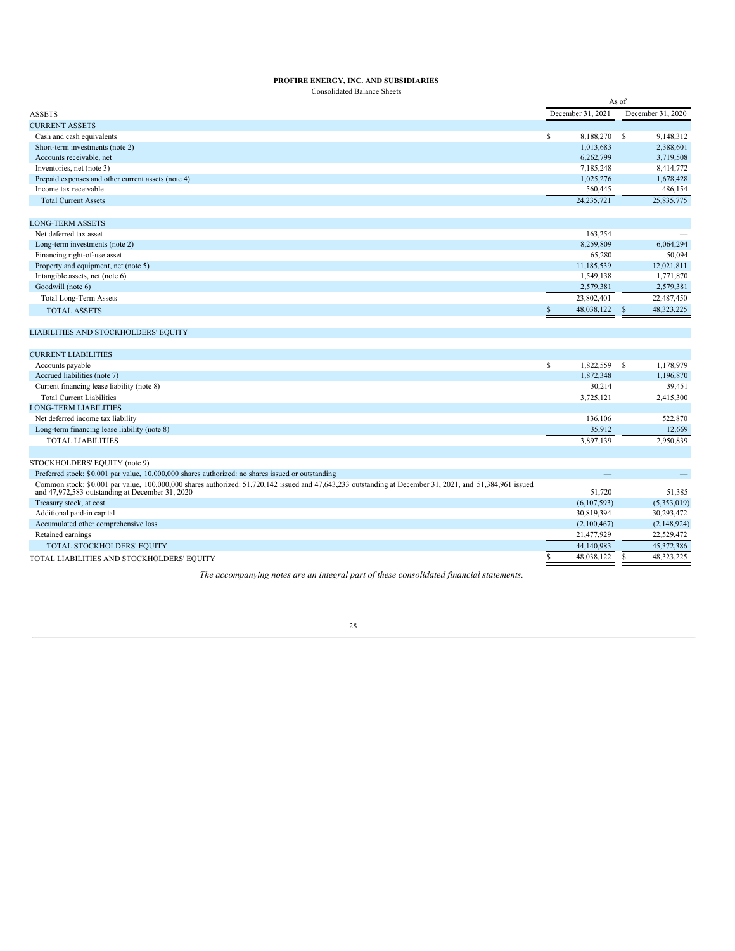# **PROFIRE ENERGY, INC. AND SUBSIDIARIES**

Consolidated Balance Sheets

|                                                                                                                                                                                                             |             |                   | As of         |                   |
|-------------------------------------------------------------------------------------------------------------------------------------------------------------------------------------------------------------|-------------|-------------------|---------------|-------------------|
| <b>ASSETS</b>                                                                                                                                                                                               |             | December 31, 2021 |               | December 31, 2020 |
| <b>CURRENT ASSETS</b>                                                                                                                                                                                       |             |                   |               |                   |
| Cash and cash equivalents                                                                                                                                                                                   | $\mathbb S$ | 8,188,270         | -S            | 9,148,312         |
| Short-term investments (note 2)                                                                                                                                                                             |             | 1,013,683         |               | 2,388,601         |
| Accounts receivable, net                                                                                                                                                                                    |             | 6,262,799         |               | 3,719,508         |
| Inventories, net (note 3)                                                                                                                                                                                   |             | 7,185,248         |               | 8,414,772         |
| Prepaid expenses and other current assets (note 4)                                                                                                                                                          |             | 1,025,276         |               | 1,678,428         |
| Income tax receivable                                                                                                                                                                                       |             | 560,445           |               | 486,154           |
| <b>Total Current Assets</b>                                                                                                                                                                                 |             | 24.235.721        |               | 25,835,775        |
| <b>LONG-TERM ASSETS</b>                                                                                                                                                                                     |             |                   |               |                   |
| Net deferred tax asset                                                                                                                                                                                      |             | 163,254           |               |                   |
| Long-term investments (note 2)                                                                                                                                                                              |             | 8,259,809         |               | 6,064,294         |
| Financing right-of-use asset                                                                                                                                                                                |             | 65,280            |               | 50,094            |
| Property and equipment, net (note 5)                                                                                                                                                                        |             | 11,185,539        |               | 12,021,811        |
| Intangible assets, net (note 6)                                                                                                                                                                             |             | 1,549,138         |               | 1,771,870         |
| Goodwill (note 6)                                                                                                                                                                                           |             | 2,579,381         |               | 2,579,381         |
| <b>Total Long-Term Assets</b>                                                                                                                                                                               |             | 23,802,401        |               | 22,487,450        |
| <b>TOTAL ASSETS</b>                                                                                                                                                                                         | S           | 48,038,122        | $\mathbb{S}$  | 48,323,225        |
| LIABILITIES AND STOCKHOLDERS' EQUITY                                                                                                                                                                        |             |                   |               |                   |
| <b>CURRENT LIABILITIES</b>                                                                                                                                                                                  |             |                   |               |                   |
| Accounts payable                                                                                                                                                                                            | $\mathbb S$ | 1,822,559         | <sup>\$</sup> | 1,178,979         |
| Accrued liabilities (note 7)                                                                                                                                                                                |             | 1,872,348         |               | 1,196,870         |
| Current financing lease liability (note 8)                                                                                                                                                                  |             | 30,214            |               | 39,451            |
| <b>Total Current Liabilities</b>                                                                                                                                                                            |             | 3,725,121         |               | 2,415,300         |
| <b>LONG-TERM LIABILITIES</b>                                                                                                                                                                                |             |                   |               |                   |
| Net deferred income tax liability                                                                                                                                                                           |             | 136,106           |               | 522,870           |
| Long-term financing lease liability (note 8)                                                                                                                                                                |             | 35,912            |               | 12,669            |
| <b>TOTAL LIABILITIES</b>                                                                                                                                                                                    |             | 3,897,139         |               | 2,950,839         |
| STOCKHOLDERS' EQUITY (note 9)                                                                                                                                                                               |             |                   |               |                   |
| Preferred stock: \$0.001 par value, 10,000,000 shares authorized: no shares issued or outstanding                                                                                                           |             |                   |               |                   |
| Common stock: \$0.001 par value, 100,000,000 shares authorized: 51,720,142 issued and 47,643,233 outstanding at December 31, 2021, and 51,384,961 issued<br>and 47,972,583 outstanding at December 31, 2020 |             | 51,720            |               | 51,385            |
| Treasury stock, at cost                                                                                                                                                                                     |             | (6,107,593)       |               | (5,353,019)       |
| Additional paid-in capital                                                                                                                                                                                  |             | 30,819,394        |               | 30,293,472        |
| Accumulated other comprehensive loss                                                                                                                                                                        |             | (2,100,467)       |               | (2,148,924)       |
| Retained earnings                                                                                                                                                                                           |             | 21,477,929        |               | 22,529,472        |
| TOTAL STOCKHOLDERS' EQUITY                                                                                                                                                                                  |             | 44.140.983        |               | 45.372.386        |
| TOTAL LIABILITIES AND STOCKHOLDERS' EQUITY                                                                                                                                                                  | S           | 48,038,122        | S             | 48,323,225        |
|                                                                                                                                                                                                             |             |                   |               |                   |

*The accompanying notes are an integral part of these consolidated financial statements.*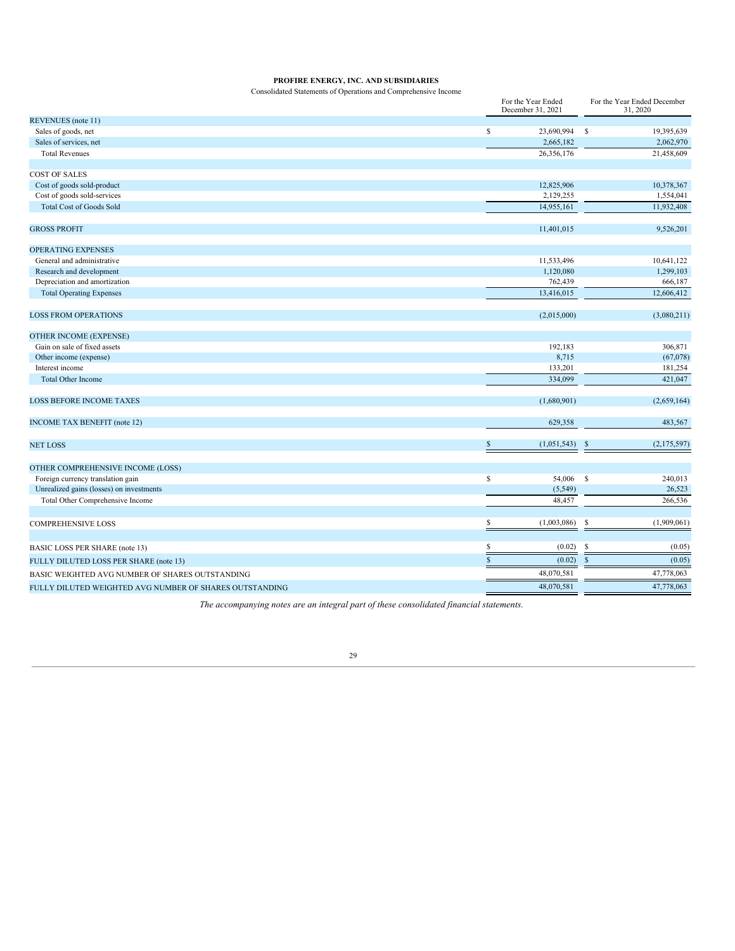# **PROFIRE ENERGY, INC. AND SUBSIDIARIES**

Consolidated Statements of Operations and Comprehensive Income

|                                                                               | For the Year Ended<br>December 31, 2021 |              | For the Year Ended December<br>31, 2020 |
|-------------------------------------------------------------------------------|-----------------------------------------|--------------|-----------------------------------------|
| <b>REVENUES</b> (note 11)                                                     |                                         |              |                                         |
| Sales of goods, net                                                           | S.<br>23,690,994                        | - \$         | 19,395,639                              |
| Sales of services, net                                                        | 2,665,182                               |              | 2,062,970                               |
| <b>Total Revenues</b>                                                         | 26,356,176                              |              | 21,458,609                              |
| <b>COST OF SALES</b>                                                          |                                         |              |                                         |
| Cost of goods sold-product                                                    | 12,825,906                              |              | 10,378,367                              |
| Cost of goods sold-services                                                   | 2,129,255                               |              | 1,554,041                               |
| <b>Total Cost of Goods Sold</b>                                               | 14,955,161                              |              | 11,932,408                              |
| <b>GROSS PROFIT</b>                                                           | 11,401,015                              |              | 9,526,201                               |
| <b>OPERATING EXPENSES</b>                                                     |                                         |              |                                         |
| General and administrative                                                    | 11,533,496                              |              | 10,641,122                              |
| Research and development                                                      | 1,120,080                               |              | 1,299,103                               |
| Depreciation and amortization                                                 | 762,439                                 |              | 666,187                                 |
| <b>Total Operating Expenses</b>                                               | 13,416,015                              |              | 12,606,412                              |
| <b>LOSS FROM OPERATIONS</b>                                                   | (2,015,000)                             |              | (3,080,211)                             |
| OTHER INCOME (EXPENSE)                                                        |                                         |              |                                         |
| Gain on sale of fixed assets                                                  | 192,183                                 |              | 306,871                                 |
| Other income (expense)                                                        | 8,715                                   |              | (67,078)                                |
| Interest income                                                               | 133,201                                 |              | 181,254                                 |
| <b>Total Other Income</b>                                                     | 334,099                                 |              | 421,047                                 |
| <b>LOSS BEFORE INCOME TAXES</b>                                               | (1,680,901)                             |              | (2,659,164)                             |
| <b>INCOME TAX BENEFIT (note 12)</b>                                           | 629,358                                 |              | 483,567                                 |
| <b>NET LOSS</b>                                                               | (1,051,543)<br>\$                       | - \$         | (2,175,597)                             |
|                                                                               |                                         |              |                                         |
| OTHER COMPREHENSIVE INCOME (LOSS)                                             | S                                       |              |                                         |
| Foreign currency translation gain<br>Unrealized gains (losses) on investments | (5, 549)                                | 54,006 \$    | 240,013<br>26,523                       |
|                                                                               | 48,457                                  |              | 266,536                                 |
| Total Other Comprehensive Income                                              |                                         |              |                                         |
| <b>COMPREHENSIVE LOSS</b>                                                     | \$<br>(1,003,086)                       | -S           | (1,909,061)                             |
| BASIC LOSS PER SHARE (note 13)                                                | \$<br>(0.02)                            | $\mathbb{S}$ | (0.05)                                  |
| FULLY DILUTED LOSS PER SHARE (note 13)                                        | $\mathbf S$<br>(0.02)                   | $\mathbb{S}$ | (0.05)                                  |
| BASIC WEIGHTED AVG NUMBER OF SHARES OUTSTANDING                               | 48,070,581                              |              | 47,778,063                              |
| FULLY DILUTED WEIGHTED AVG NUMBER OF SHARES OUTSTANDING                       | 48,070,581                              |              | 47,778,063                              |

*The accompanying notes are an integral part of these consolidated financial statements.*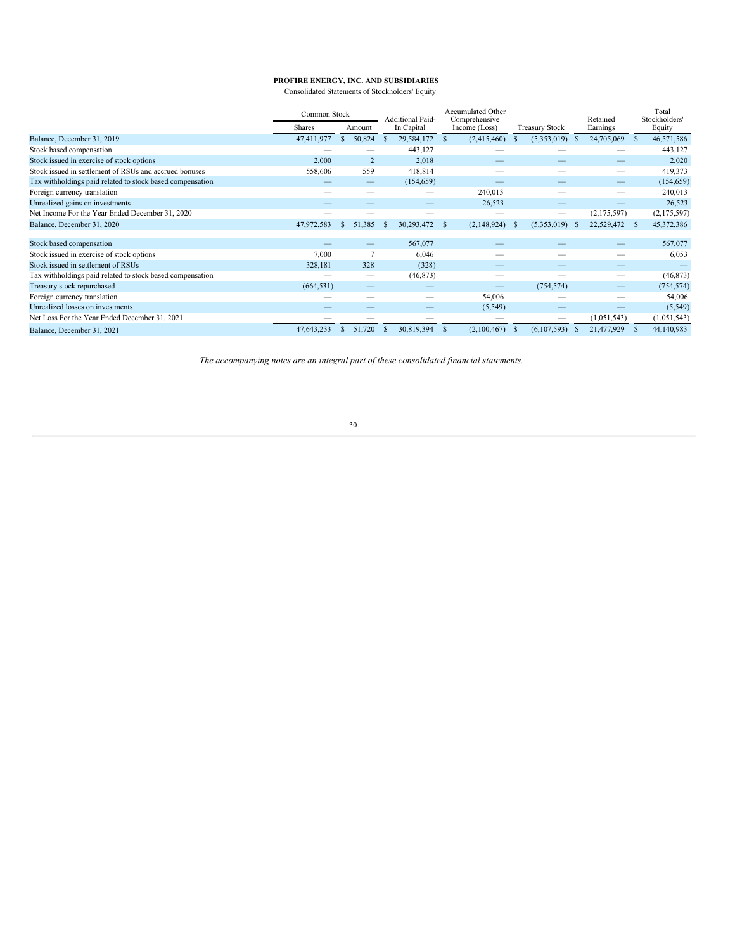### **PROFIRE ENERGY, INC. AND SUBSIDIARIES** Consolidated Statements of Stockholders' Equity

|                                                           | Common Stock             |              |                          |     | Additional Paid-         |              | <b>Accumulated Other</b><br>Comprehensive |      |                       | Retained    |    | Total<br>Stockholders' |
|-----------------------------------------------------------|--------------------------|--------------|--------------------------|-----|--------------------------|--------------|-------------------------------------------|------|-----------------------|-------------|----|------------------------|
|                                                           | <b>Shares</b>            |              | Amount                   |     | In Capital               |              | Income (Loss)                             |      | <b>Treasury Stock</b> | Earnings    |    | Equity                 |
| Balance, December 31, 2019                                | 47,411,977               | <sup>S</sup> | 50,824                   | -8  | 29,584,172               | <sup>S</sup> | (2,415,460)                               |      | (5,353,019)           | 24,705,069  | -S | 46,571,586             |
| Stock based compensation                                  |                          |              |                          |     | 443,127                  |              |                                           |      |                       |             |    | 443,127                |
| Stock issued in exercise of stock options                 | 2,000                    |              | $\overline{2}$           |     | 2,018                    |              |                                           |      |                       |             |    | 2,020                  |
| Stock issued in settlement of RSUs and accrued bonuses    | 558,606                  |              | 559                      |     | 418,814                  |              |                                           |      |                       | -           |    | 419,373                |
| Tax withholdings paid related to stock based compensation |                          |              |                          |     | (154, 659)               |              |                                           |      |                       |             |    | (154, 659)             |
| Foreign currency translation                              |                          |              |                          |     |                          |              | 240,013                                   |      |                       |             |    | 240,013                |
| Unrealized gains on investments                           |                          |              |                          |     |                          |              | 26,523                                    |      |                       |             |    | 26,523                 |
| Net Income For the Year Ended December 31, 2020           | $\overline{\phantom{a}}$ |              |                          |     | $\overline{\phantom{a}}$ |              |                                           |      |                       | (2,175,597) |    | (2,175,597)            |
| Balance, December 31, 2020                                | 47,972,583               | <sup>S</sup> | 51,385                   | -SS | 30,293,472               | <sup>S</sup> | (2,148,924)                               | - 55 | (5,353,019)           | 22,529,472  | -8 | 45,372,386             |
| Stock based compensation                                  |                          |              |                          |     | 567,077                  |              |                                           |      |                       |             |    | 567,077                |
| Stock issued in exercise of stock options                 | 7,000                    |              |                          |     | 6,046                    |              |                                           |      |                       |             |    | 6,053                  |
| Stock issued in settlement of RSUs                        | 328,181                  |              | 328                      |     | (328)                    |              |                                           |      |                       |             |    |                        |
| Tax withholdings paid related to stock based compensation |                          |              | $\overline{\phantom{a}}$ |     | (46, 873)                |              |                                           |      |                       |             |    | (46, 873)              |
| Treasury stock repurchased                                | (664, 531)               |              |                          |     |                          |              | $\qquad \qquad$                           |      | (754, 574)            |             |    | (754, 574)             |
| Foreign currency translation                              | _                        |              | __                       |     | -                        |              | 54,006                                    |      |                       |             |    | 54,006                 |
| Unrealized losses on investments                          |                          |              |                          |     |                          |              | (5, 549)                                  |      |                       |             |    | (5, 549)               |
| Net Loss For the Year Ended December 31, 2021             |                          |              |                          |     |                          |              |                                           |      |                       | (1,051,543) |    | (1,051,543)            |
| Balance, December 31, 2021                                | 47,643,233               |              | 51,720                   |     | 30,819,394               |              | (2,100,467)                               |      | (6,107,593)           | 21,477,929  |    | 44,140,983             |

*The accompanying notes are an integral part of these consolidated financial statements.*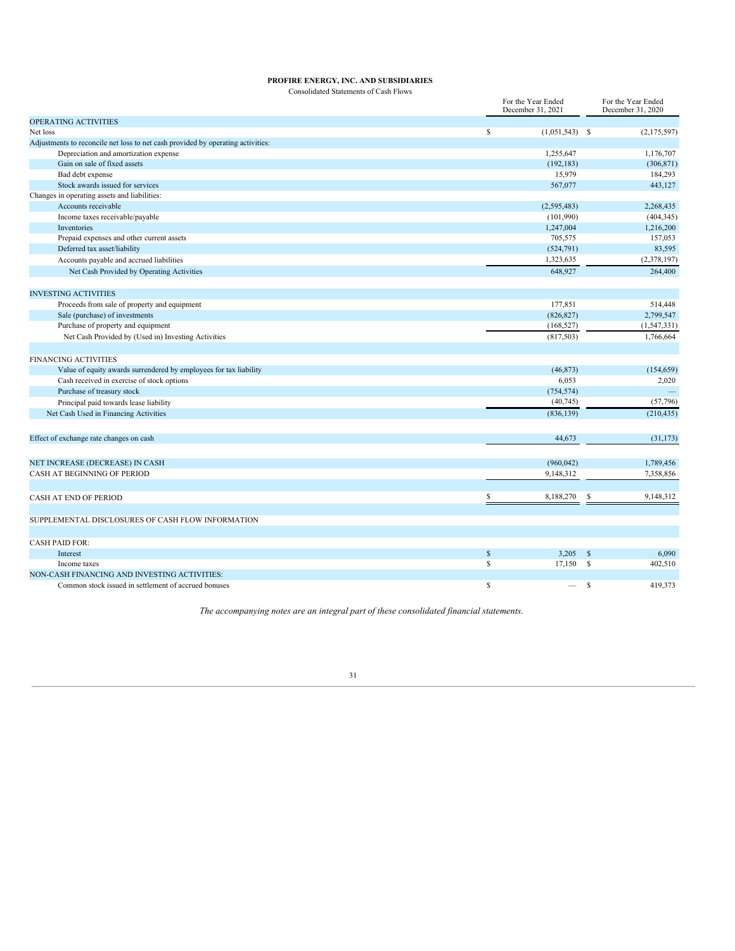#### **PROFIRE ENERGY, INC. AND SUBSIDIARIES**

Consolidated Statements of Cash Flows

|                                                                                 | For the Year Ended<br>December 31, 2021 |                  |               | For the Year Ended<br>December 31, 2020 |
|---------------------------------------------------------------------------------|-----------------------------------------|------------------|---------------|-----------------------------------------|
| OPERATING ACTIVITIES                                                            |                                         |                  |               |                                         |
| Net loss                                                                        | S                                       | $(1,051,543)$ \$ |               | (2,175,597)                             |
| Adjustments to reconcile net loss to net cash provided by operating activities: |                                         |                  |               |                                         |
| Depreciation and amortization expense                                           | 1,255,647                               |                  |               | 1,176,707                               |
| Gain on sale of fixed assets                                                    |                                         | (192, 183)       |               | (306, 871)                              |
| Bad debt expense                                                                |                                         | 15,979           |               | 184,293                                 |
| Stock awards issued for services                                                |                                         | 567,077          |               | 443,127                                 |
| Changes in operating assets and liabilities:                                    |                                         |                  |               |                                         |
| Accounts receivable                                                             | (2,595,483)                             |                  |               | 2,268,435                               |
| Income taxes receivable/payable                                                 | (101,990)                               |                  |               | (404, 345)                              |
| Inventories                                                                     | 1,247,004                               |                  |               | 1,216,200                               |
| Prepaid expenses and other current assets                                       |                                         | 705,575          |               | 157,053                                 |
| Deferred tax asset/liability                                                    |                                         | (524, 791)       |               | 83,595                                  |
| Accounts payable and accrued liabilities                                        | 1,323,635                               |                  |               | (2,378,197)                             |
| Net Cash Provided by Operating Activities                                       |                                         | 648,927          |               | 264,400                                 |
|                                                                                 |                                         |                  |               |                                         |
| <b>INVESTING ACTIVITIES</b>                                                     |                                         |                  |               |                                         |
| Proceeds from sale of property and equipment                                    |                                         | 177,851          |               | 514,448                                 |
| Sale (purchase) of investments                                                  |                                         | (826, 827)       |               | 2,799,547                               |
| Purchase of property and equipment                                              | (168, 527)                              |                  |               | (1, 547, 331)                           |
| Net Cash Provided by (Used in) Investing Activities                             |                                         | (817, 503)       |               | 1,766,664                               |
| <b>FINANCING ACTIVITIES</b>                                                     |                                         |                  |               |                                         |
|                                                                                 |                                         |                  |               |                                         |
| Value of equity awards surrendered by employees for tax liability               |                                         | (46, 873)        |               | (154, 659)                              |
| Cash received in exercise of stock options                                      |                                         | 6,053            |               | 2,020                                   |
| Purchase of treasury stock                                                      |                                         | (754, 574)       |               |                                         |
| Principal paid towards lease liability                                          |                                         | (40,745)         |               | (57,796)                                |
| Net Cash Used in Financing Activities                                           |                                         | (836, 139)       |               | (210, 435)                              |
| Effect of exchange rate changes on cash                                         |                                         | 44,673           |               | (31, 173)                               |
|                                                                                 |                                         |                  |               |                                         |
| NET INCREASE (DECREASE) IN CASH                                                 | (960, 042)                              |                  |               | 1,789,456                               |
| CASH AT BEGINNING OF PERIOD                                                     | 9,148,312                               |                  |               | 7,358,856                               |
|                                                                                 |                                         |                  |               |                                         |
| <b>CASH AT END OF PERIOD</b>                                                    | \$.<br>8,188,270                        |                  | <b>S</b>      | 9,148,312                               |
|                                                                                 |                                         |                  |               |                                         |
| SUPPLEMENTAL DISCLOSURES OF CASH FLOW INFORMATION                               |                                         |                  |               |                                         |
|                                                                                 |                                         |                  |               |                                         |
| <b>CASH PAID FOR:</b>                                                           |                                         |                  |               |                                         |
| Interest                                                                        | \$                                      | 3,205            | $\mathcal{S}$ | 6,090                                   |
| Income taxes                                                                    | $\mathbf S$                             | 17,150           | <sup>S</sup>  | 402,510                                 |
| NON-CASH FINANCING AND INVESTING ACTIVITIES:                                    |                                         |                  |               |                                         |
| Common stock issued in settlement of accrued bonuses                            | $\mathbf S$                             |                  | S             | 419,373                                 |

<span id="page-30-0"></span>*The accompanying notes are an integral part of these consolidated financial statements.*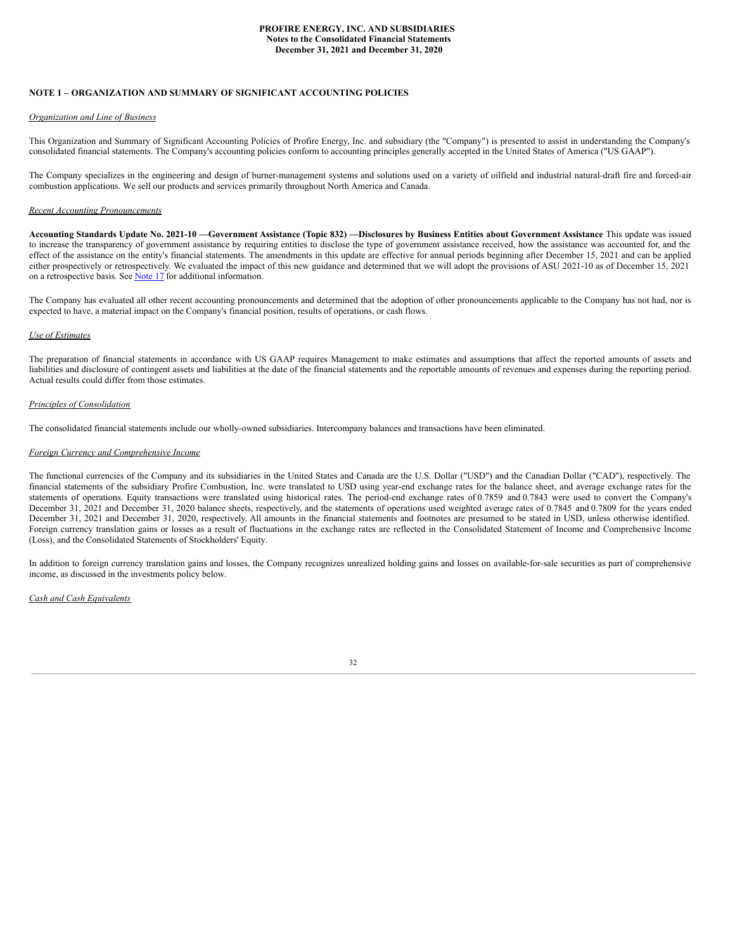### **NOTE 1 – ORGANIZATION AND SUMMARY OF SIGNIFICANT ACCOUNTING POLICIES**

### *Organization and Line of Business*

This Organization and Summary of Significant Accounting Policies of Profire Energy, Inc. and subsidiary (the "Company") is presented to assist in understanding the Company's consolidated financial statements. The Company's accounting policies conform to accounting principles generally accepted in the United States of America ("US GAAP").

The Company specializes in the engineering and design of burner-management systems and solutions used on a variety of oilfield and industrial natural-draft fire and forced-air combustion applications. We sell our products and services primarily throughout North America and Canada.

#### *Recent Accounting Pronouncements*

Accounting Standards Update No. 2021-10 -Government Assistance (Topic 832) -Disclosures by Business Entities about Government Assistance This update was issued to increase the transparency of government assistance by requiring entities to disclose the type of government assistance received, how the assistance was accounted for, and the effect of the assistance on the entity's financial statements. The amendments in this update are effective for annual periods beginning after December 15, 2021 and can be applied either prospectively or retrospectively. We evaluated the impact of this new guidance and determined that we will adopt the provisions of ASU 2021-10 as of December 15, 2021 on a retrospective basis. See [Note](#page-51-0) 17 for additional information.

The Company has evaluated all other recent accounting pronouncements and determined that the adoption of other pronouncements applicable to the Company has not had, nor is expected to have, a material impact on the Company's financial position, results of operations, or cash flows.

### *Use of Estimates*

The preparation of financial statements in accordance with US GAAP requires Management to make estimates and assumptions that affect the reported amounts of assets and liabilities and disclosure of contingent assets and liabilities at the date of the financial statements and the reportable amounts of revenues and expenses during the reporting period. Actual results could differ from those estimates.

## *Principles of Consolidation*

The consolidated financial statements include our wholly-owned subsidiaries. Intercompany balances and transactions have been eliminated.

#### *Foreign Currency and Comprehensive Income*

The functional currencies of the Company and its subsidiaries in the United States and Canada are the U.S. Dollar ("USD") and the Canadian Dollar ("CAD"), respectively. The financial statements of the subsidiary Profire Combustion, Inc. were translated to USD using year-end exchange rates for the balance sheet, and average exchange rates for the statements of operations. Equity transactions were translated using historical rates. The period-end exchange rates of 0.7859 and 0.7843 were used to convert the Company's December 31, 2021 and December 31, 2020 balance sheets, respectively, and the statements of operations used weighted average rates of 0.7845 and 0.7809 for the years ended December 31, 2021 and December 31, 2020, respectively. All amounts in the financial statements and footnotes are presumed to be stated in USD, unless otherwise identified. Foreign currency translation gains or losses as a result of fluctuations in the exchange rates are reflected in the Consolidated Statement of Income and Comprehensive Income (Loss), and the Consolidated Statements of Stockholders' Equity.

In addition to foreign currency translation gains and losses, the Company recognizes unrealized holding gains and losses on available-for-sale securities as part of comprehensive income, as discussed in the investments policy below.

*Cash and Cash Equivalents*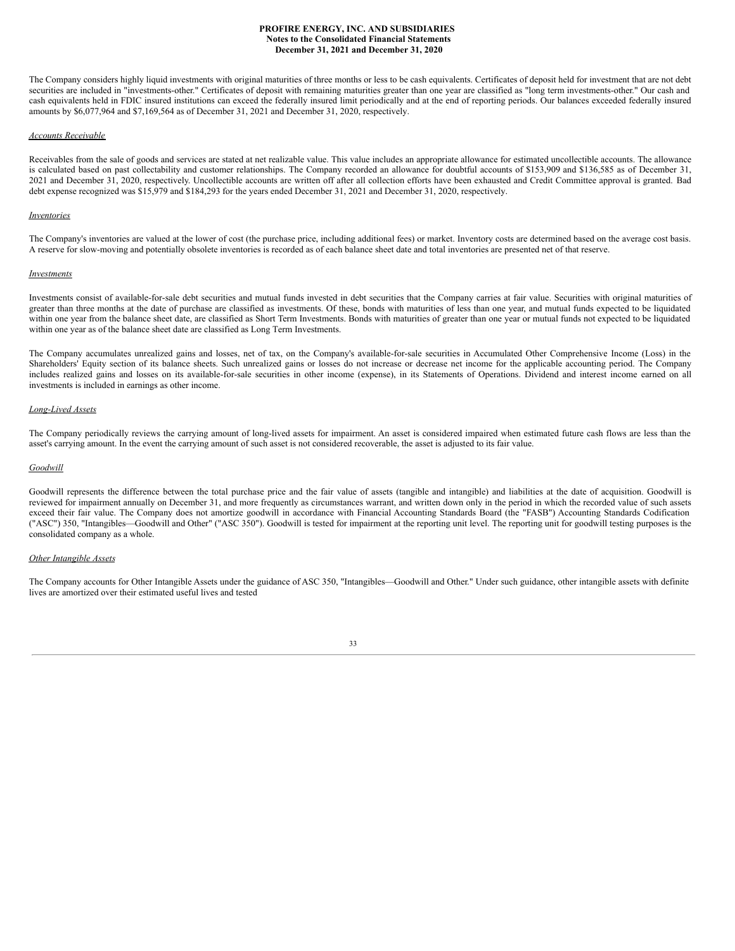The Company considers highly liquid investments with original maturities of three months or less to be cash equivalents. Certificates of deposit held for investment that are not debt securities are included in "investments-other." Certificates of deposit with remaining maturities greater than one year are classified as "long term investments-other." Our cash and cash equivalents held in FDIC insured institutions can exceed the federally insured limit periodically and at the end of reporting periods. Our balances exceeded federally insured amounts by \$6,077,964 and \$7,169,564 as of December 31, 2021 and December 31, 2020, respectively.

#### *Accounts Receivable*

Receivables from the sale of goods and services are stated at net realizable value. This value includes an appropriate allowance for estimated uncollectible accounts. The allowance is calculated based on past collectability and customer relationships. The Company recorded an allowance for doubtful accounts of \$153,909 and \$136,585 as of December 31, 2021 and December 31, 2020, respectively. Uncollectible accounts are written off after all collection efforts have been exhausted and Credit Committee approval is granted. Bad debt expense recognized was \$15,979 and \$184,293 for the years ended December 31, 2021 and December 31, 2020, respectively.

#### *Inventories*

The Company's inventories are valued at the lower of cost (the purchase price, including additional fees) or market. Inventory costs are determined based on the average cost basis. A reserve for slow-moving and potentially obsolete inventories is recorded as of each balance sheet date and total inventories are presented net of that reserve.

#### *Investments*

Investments consist of available-for-sale debt securities and mutual funds invested in debt securities that the Company carries at fair value. Securities with original maturities of greater than three months at the date of purchase are classified as investments. Of these, bonds with maturities of less than one year, and mutual funds expected to be liquidated within one year from the balance sheet date, are classified as Short Term Investments. Bonds with maturities of greater than one year or mutual funds not expected to be liquidated within one year as of the balance sheet date are classified as Long Term Investments.

The Company accumulates unrealized gains and losses, net of tax, on the Company's available-for-sale securities in Accumulated Other Comprehensive Income (Loss) in the Shareholders' Equity section of its balance sheets. Such unrealized gains or losses do not increase or decrease net income for the applicable accounting period. The Company includes realized gains and losses on its available-for-sale securities in other income (expense), in its Statements of Operations. Dividend and interest income earned on all investments is included in earnings as other income.

### *Long-Lived Assets*

The Company periodically reviews the carrying amount of long-lived assets for impairment. An asset is considered impaired when estimated future cash flows are less than the asset's carrying amount. In the event the carrying amount of such asset is not considered recoverable, the asset is adjusted to its fair value.

### *Goodwill*

Goodwill represents the difference between the total purchase price and the fair value of assets (tangible and intangible) and liabilities at the date of acquisition. Goodwill is reviewed for impairment annually on December 31, and more frequently as circumstances warrant, and written down only in the period in which the recorded value of such assets exceed their fair value. The Company does not amortize goodwill in accordance with Financial Accounting Standards Board (the "FASB") Accounting Standards Codification ("ASC") 350, "Intangibles—Goodwill and Other" ("ASC 350"). Goodwill is tested for impairment at the reporting unit level. The reporting unit for goodwill testing purposes is the consolidated company as a whole.

### *Other Intangible Assets*

The Company accounts for Other Intangible Assets under the guidance of ASC 350, "Intangibles—Goodwill and Other." Under such guidance, other intangible assets with definite lives are amortized over their estimated useful lives and tested

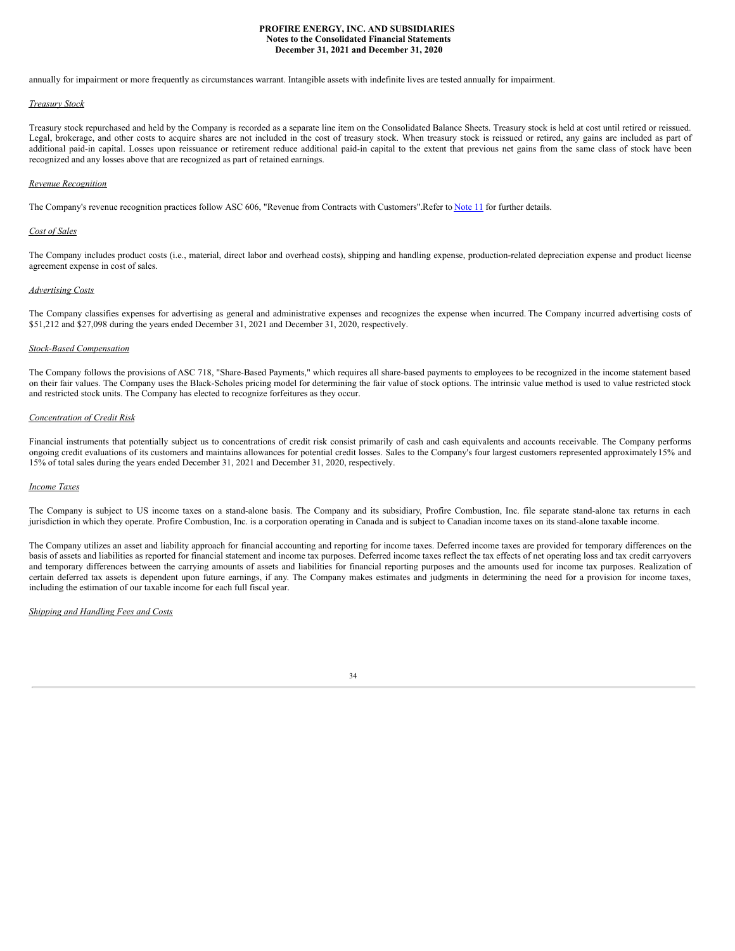annually for impairment or more frequently as circumstances warrant. Intangible assets with indefinite lives are tested annually for impairment.

### *Treasury Stock*

Treasury stock repurchased and held by the Company is recorded as a separate line item on the Consolidated Balance Sheets. Treasury stock is held at cost until retired or reissued. Legal, brokerage, and other costs to acquire shares are not included in the cost of treasury stock. When treasury stock is reissued or retired, any gains are included as part of additional paid-in capital. Losses upon reissuance or retirement reduce additional paid-in capital to the extent that previous net gains from the same class of stock have been recognized and any losses above that are recognized as part of retained earnings.

### *Revenue Recognition*

The Company's revenue recognition practices follow ASC 606, "Revenue from Contracts with Customers".Refer to [Note](#page-42-0) 11 for further details.

### *Cost of Sales*

The Company includes product costs (i.e., material, direct labor and overhead costs), shipping and handling expense, production-related depreciation expense and product license agreement expense in cost of sales.

#### *Advertising Costs*

The Company classifies expenses for advertising as general and administrative expenses and recognizes the expense when incurred. The Company incurred advertising costs of \$51,212 and \$27,098 during the years ended December 31, 2021 and December 31, 2020, respectively.

### *Stock-Based Compensation*

The Company follows the provisions of ASC 718, "Share-Based Payments," which requires all share-based payments to employees to be recognized in the income statement based on their fair values. The Company uses the Black-Scholes pricing model for determining the fair value of stock options. The intrinsic value method is used to value restricted stock and restricted stock units. The Company has elected to recognize forfeitures as they occur.

### *Concentration of Credit Risk*

Financial instruments that potentially subject us to concentrations of credit risk consist primarily of cash and cash equivalents and accounts receivable. The Company performs ongoing credit evaluations of its customers and maintains allowances for potential credit losses. Sales to the Company's four largest customers represented approximately 15% and 15% of total sales during the years ended December 31, 2021 and December 31, 2020, respectively.

#### *Income Taxes*

The Company is subject to US income taxes on a stand-alone basis. The Company and its subsidiary, Profire Combustion, Inc. file separate stand-alone tax returns in each jurisdiction in which they operate. Profire Combustion, Inc. is a corporation operating in Canada and is subject to Canadian income taxes on its stand-alone taxable income.

The Company utilizes an asset and liability approach for financial accounting and reporting for income taxes. Deferred income taxes are provided for temporary differences on the basis of assets and liabilities as reported for financial statement and income tax purposes. Deferred income taxes reflect the tax effects of net operating loss and tax credit carryovers and temporary differences between the carrying amounts of assets and liabilities for financial reporting purposes and the amounts used for income tax purposes. Realization of certain deferred tax assets is dependent upon future earnings, if any. The Company makes estimates and judgments in determining the need for a provision for income taxes, including the estimation of our taxable income for each full fiscal year.

### *Shipping and Handling Fees and Costs*

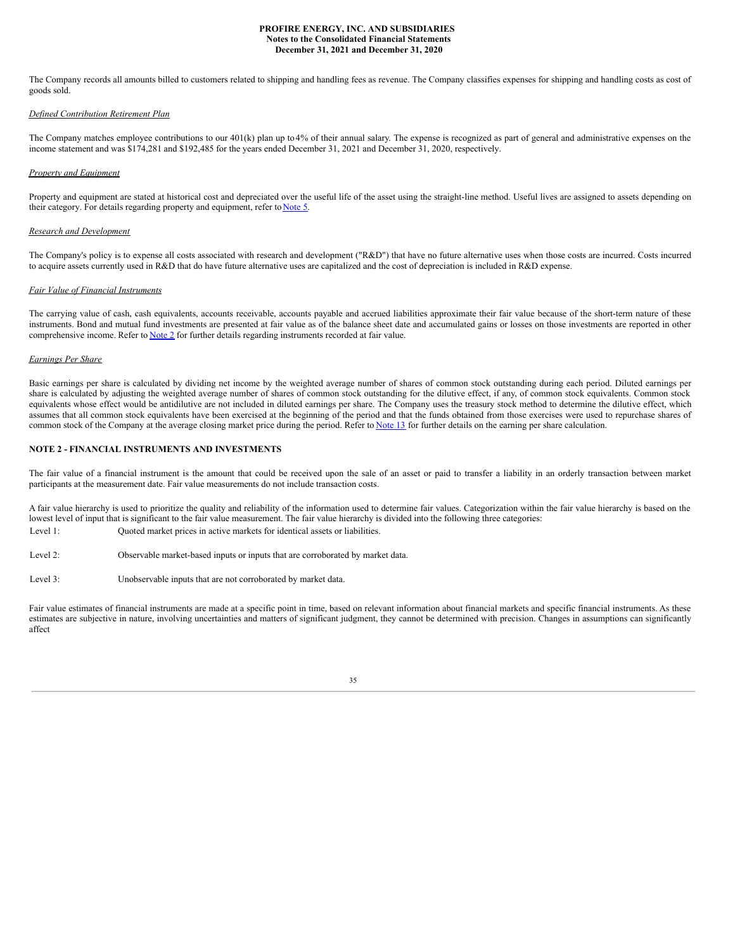The Company records all amounts billed to customers related to shipping and handling fees as revenue. The Company classifies expenses for shipping and handling costs as cost of goods sold.

### *Defined Contribution Retirement Plan*

The Company matches employee contributions to our 401(k) plan up to4% of their annual salary. The expense is recognized as part of general and administrative expenses on the income statement and was \$174,281 and \$192,485 for the years ended December 31, 2021 and December 31, 2020, respectively.

#### *Property and Equipment*

Property and equipment are stated at historical cost and depreciated over the useful life of the asset using the straight-line method. Useful lives are assigned to assets depending on their category. For details regarding property and equipment, refer to [Note](#page-36-0) 5.

### *Research and Development*

The Company's policy is to expense all costs associated with research and development ("R&D") that have no future alternative uses when those costs are incurred. Costs incurred to acquire assets currently used in R&D that do have future alternative uses are capitalized and the cost of depreciation is included in R&D expense.

### *Fair Value of Financial Instruments*

The carrying value of cash, cash equivalents, accounts receivable, accounts payable and accrued liabilities approximate their fair value because of the short-term nature of these instruments. Bond and mutual fund investments are presented at fair value as of the balance sheet date and accumulated gains or losses on those investments are reported in other comprehensive income. Refer to [Note](#page-34-0) 2 for further details regarding instruments recorded at fair value.

### *Earnings Per Share*

Basic earnings per share is calculated by dividing net income by the weighted average number of shares of common stock outstanding during each period. Diluted earnings per share is calculated by adjusting the weighted average number of shares of common stock outstanding for the dilutive effect, if any, of common stock equivalents. Common stock equivalents whose effect would be antidilutive are not included in diluted earnings per share. The Company uses the treasury stock method to determine the dilutive effect, which assumes that all common stock equivalents have been exercised at the beginning of the period and that the funds obtained from those exercises were used to repurchase shares of common stock of the Company at the average closing market price during the period. Refer to <u>[Note](#page-48-0) 1[3](#page-48-0)</u> for further details on the earning per share calculation.

### <span id="page-34-0"></span>**NOTE 2 - FINANCIAL INSTRUMENTS AND INVESTMENTS**

The fair value of a financial instrument is the amount that could be received upon the sale of an asset or paid to transfer a liability in an orderly transaction between market participants at the measurement date. Fair value measurements do not include transaction costs.

A fair value hierarchy is used to prioritize the quality and reliability of the information used to determine fair values. Categorization within the fair value hierarchy is based on the lowest level of input that is significant to the fair value measurement. The fair value hierarchy is divided into the following three categories: Level 1: Quoted market prices in active markets for identical assets or liabilities.

Level 2: Observable market-based inputs or inputs that are corroborated by market data.

Level 3: Unobservable inputs that are not corroborated by market data.

Fair value estimates of financial instruments are made at a specific point in time, based on relevant information about financial markets and specific financial instruments. As these estimates are subjective in nature, involving uncertainties and matters of significant judgment, they cannot be determined with precision. Changes in assumptions can significantly affect

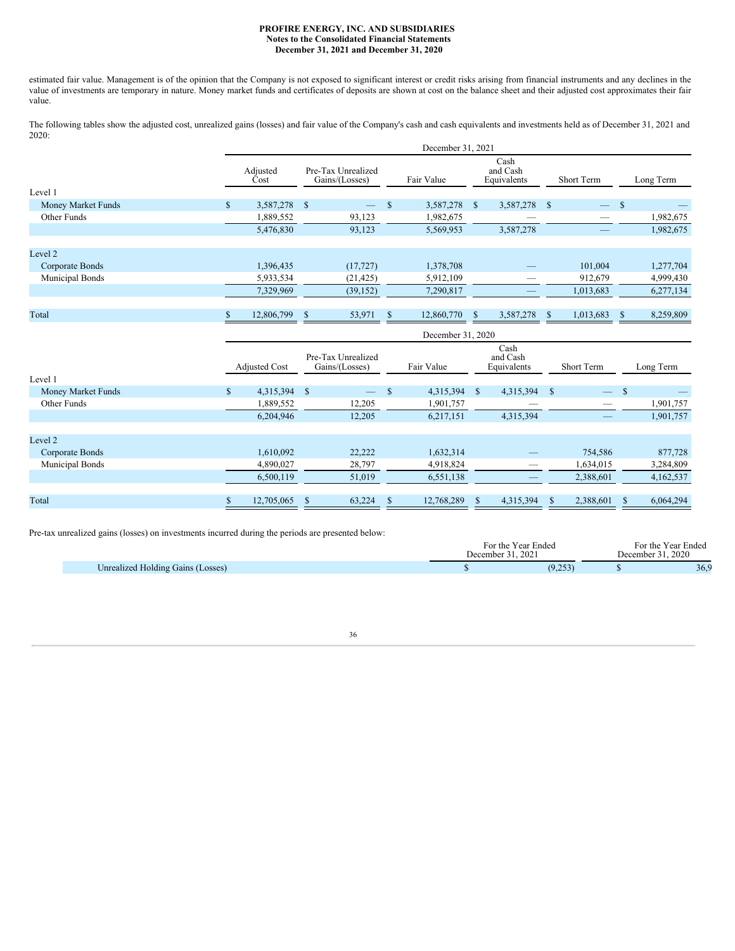estimated fair value. Management is of the opinion that the Company is not exposed to significant interest or credit risks arising from financial instruments and any declines in the value of investments are temporary in nature. Money market funds and certificates of deposits are shown at cost on the balance sheet and their adjusted cost approximates their fair value.

The following tables show the adjusted cost, unrealized gains (losses) and fair value of the Company's cash and cash equivalents and investments held as of December 31, 2021 and 2020:

|                        |              |                      |                    |                                      |               | December 31, 2021 |               |                                 |               |                   |               |           |
|------------------------|--------------|----------------------|--------------------|--------------------------------------|---------------|-------------------|---------------|---------------------------------|---------------|-------------------|---------------|-----------|
|                        |              | Adjusted<br>Cost     |                    | Pre-Tax Unrealized<br>Gains/(Losses) |               | Fair Value        |               | Cash<br>and Cash<br>Equivalents |               | Short Term        |               | Long Term |
| Level 1                |              |                      |                    |                                      |               |                   |               |                                 |               |                   |               |           |
| Money Market Funds     | $\mathbb{S}$ | 3,587,278            | $\mathcal{S}$      |                                      | $\mathcal{S}$ | 3,587,278         | $\mathcal{S}$ | 3,587,278                       | $\mathcal{S}$ |                   | $\mathcal{S}$ |           |
| Other Funds            |              | 1,889,552            |                    | 93,123                               |               | 1,982,675         |               |                                 |               |                   |               | 1,982,675 |
|                        |              | 5,476,830            |                    | 93,123                               |               | 5,569,953         |               | 3,587,278                       |               |                   |               | 1,982,675 |
| Level <sub>2</sub>     |              |                      |                    |                                      |               |                   |               |                                 |               |                   |               |           |
| <b>Corporate Bonds</b> |              | 1,396,435            |                    | (17, 727)                            |               | 1,378,708         |               |                                 |               | 101,004           |               | 1,277,704 |
| Municipal Bonds        |              | 5,933,534            |                    | (21, 425)                            |               | 5,912,109         |               |                                 |               | 912,679           |               | 4,999,430 |
|                        |              | 7,329,969            |                    | (39, 152)                            |               | 7,290,817         |               |                                 |               | 1,013,683         |               | 6,277,134 |
| Total                  | \$           | 12,806,799           | \$                 | 53,971                               | <sup>\$</sup> | 12,860,770        | <sup>\$</sup> | 3,587,278                       | -S            | 1,013,683         | -S            | 8,259,809 |
|                        |              |                      |                    |                                      |               |                   |               |                                 |               |                   |               |           |
|                        |              |                      |                    |                                      |               | December 31, 2020 |               |                                 |               |                   |               |           |
|                        |              | <b>Adjusted Cost</b> |                    | Pre-Tax Unrealized<br>Gains/(Losses) |               | Fair Value        |               | Cash<br>and Cash<br>Equivalents |               | <b>Short Term</b> |               | Long Term |
| Level 1                |              |                      |                    |                                      |               |                   |               |                                 |               |                   |               |           |
| Money Market Funds     | $\mathbb{S}$ | 4,315,394            | $\mathbf{\hat{s}}$ |                                      | $\mathbb{S}$  | 4,315,394         | $\mathcal{S}$ | 4,315,394                       | $\mathbf{s}$  | $=$               | \$            |           |
| Other Funds            |              | 1,889,552            |                    | 12,205                               |               | 1,901,757         |               |                                 |               |                   |               | 1,901,757 |
|                        |              | 6,204,946            |                    | 12,205                               |               | 6,217,151         |               | 4,315,394                       |               |                   |               | 1,901,757 |
| Level <sub>2</sub>     |              |                      |                    |                                      |               |                   |               |                                 |               |                   |               |           |
| Corporate Bonds        |              | 1,610,092            |                    | 22,222                               |               | 1,632,314         |               |                                 |               | 754,586           |               | 877,728   |
| Municipal Bonds        |              | 4.890.027            |                    | 28,797                               |               | 4,918,824         |               |                                 |               | 1,634,015         |               | 3,284,809 |
|                        |              | 6,500,119            |                    | 51,019                               |               | 6,551,138         |               |                                 |               | 2,388,601         |               | 4,162,537 |

Pre-tax unrealized gains (losses) on investments incurred during the periods are presented below:

|                                   | December 31, 2021 | For the Year Ended | December 31, 2020 | For the Year Ended |
|-----------------------------------|-------------------|--------------------|-------------------|--------------------|
| Unrealized Holding Gains (Losses) |                   | (9,253)            |                   | 36.9               |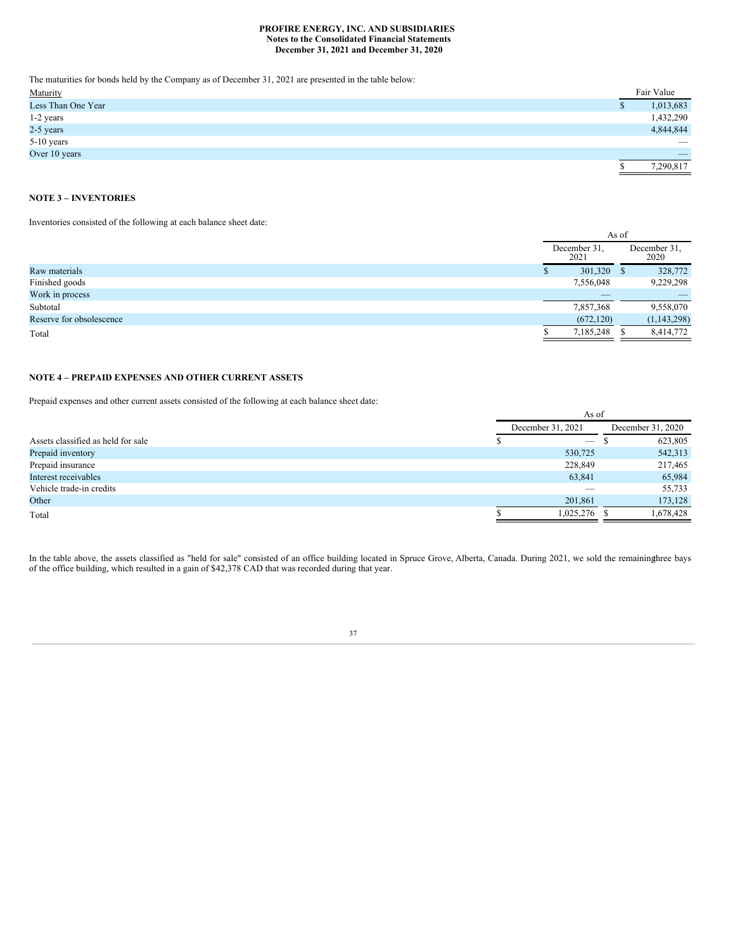The maturities for bonds held by the Company as of December 31, 2021 are presented in the table below:

| Maturity           | Fair Value                      |
|--------------------|---------------------------------|
| Less Than One Year | 1,013,683                       |
| 1-2 years          | 1,432,290                       |
| 2-5 years          | 4,844,844                       |
| 5-10 years         | $\hspace{0.1mm}-\hspace{0.1mm}$ |
| Over 10 years      | $\hspace{0.1mm}-\hspace{0.1mm}$ |
|                    | 7,290,817                       |

# **NOTE 3 – INVENTORIES**

Inventories consisted of the following at each balance sheet date:

|                          | As of                |  |                      |
|--------------------------|----------------------|--|----------------------|
|                          | December 31,<br>2021 |  | December 31,<br>2020 |
| Raw materials            | 301,320 \$           |  | 328,772              |
| Finished goods           | 7,556,048            |  | 9,229,298            |
| Work in process          |                      |  |                      |
| Subtotal                 | 7,857,368            |  | 9,558,070            |
| Reserve for obsolescence | (672, 120)           |  | (1,143,298)          |
| Total                    | 7,185,248            |  | 8,414,772            |

## **NOTE 4 – PREPAID EXPENSES AND OTHER CURRENT ASSETS**

Prepaid expenses and other current assets consisted of the following at each balance sheet date:

|                                    |  | December 31, 2021 |  | December 31, 2020 |
|------------------------------------|--|-------------------|--|-------------------|
| Assets classified as held for sale |  |                   |  | 623,805           |
| Prepaid inventory                  |  | 530,725           |  | 542,313           |
| Prepaid insurance                  |  | 228,849           |  | 217,465           |
| Interest receivables               |  | 63,841            |  | 65,984            |
| Vehicle trade-in credits           |  | _                 |  | 55,733            |
| Other                              |  | 201,861           |  | 173,128           |
| Total                              |  | 1,025,276         |  | 1,678,428         |

<span id="page-36-0"></span>In the table above, the assets classified as "held for sale" consisted of an office building located in Spruce Grove, Alberta, Canada. During 2021, we sold the remainingthree bays of the office building, which resulted in a gain of \$42,378 CAD that was recorded during that year.

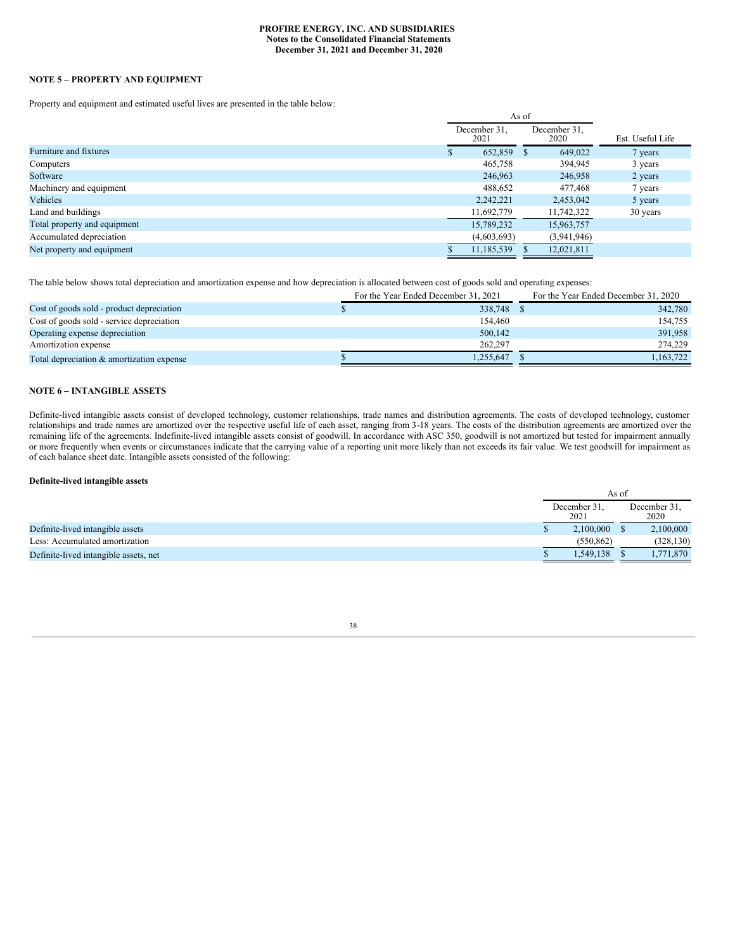## **NOTE 5 – PROPERTY AND EQUIPMENT**

Property and equipment and estimated useful lives are presented in the table below:

|                              |                      | As of       |                      |             |                  |
|------------------------------|----------------------|-------------|----------------------|-------------|------------------|
|                              | December 31.<br>2021 |             | December 31.<br>2020 |             | Est. Useful Life |
| Furniture and fixtures       |                      | 652,859     | <sup>S</sup>         | 649,022     | 7 years          |
| Computers                    |                      | 465,758     |                      | 394,945     | 3 years          |
| Software                     |                      | 246,963     |                      | 246,958     | 2 years          |
| Machinery and equipment      |                      | 488,652     |                      | 477,468     | 7 years          |
| Vehicles                     |                      | 2,242,221   |                      | 2,453,042   | 5 years          |
| Land and buildings           |                      | 11,692,779  |                      | 11,742,322  | 30 years         |
| Total property and equipment |                      | 15,789,232  |                      | 15,963,757  |                  |
| Accumulated depreciation     |                      | (4,603,693) |                      | (3,941,946) |                  |
| Net property and equipment   |                      | 11,185,539  |                      | 12,021,811  |                  |

The table below shows total depreciation and amortization expense and how depreciation is allocated between cost of goods sold and operating expenses:

|                                           | For the Year Ended December 31, 2021 | For the Year Ended December 31, 2020 |
|-------------------------------------------|--------------------------------------|--------------------------------------|
| Cost of goods sold - product depreciation | 338,748 \$                           | 342,780                              |
| Cost of goods sold - service depreciation | 154.460                              | 154.755                              |
| Operating expense depreciation            | 500,142                              | 391.958                              |
| Amortization expense                      | 262,297                              | 274.229                              |
| Total depreciation & amortization expense | 1.255.647                            | .163.722                             |

## **NOTE 6 – INTANGIBLE ASSETS**

Definite-lived intangible assets consist of developed technology, customer relationships, trade names and distribution agreements. The costs of developed technology, customer relationships and trade names are amortized over the respective useful life of each asset, ranging from 3-18 years. The costs of the distribution agreements are amortized over the remaining life of the agreements. Indefinite-lived intangible assets consist of goodwill. In accordance with ASC 350, goodwill is not amortized but tested for impairment annually or more frequently when events or circumstances indicate that the carrying value of a reporting unit more likely than not exceeds its fair value. We test goodwill for impairment as of each balance sheet date. Intangible assets consisted of the following:

### **Definite-lived intangible assets**

|                                       |                      | As of      |  |                      |  |
|---------------------------------------|----------------------|------------|--|----------------------|--|
|                                       | December 31,<br>2021 |            |  | December 31,<br>2020 |  |
| Definite-lived intangible assets      |                      | 2,100,000  |  | 2,100,000            |  |
| Less: Accumulated amortization        |                      | (550, 862) |  | (328, 130)           |  |
| Definite-lived intangible assets, net |                      | 1.549.138  |  | 1,771,870            |  |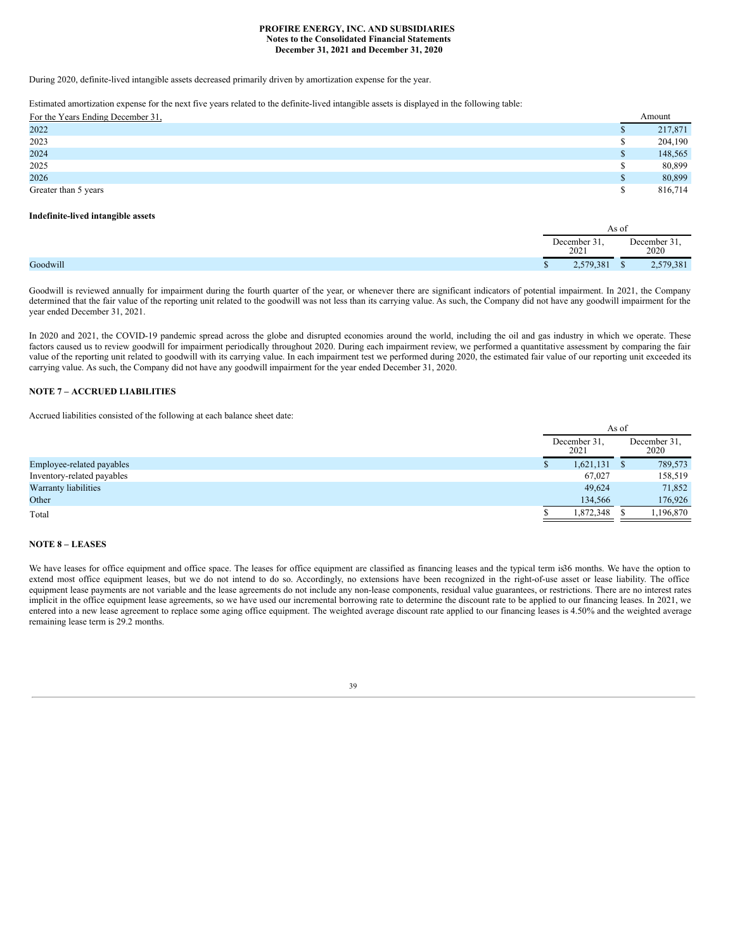During 2020, definite-lived intangible assets decreased primarily driven by amortization expense for the year.

Estimated amortization expense for the next five years related to the definite-lived intangible assets is displayed in the following table:

| For the Years Ending December 31, | Amount  |
|-----------------------------------|---------|
| 2022                              | 217,871 |
| 2023                              | 204,190 |
| 2024                              | 148,565 |
| 2025                              | 80,899  |
| 2026                              | 80,899  |
| Greater than 5 years              | 816,714 |

### **Indefinite-lived intangible assets**

|          |   |                      | As of |                                       |
|----------|---|----------------------|-------|---------------------------------------|
|          |   | December 31,<br>2021 |       | $\sim$ $\sim$<br>December 31,<br>2020 |
| Goodwill | Ψ | 2,579,381            |       | 579,381<br>ر د سه                     |

Goodwill is reviewed annually for impairment during the fourth quarter of the year, or whenever there are significant indicators of potential impairment. In 2021, the Company determined that the fair value of the reporting unit related to the goodwill was not less than its carrying value. As such, the Company did not have any goodwill impairment for the year ended December 31, 2021.

In 2020 and 2021, the COVID-19 pandemic spread across the globe and disrupted economies around the world, including the oil and gas industry in which we operate. These factors caused us to review goodwill for impairment periodically throughout 2020. During each impairment review, we performed a quantitative assessment by comparing the fair value of the reporting unit related to goodwill with its carrying value. In each impairment test we performed during 2020, the estimated fair value of our reporting unit exceeded its carrying value. As such, the Company did not have any goodwill impairment for the year ended December 31, 2020.

## **NOTE 7 – ACCRUED LIABILITIES**

Accrued liabilities consisted of the following at each balance sheet date:

|                            |                      | As of |                      |
|----------------------------|----------------------|-------|----------------------|
|                            | December 31,<br>2021 |       | December 31,<br>2020 |
| Employee-related payables  | 1,621,131            |       | 789,573              |
| Inventory-related payables | 67,027               |       | 158,519              |
| Warranty liabilities       | 49,624               |       | 71,852               |
| Other                      | 134,566              |       | 176,926              |
| Total                      | 1,872,348            |       | .196,870             |

#### **NOTE 8 – LEASES**

We have leases for office equipment and office space. The leases for office equipment are classified as financing leases and the typical term is36 months. We have the option to extend most office equipment leases, but we do not intend to do so. Accordingly, no extensions have been recognized in the right-of-use asset or lease liability. The office equipment lease payments are not variable and the lease agreements do not include any non-lease components, residual value guarantees, or restrictions. There are no interest rates implicit in the office equipment lease agreements, so we have used our incremental borrowing rate to determine the discount rate to be applied to our financing leases. In 2021, we entered into a new lease agreement to replace some aging office equipment. The weighted average discount rate applied to our financing leases is 4.50% and the weighted average remaining lease term is 29.2 months.

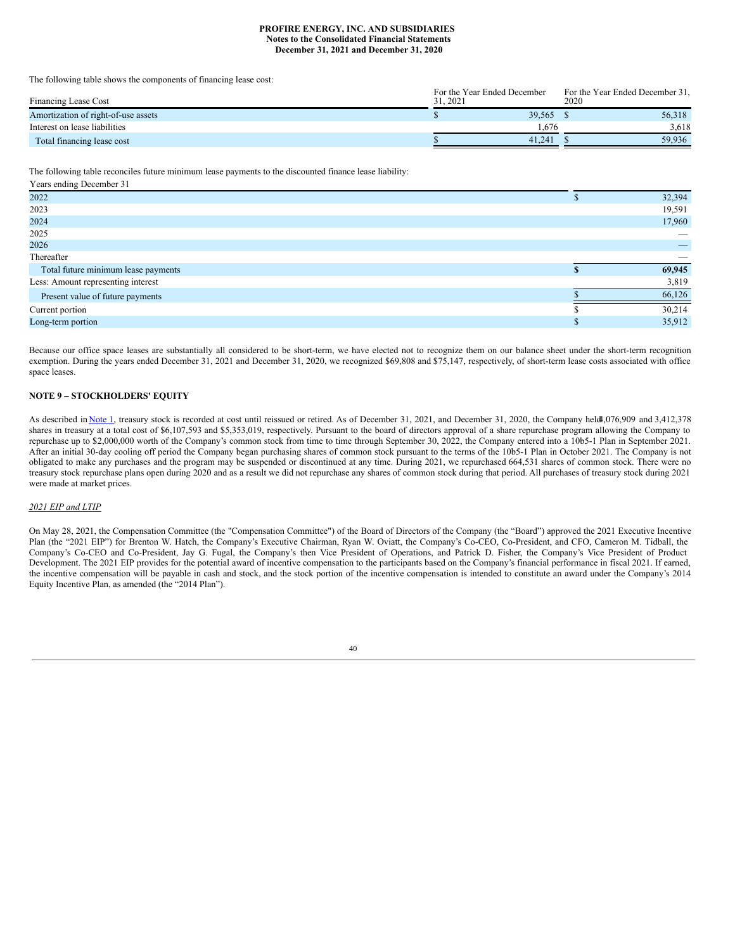The following table shows the components of financing lease cost:

| <b>Financing Lease Cost</b>         | For the Year Ended December<br>31, 2021 | For the Year Ended December 31,<br>2020 |  |  |  |
|-------------------------------------|-----------------------------------------|-----------------------------------------|--|--|--|
| Amortization of right-of-use assets | 39,565                                  | 56.318                                  |  |  |  |
| Interest on lease liabilities       | .676                                    | 3.618                                   |  |  |  |
| Total financing lease cost          | 41.241                                  | 59.936                                  |  |  |  |

The following table reconciles future minimum lease payments to the discounted finance lease liability:

Years ending December 31

| $1 \text{ cm}$ , $\mu$ externoon $51$ |                          |
|---------------------------------------|--------------------------|
| 2022                                  | 32,394                   |
| 2023                                  | 19,591                   |
| 2024                                  | 17,960                   |
| 2025                                  |                          |
| 2026                                  |                          |
| Thereafter                            | $\overline{\phantom{a}}$ |
| Total future minimum lease payments   | 69,945                   |
| Less: Amount representing interest    | 3,819                    |
| Present value of future payments      | 66,126                   |
| Current portion                       | 30,214                   |
| Long-term portion                     | 35,912                   |
|                                       |                          |

Because our office space leases are substantially all considered to be short-term, we have elected not to recognize them on our balance sheet under the short-term recognition exemption. During the years ended December 31, 2021 and December 31, 2020, we recognized \$69,808 and \$75,147, respectively, of short-term lease costs associated with office space leases.

### **NOTE 9 – STOCKHOLDERS' EQUITY**

As described in [Note](#page-30-0) 1, treasury stock is recorded at cost until reissued or retired. As of December 31, 2021, and December 31, 2020, the Company held4,076,909 and 3,412,378 shares in treasury at a total cost of \$6,107,593 and \$5,353,019, respectively. Pursuant to the board of directors approval of a share repurchase program allowing the Company to repurchase up to \$2,000,000 worth of the Company's common stock from time to time through September 30, 2022, the Company entered into a 10b5-1 Plan in September 2021. After an initial 30-day cooling off period the Company began purchasing shares of common stock pursuant to the terms of the 10b5-1 Plan in October 2021. The Company is not obligated to make any purchases and the program may be suspended or discontinued at any time. During 2021, we repurchased 664,531 shares of common stock. There were no treasury stock repurchase plans open during 2020 and as a result we did not repurchase any shares of common stock during that period. All purchases of treasury stock during 2021 were made at market prices.

### *2021 EIP and LTIP*

On May 28, 2021, the Compensation Committee (the "Compensation Committee") of the Board of Directors of the Company (the "Board") approved the 2021 Executive Incentive Plan (the "2021 EIP") for Brenton W. Hatch, the Company's Executive Chairman, Ryan W. Oviatt, the Company's Co-CEO, Co-President, and CFO, Cameron M. Tidball, the Company's Co-CEO and Co-President, Jay G. Fugal, the Company's then Vice President of Operations, and Patrick D. Fisher, the Company's Vice President of Product Development. The 2021 EIP provides for the potential award of incentive compensation to the participants based on the Company's financial performance in fiscal 2021. If earned, the incentive compensation will be payable in cash and stock, and the stock portion of the incentive compensation is intended to constitute an award under the Company's 2014 Equity Incentive Plan, as amended (the "2014 Plan").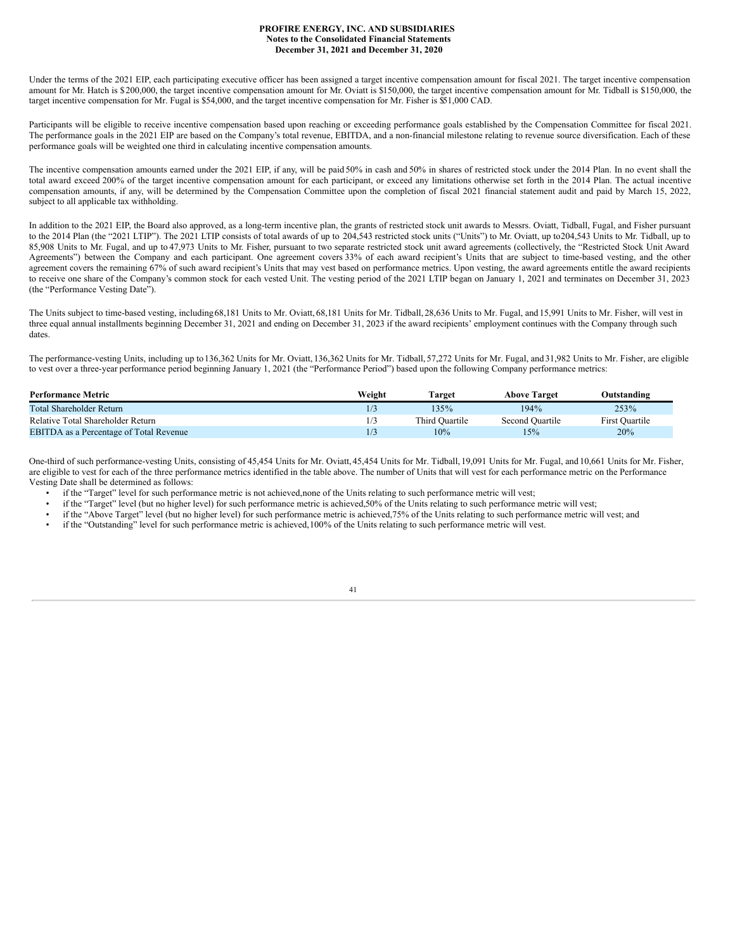Under the terms of the 2021 EIP, each participating executive officer has been assigned a target incentive compensation amount for fiscal 2021. The target incentive compensation amount for Mr. Hatch is \$200,000, the target incentive compensation amount for Mr. Oviatt is \$150,000, the target incentive compensation amount for Mr. Tidball is \$150,000, the target incentive compensation for Mr. Fugal is \$54,000, and the target incentive compensation for Mr. Fisher is \$51,000 CAD.

Participants will be eligible to receive incentive compensation based upon reaching or exceeding performance goals established by the Compensation Committee for fiscal 2021. The performance goals in the 2021 EIP are based on the Company's total revenue, EBITDA, and a non-financial milestone relating to revenue source diversification. Each of these performance goals will be weighted one third in calculating incentive compensation amounts.

The incentive compensation amounts earned under the 2021 EIP, if any, will be paid 50% in cash and 50% in shares of restricted stock under the 2014 Plan. In no event shall the total award exceed 200% of the target incentive compensation amount for each participant, or exceed any limitations otherwise set forth in the 2014 Plan. The actual incentive compensation amounts, if any, will be determined by the Compensation Committee upon the completion of fiscal 2021 financial statement audit and paid by March 15, 2022, subject to all applicable tax withholding.

In addition to the 2021 EIP, the Board also approved, as a long-term incentive plan, the grants of restricted stock unit awards to Messrs. Oviatt, Tidball, Fugal, and Fisher pursuant to the 2014 Plan (the "2021 LTIP"). The 2021 LTIP consists of total awards of up to 204,543 restricted stock units ("Units") to Mr. Oviatt, up to 204,543 Units to Mr. Tidball, up to 85,908 Units to Mr. Fugal, and up to 47,973 Units to Mr. Fisher, pursuant to two separate restricted stock unit award agreements (collectively, the "Restricted Stock Unit Award Agreements") between the Company and each participant. One agreement covers 33% of each award recipient's Units that are subject to time-based vesting, and the other agreement covers the remaining 67% of such award recipient's Units that may vest based on performance metrics. Upon vesting, the award agreements entitle the award recipients to receive one share of the Company's common stock for each vested Unit. The vesting period of the 2021 LTIP began on January 1, 2021 and terminates on December 31, 2023 (the "Performance Vesting Date").

The Units subject to time-based vesting, including68,181 Units to Mr. Oviatt, 68,181 Units for Mr. Tidball, 28,636 Units to Mr. Fugal, and 15,991 Units to Mr. Fisher, will vest in three equal annual installments beginning December 31, 2021 and ending on December 31, 2023 if the award recipients' employment continues with the Company through such dates.

The performance-vesting Units, including up to136,362 Units for Mr. Oviatt, 136,362 Units for Mr. Tidball, 57,272 Units for Mr. Fugal, and 31,982 Units to Mr. Fisher, are eligible to vest over a three-year performance period beginning January 1, 2021 (the "Performance Period") based upon the following Company performance metrics:

| Performance Metric                             | Weight | <b>Target</b>  | <b>Above Target</b> | Outstanding    |
|------------------------------------------------|--------|----------------|---------------------|----------------|
| Total Shareholder Return                       | 1/3    | 35%            | 194%                | 253%           |
| Relative Total Shareholder Return              | 1/3    | Third Ouartile | Second Ouartile     | First Quartile |
| <b>EBITDA</b> as a Percentage of Total Revenue | 1/3    | 10%            | 15%                 | 20%            |

One-third of such performance-vesting Units, consisting of 45,454 Units for Mr. Oviatt, 45,454 Units for Mr. Tidball, 19,091 Units for Mr. Fugal, and 10,661 Units for Mr. Fisher, are eligible to vest for each of the three performance metrics identified in the table above. The number of Units that will vest for each performance metric on the Performance Vesting Date shall be determined as follows:

• if the "Target" level for such performance metric is not achieved,none of the Units relating to such performance metric will vest;

• if the "Target" level (but no higher level) for such performance metric is achieved,50% of the Units relating to such performance metric will vest;

- if the "Above Target" level (but no higher level) for such performance metric is achieved,75% of the Units relating to such performance metric will vest; and
- if the "Outstanding" level for such performance metric is achieved,100% of the Units relating to such performance metric will vest.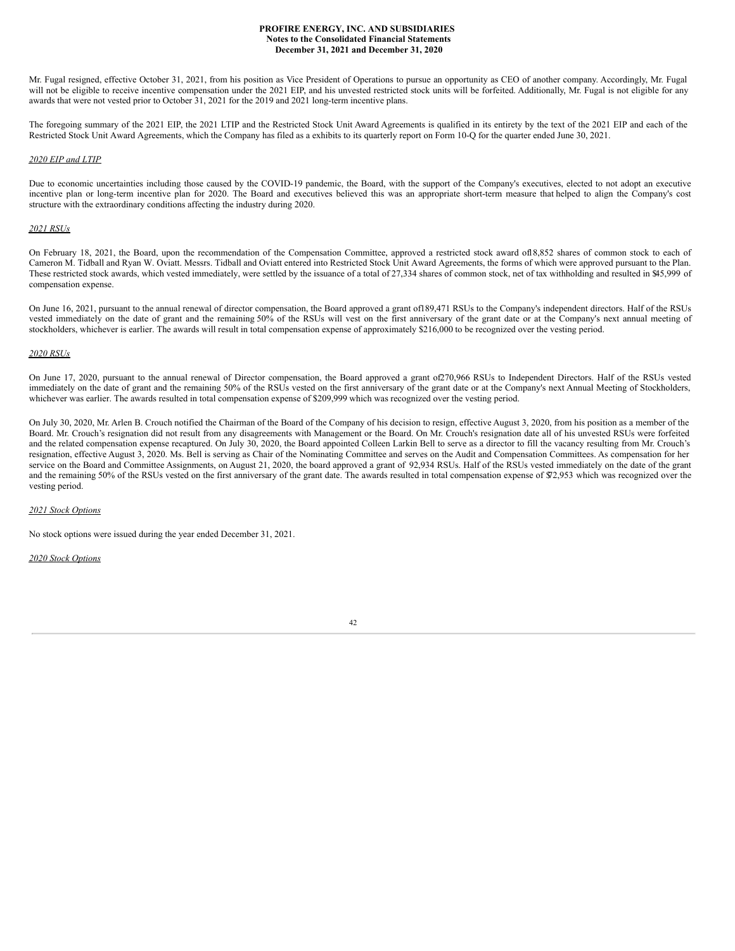Mr. Fugal resigned, effective October 31, 2021, from his position as Vice President of Operations to pursue an opportunity as CEO of another company. Accordingly, Mr. Fugal will not be eligible to receive incentive compensation under the 2021 EIP, and his unvested restricted stock units will be forfeited. Additionally, Mr. Fugal is not eligible for any awards that were not vested prior to October 31, 2021 for the 2019 and 2021 long-term incentive plans.

The foregoing summary of the 2021 EIP, the 2021 LTIP and the Restricted Stock Unit Award Agreements is qualified in its entirety by the text of the 2021 EIP and each of the Restricted Stock Unit Award Agreements, which the Company has filed as a exhibits to its quarterly report on Form 10-Q for the quarter ended June 30, 2021.

### *2020 EIP and LTIP*

Due to economic uncertainties including those caused by the COVID-19 pandemic, the Board, with the support of the Company's executives, elected to not adopt an executive incentive plan or long-term incentive plan for 2020. The Board and executives believed this was an appropriate short-term measure that helped to align the Company's cost structure with the extraordinary conditions affecting the industry during 2020.

### *2021 RSUs*

On February 18, 2021, the Board, upon the recommendation of the Compensation Committee, approved a restricted stock award of18,852 shares of common stock to each of Cameron M. Tidball and Ryan W. Oviatt. Messrs. Tidball and Oviatt entered into Restricted Stock Unit Award Agreements, the forms of which were approved pursuant to the Plan. These restricted stock awards, which vested immediately, were settled by the issuance of a total of 27,334 shares of common stock, net of tax withholding and resulted in \$45,999 of compensation expense.

On June 16, 2021, pursuant to the annual renewal of director compensation, the Board approved a grant of189,471 RSUs to the Company's independent directors. Half of the RSUs vested immediately on the date of grant and the remaining 50% of the RSUs will vest on the first anniversary of the grant date or at the Company's next annual meeting of stockholders, whichever is earlier. The awards will result in total compensation expense of approximately \$216,000 to be recognized over the vesting period.

### *2020 RSUs*

On June 17, 2020, pursuant to the annual renewal of Director compensation, the Board approved a grant of270,966 RSUs to Independent Directors. Half of the RSUs vested immediately on the date of grant and the remaining 50% of the RSUs vested on the first anniversary of the grant date or at the Company's next Annual Meeting of Stockholders, whichever was earlier. The awards resulted in total compensation expense of \$209,999 which was recognized over the vesting period.

On July 30, 2020, Mr. Arlen B. Crouch notified the Chairman of the Board of the Company of his decision to resign, effective August 3, 2020, from his position as a member of the Board. Mr. Crouch's resignation did not result from any disagreements with Management or the Board. On Mr. Crouch's resignation date all of his unvested RSUs were forfeited and the related compensation expense recaptured. On July 30, 2020, the Board appointed Colleen Larkin Bell to serve as a director to fill the vacancy resulting from Mr. Crouch's resignation, effective August 3, 2020. Ms. Bell is serving as Chair of the Nominating Committee and serves on the Audit and Compensation Committees. As compensation for her service on the Board and Committee Assignments, on August 21, 2020, the board approved a grant of 92,934 RSUs. Half of the RSUs vested immediately on the date of the grant and the remaining 50% of the RSUs vested on the first anniversary of the grant date. The awards resulted in total compensation expense of \$7,953 which was recognized over the vesting period.

### *2021 Stock Options*

No stock options were issued during the year ended December 31, 2021.

*2020 Stock Options*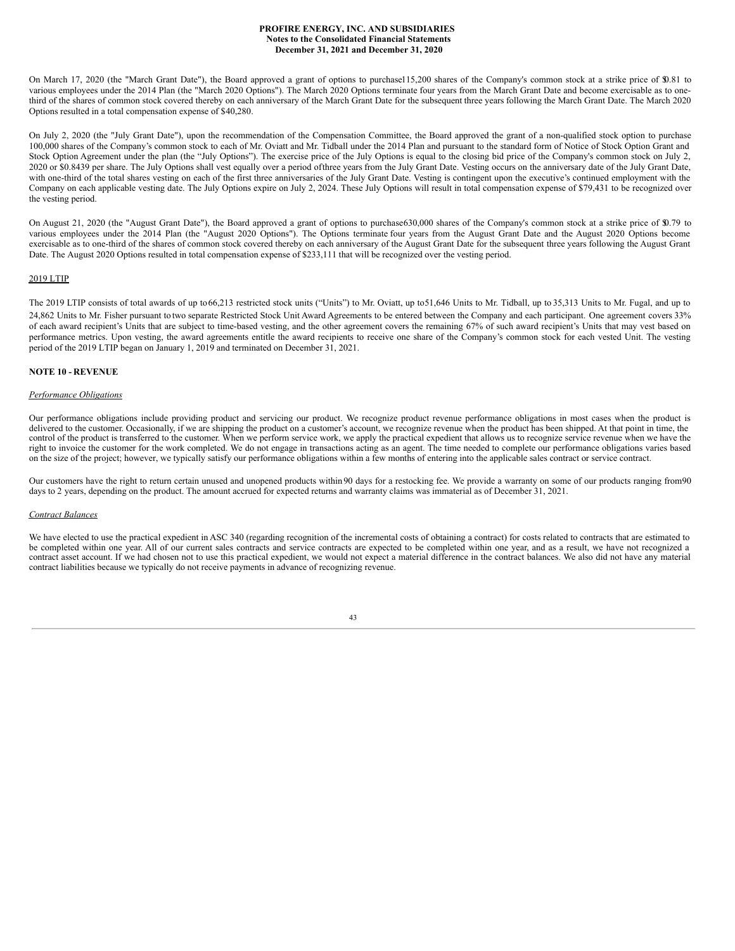On March 17, 2020 (the "March Grant Date"), the Board approved a grant of options to purchase115,200 shares of the Company's common stock at a strike price of \$0.81 to various employees under the 2014 Plan (the "March 2020 Options"). The March 2020 Options terminate four years from the March Grant Date and become exercisable as to onethird of the shares of common stock covered thereby on each anniversary of the March Grant Date for the subsequent three years following the March Grant Date. The March 2020 Options resulted in a total compensation expense of \$40,280.

On July 2, 2020 (the "July Grant Date"), upon the recommendation of the Compensation Committee, the Board approved the grant of a non-qualified stock option to purchase 100,000 shares of the Company's common stock to each of Mr. Oviatt and Mr. Tidball under the 2014 Plan and pursuant to the standard form of Notice of Stock Option Grant and Stock Option Agreement under the plan (the "July Options"). The exercise price of the July Options is equal to the closing bid price of the Company's common stock on July 2, 2020 or \$0.8439 per share. The July Options shall vest equally over a period of three years from the July Grant Date. Vesting occurs on the anniversary date of the July Grant Date, with one-third of the total shares vesting on each of the first three anniversaries of the July Grant Date. Vesting is contingent upon the executive's continued employment with the Company on each applicable vesting date. The July Options expire on July 2, 2024. These July Options will result in total compensation expense of \$79,431 to be recognized over the vesting period.

On August 21, 2020 (the "August Grant Date"), the Board approved a grant of options to purchase630,000 shares of the Company's common stock at a strike price of \$0.79 to various employees under the 2014 Plan (the "August 2020 Options"). The Options terminate four years from the August Grant Date and the August 2020 Options become exercisable as to one-third of the shares of common stock covered thereby on each anniversary of the August Grant Date for the subsequent three years following the August Grant Date. The August 2020 Options resulted in total compensation expense of \$233,111 that will be recognized over the vesting period.

### 2019 LTIP

The 2019 LTIP consists of total awards of up to66,213 restricted stock units ("Units") to Mr. Oviatt, up to51,646 Units to Mr. Tidball, up to 35,313 Units to Mr. Fugal, and up to 24,862 Units to Mr. Fisher pursuant to two separate Restricted Stock Unit Award Agreements to be entered between the Company and each participant. One agreement covers 33% of each award recipient's Units that are subject to time-based vesting, and the other agreement covers the remaining 67% of such award recipient's Units that may vest based on performance metrics. Upon vesting, the award agreements entitle the award recipients to receive one share of the Company's common stock for each vested Unit. The vesting period of the 2019 LTIP began on January 1, 2019 and terminated on December 31, 2021.

### <span id="page-42-0"></span>**NOTE 10 - REVENUE**

### *Performance Obligations*

Our performance obligations include providing product and servicing our product. We recognize product revenue performance obligations in most cases when the product is delivered to the customer. Occasionally, if we are shipping the product on a customer's account, we recognize revenue when the product has been shipped. At that point in time, the control of the product is transferred to the customer. When we perform service work, we apply the practical expedient that allows us to recognize service revenue when we have the right to invoice the customer for the work completed. We do not engage in transactions acting as an agent. The time needed to complete our performance obligations varies based on the size of the project; however, we typically satisfy our performance obligations within a few months of entering into the applicable sales contract or service contract.

Our customers have the right to return certain unused and unopened products within 90 days for a restocking fee. We provide a warranty on some of our products ranging from90 days to 2 years, depending on the product. The amount accrued for expected returns and warranty claims was immaterial as of December 31, 2021.

### *Contract Balances*

We have elected to use the practical expedient in ASC 340 (regarding recognition of the incremental costs of obtaining a contract) for costs related to contracts that are estimated to be completed within one year. All of our current sales contracts and service contracts are expected to be completed within one year, and as a result, we have not recognized a contract asset account. If we had chosen not to use this practical expedient, we would not expect a material difference in the contract balances. We also did not have any material contract liabilities because we typically do not receive payments in advance of recognizing revenue.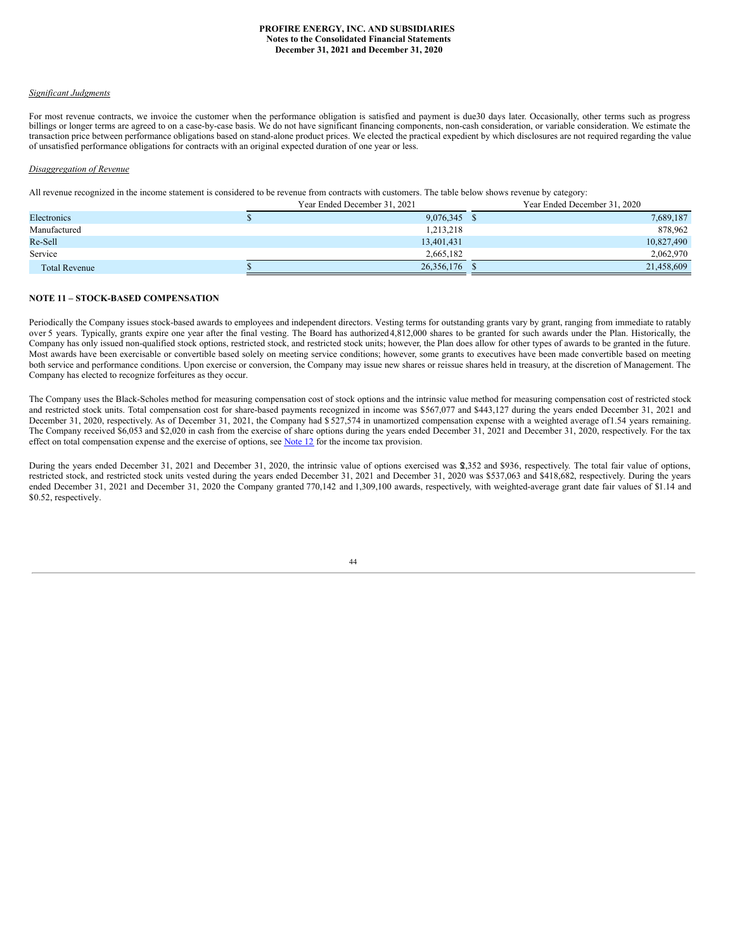#### *Significant Judgments*

For most revenue contracts, we invoice the customer when the performance obligation is satisfied and payment is due30 days later. Occasionally, other terms such as progress billings or longer terms are agreed to on a case-by-case basis. We do not have significant financing components, non-cash consideration, or variable consideration. We estimate the transaction price between performance obligations based on stand-alone product prices. We elected the practical expedient by which disclosures are not required regarding the value of unsatisfied performance obligations for contracts with an original expected duration of one year or less.

#### *Disaggregation of Revenue*

All revenue recognized in the income statement is considered to be revenue from contracts with customers. The table below shows revenue by category:

|                      | Year Ended December 31, 2021 | Year Ended December 31, 2020 |            |
|----------------------|------------------------------|------------------------------|------------|
| Electronics          | 9,076,345                    |                              | 7,689,187  |
| Manufactured         | 1,213,218                    |                              | 878,962    |
| Re-Sell              | 13,401,431                   |                              | 10,827,490 |
| Service              | 2.665.182                    |                              | 2,062,970  |
| <b>Total Revenue</b> | 26,356,176                   |                              | 21,458,609 |

### **NOTE 11 – STOCK-BASED COMPENSATION**

Periodically the Company issues stock-based awards to employees and independent directors. Vesting terms for outstanding grants vary by grant, ranging from immediate to ratably over 5 years. Typically, grants expire one year after the final vesting. The Board has authorized 4,812,000 shares to be granted for such awards under the Plan. Historically, the Company has only issued non-qualified stock options, restricted stock, and restricted stock units; however, the Plan does allow for other types of awards to be granted in the future. Most awards have been exercisable or convertible based solely on meeting service conditions; however, some grants to executives have been made convertible based on meeting both service and performance conditions. Upon exercise or conversion, the Company may issue new shares or reissue shares held in treasury, at the discretion of Management. The Company has elected to recognize forfeitures as they occur.

The Company uses the Black-Scholes method for measuring compensation cost of stock options and the intrinsic value method for measuring compensation cost of restricted stock and restricted stock units. Total compensation cost for share-based payments recognized in income was \$567,077 and \$443,127 during the years ended December 31, 2021 and December 31, 2020, respectively. As of December 31, 2021, the Company had \$ 527,574 in unamortized compensation expense with a weighted average of 1.54 years remaining. The Company received \$6,053 and \$2,020 in cash from the exercise of share options during the years ended December 31, 2021 and December 31, 2020, respectively. For the tax effect on total compensation expense and the exercise of options, see [Note](#page-46-0) [12](#page-46-0) for the income tax provision.

During the years ended December 31, 2021 and December 31, 2020, the intrinsic value of options exercised was \$2,352 and \$936, respectively. The total fair value of options, restricted stock, and restricted stock units vested during the years ended December 31, 2021 and December 31, 2020 was \$537,063 and \$418,682, respectively. During the years ended December 31, 2021 and December 31, 2020 the Company granted 770,142 and 1,309,100 awards, respectively, with weighted-average grant date fair values of \$1.14 and \$0.52, respectively.

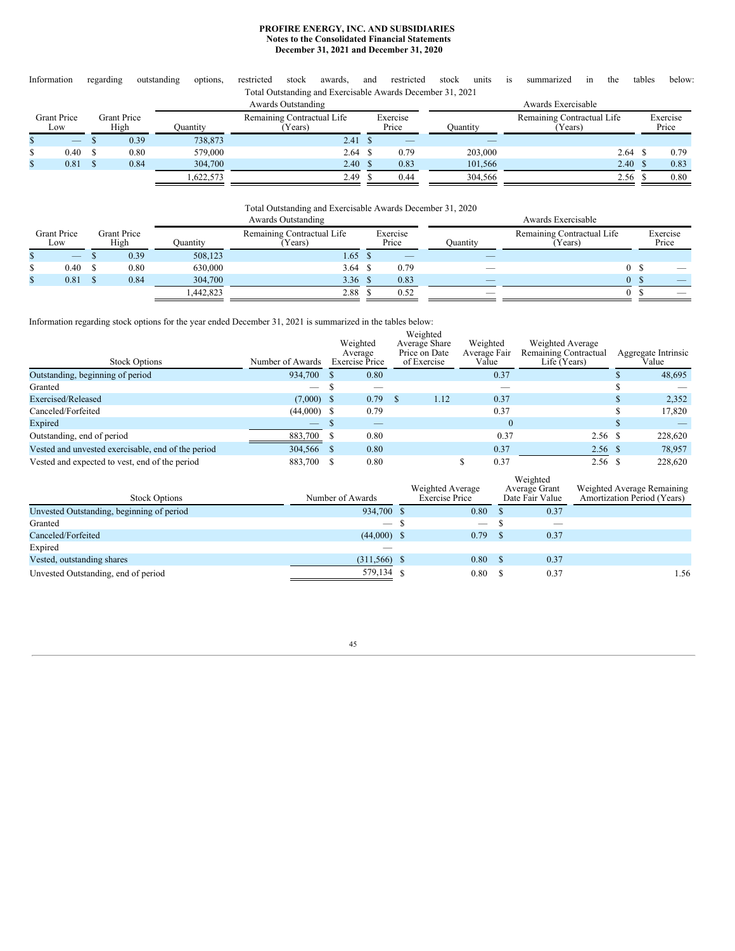Information regarding outstanding options, restricted stock awards, and restricted stock units is summarized in the tables below: Total Outstanding and Exercisable Awards December 31, 2021

|                                                         |                                 |          |                                      | <b>Awards Outstanding</b> |          | Awards Exercisable                    |      |                   |      |  |  |  |  |  |  |  |
|---------------------------------------------------------|---------------------------------|----------|--------------------------------------|---------------------------|----------|---------------------------------------|------|-------------------|------|--|--|--|--|--|--|--|
| <b>Grant Price</b><br><b>Grant Price</b><br>High<br>Low |                                 | Quantity | Remaining Contractual Life<br>Years) | Exercise<br>Price         | Duantity | Remaining Contractual Life<br>(Years) |      | Exercise<br>Price |      |  |  |  |  |  |  |  |
|                                                         | $\hspace{0.1mm}-\hspace{0.1mm}$ | 0.39     | 738,873                              | 2.41                      |          |                                       |      |                   |      |  |  |  |  |  |  |  |
| S                                                       | 0.40                            | 0.80     | 579,000                              | 2.64                      | 0.79     | 203,000                               | 2.64 |                   | 0.79 |  |  |  |  |  |  |  |
|                                                         | 0.81                            | 0.84     | 304,700                              | 2.40                      | 0.83     | 101.566                               | 2.40 |                   | 0.83 |  |  |  |  |  |  |  |
|                                                         |                                 |          | .622,573                             | 2.49                      | 0.44     | 304,566                               | 2.56 |                   | 0.80 |  |  |  |  |  |  |  |

## Total Outstanding and Exercisable Awards December 31, 2020

|   |                                                         |  |          |                                      | <b>Awards Outstanding</b> |          |                                      | Awards Exercisable |                   |   |
|---|---------------------------------------------------------|--|----------|--------------------------------------|---------------------------|----------|--------------------------------------|--------------------|-------------------|---|
|   | <b>Grant Price</b><br><b>Grant Price</b><br>High<br>Low |  | Ouantity | Remaining Contractual Life<br>Years) | Exercise<br>Price         | Ouantity | Remaining Contractual Life<br>Years) |                    | Exercise<br>Price |   |
|   | $\hspace{0.1mm}-\hspace{0.1mm}$                         |  | 0.39     | 508,123                              | 1.65                      |          |                                      |                    |                   |   |
| S | 0.40                                                    |  | 0.80     | 630,000                              | 3.64                      | 0.79     | $\overline{\phantom{a}}$             |                    |                   | _ |
|   | 0.81                                                    |  | 0.84     | 304,700                              | 3.36                      | 0.83     | $\overline{\phantom{a}}$             |                    |                   |   |
|   |                                                         |  |          | 442,823                              | 2.88                      | 0.52     |                                      |                    |                   |   |

Information regarding stock options for the year ended December 31, 2021 is summarized in the tables below:

| <b>Stock Options</b>                               | Number of Awards         |               | Weighted<br>Average<br><b>Exercise Price</b> | Weighted<br>Average Share<br>Price on Date<br>of Exercise | Weighted<br>Average Fair<br>Value | Weighted Average<br>Remaining Contractual<br>Life (Years) | Aggregate Intrinsic<br>Value |
|----------------------------------------------------|--------------------------|---------------|----------------------------------------------|-----------------------------------------------------------|-----------------------------------|-----------------------------------------------------------|------------------------------|
| Outstanding, beginning of period                   | 934,700                  | ъ             | 0.80                                         |                                                           | 0.37                              |                                                           | 48,695                       |
| Granted                                            |                          |               |                                              |                                                           |                                   |                                                           |                              |
| Exercised/Released                                 | $(7,000)$ \$             |               | 0.79                                         | 1.12<br><b>S</b>                                          | 0.37                              |                                                           | 2,352                        |
| Canceled/Forfeited                                 | $(44,000)$ \$            |               | 0.79                                         |                                                           | 0.37                              |                                                           | 17,820                       |
| Expired                                            | $\qquad \qquad - \qquad$ |               | $\overline{\phantom{a}}$                     |                                                           | $\mathbf{0}$                      |                                                           |                              |
| Outstanding, end of period                         | 883,700                  |               | 0.80                                         |                                                           | 0.37                              | $2.56$ \$                                                 | 228,620                      |
| Vested and unvested exercisable, end of the period | 304,566                  | <sup>\$</sup> | 0.80                                         |                                                           | 0.37                              | $2.56$ \$                                                 | 78,957                       |
| Vested and expected to vest, end of the period     | 883,700                  |               | 0.80                                         |                                                           | 0.37                              | 2.56                                                      | 228,620                      |

| <b>Stock Options</b>                      | Number of Awards         | Weighted Average<br><b>Exercise Price</b> | Weighted<br>Average Grant<br>Date Fair Value | Weighted Average Remaining<br>Amortization Period (Years) |
|-------------------------------------------|--------------------------|-------------------------------------------|----------------------------------------------|-----------------------------------------------------------|
| Unvested Outstanding, beginning of period | 934,700 \$               | 0.80                                      | 0.37                                         |                                                           |
| Granted                                   | $\overline{\phantom{a}}$ | $\hspace{0.1mm}-\hspace{0.1mm}$           | $\qquad \qquad$                              |                                                           |
| Canceled/Forfeited                        | $(44,000)$ \$            | 0.79                                      | 0.37                                         |                                                           |
| Expired                                   |                          |                                           |                                              |                                                           |
| Vested, outstanding shares                | $(311,566)$ \$           | 0.80                                      | 0.37                                         |                                                           |
| Unvested Outstanding, end of period       | 579,134                  | 0.80                                      | 0.37                                         | 1.56                                                      |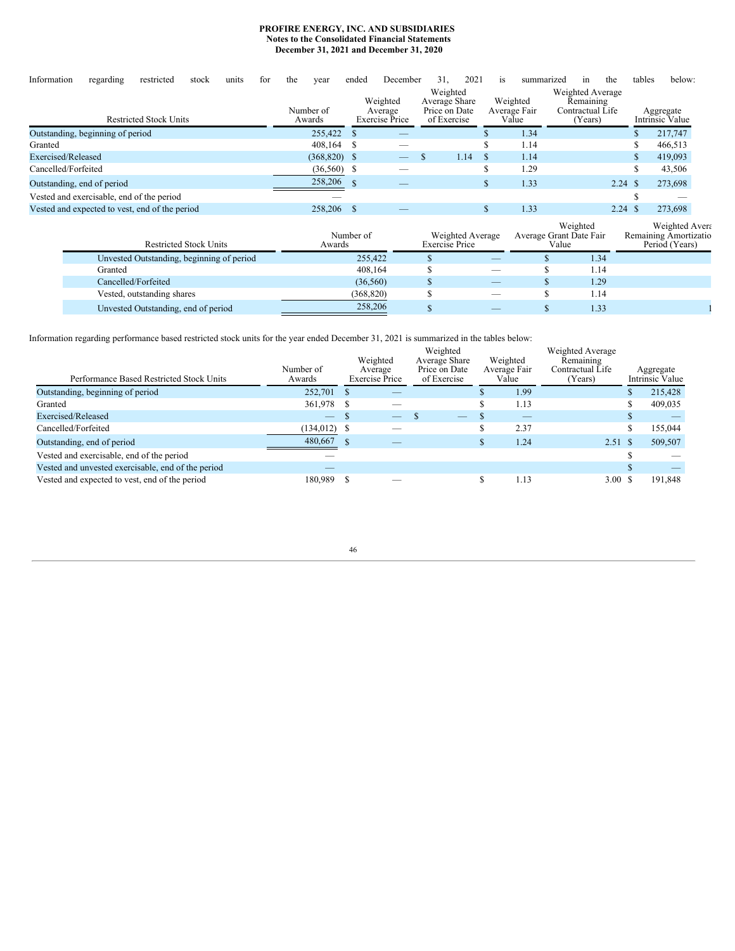| Information         | regarding                                      | restricted                    | stock | units | for | the | year                | ended | December                              | 31. | 2021                                                      | 1S | summarized                        | 1n                                       | the              | tables | below:                       |
|---------------------|------------------------------------------------|-------------------------------|-------|-------|-----|-----|---------------------|-------|---------------------------------------|-----|-----------------------------------------------------------|----|-----------------------------------|------------------------------------------|------------------|--------|------------------------------|
|                     |                                                | <b>Restricted Stock Units</b> |       |       |     |     | Number of<br>Awards |       | Weighted<br>Average<br>Exercise Price |     | Weighted<br>Average Share<br>Price on Date<br>of Exercise |    | Weighted<br>Average Fair<br>Value | Remaining<br>Contractual Life<br>(Years) | Weighted Average |        | Aggregate<br>Intrinsic Value |
|                     | Outstanding, beginning of period               |                               |       |       |     |     | 255,422             | S     |                                       |     |                                                           |    | 1.34                              |                                          |                  |        | 217,747                      |
| Granted             |                                                |                               |       |       |     |     | 408.164             | -S    | _                                     |     |                                                           |    | 1.14                              |                                          |                  |        | 466,513                      |
| Exercised/Released  |                                                |                               |       |       |     |     | $(368, 820)$ \$     |       |                                       |     | 1.14                                                      | S  | 1.14                              |                                          |                  |        | 419,093                      |
| Cancelled/Forfeited |                                                |                               |       |       |     |     | $(36,560)$ \$       |       |                                       |     |                                                           |    | 1.29                              |                                          |                  |        | 43,506                       |
|                     | Outstanding, end of period                     |                               |       |       |     |     | 258,206             |       |                                       |     |                                                           |    | 1.33                              |                                          | 2.24             | - \$   | 273,698                      |
|                     | Vested and exercisable, end of the period      |                               |       |       |     |     |                     |       |                                       |     |                                                           |    |                                   |                                          |                  |        |                              |
|                     | Vested and expected to vest, end of the period |                               |       |       |     |     | 258,206             |       |                                       |     |                                                           |    | 1.33                              |                                          | 2.24             |        | 273,698                      |

| <b>Restricted Stock Units</b>             | Number of<br>Awards | <b>Exercise Price</b> | Weighted Average | Average Grant Date Fair<br>Value | Weighted | Weighted Avera<br>Remaining Amortizatio<br>Period (Years) |
|-------------------------------------------|---------------------|-----------------------|------------------|----------------------------------|----------|-----------------------------------------------------------|
| Unvested Outstanding, beginning of period | 255,422             |                       |                  |                                  | 1.34     |                                                           |
| Granted                                   | 408,164             |                       |                  |                                  | 1.14     |                                                           |
| Cancelled/Forfeited                       | (36, 560)           |                       |                  |                                  | 1.29     |                                                           |
| Vested, outstanding shares                | (368, 820)          |                       |                  |                                  | 1.14     |                                                           |
| Unvested Outstanding, end of period       | 258,206             |                       |                  |                                  | 1.33     |                                                           |

Information regarding performance based restricted stock units for the year ended December 31, 2021 is summarized in the tables below:

| Performance Based Restricted Stock Units           | Number of<br>Awards | Weighted<br>Average<br><b>Exercise Price</b> | Weighted<br>Average Share<br>Price on Date<br>of Exercise | Weighted<br>Average Fair<br>Value | Weighted Average<br>Remaining<br>Contractual Life<br>(Years) |               | Aggregate<br>Intrinsic Value |
|----------------------------------------------------|---------------------|----------------------------------------------|-----------------------------------------------------------|-----------------------------------|--------------------------------------------------------------|---------------|------------------------------|
| Outstanding, beginning of period                   | 252,701 \$          |                                              |                                                           | 1.99                              |                                                              |               | 215,428                      |
| Granted                                            | 361,978 \$          |                                              |                                                           | 1.13                              |                                                              |               | 409,035                      |
| Exercised/Released                                 |                     |                                              |                                                           | $\overline{\phantom{m}}$          |                                                              |               |                              |
| Cancelled/Forfeited                                | $(134, 012)$ \$     |                                              |                                                           | 2.37                              |                                                              | \$            | 155,044                      |
| Outstanding, end of period                         | 480,667             |                                              |                                                           | 1.24                              | 2.51                                                         | <sup>\$</sup> | 509,507                      |
| Vested and exercisable, end of the period          |                     |                                              |                                                           |                                   |                                                              |               |                              |
| Vested and unvested exercisable, end of the period |                     |                                              |                                                           |                                   |                                                              |               |                              |
| Vested and expected to vest, end of the period     | 180.989 \$          |                                              |                                                           | 1.13                              | 3.00                                                         | -8            | 191,848                      |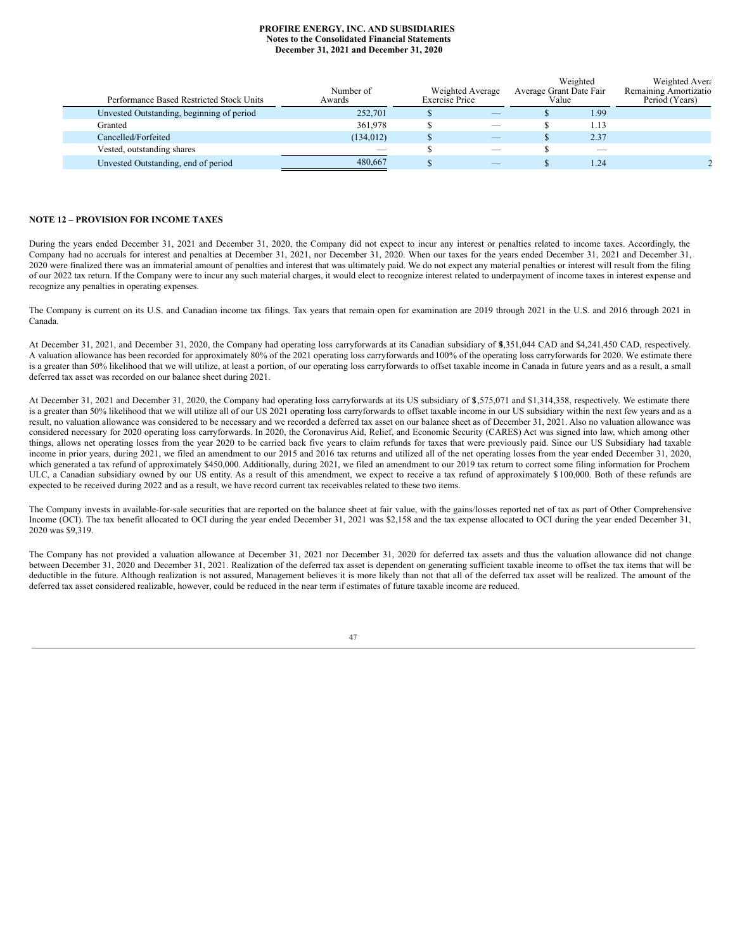| Performance Based Restricted Stock Units  | Number of<br>Awards | <b>Exercise Price</b> | Weighted Average | Average Grant Date Fair<br>Value | Weighted                 | Weighted Avera<br>Remaining Amortizatio<br>Period (Years) |
|-------------------------------------------|---------------------|-----------------------|------------------|----------------------------------|--------------------------|-----------------------------------------------------------|
| Unvested Outstanding, beginning of period | 252,701             |                       |                  |                                  | 1.99                     |                                                           |
| Granted                                   | 361,978             |                       | _                |                                  | 1.13                     |                                                           |
| Cancelled/Forfeited                       | (134, 012)          |                       |                  |                                  | 2.37                     |                                                           |
| Vested, outstanding shares                |                     |                       |                  |                                  | $\overline{\phantom{a}}$ |                                                           |
| Unvested Outstanding, end of period       | 480,667             |                       |                  |                                  | 1.24                     |                                                           |

### <span id="page-46-0"></span>**NOTE 12 – PROVISION FOR INCOME TAXES**

During the years ended December 31, 2021 and December 31, 2020, the Company did not expect to incur any interest or penalties related to income taxes. Accordingly, the Company had no accruals for interest and penalties at December 31, 2021, nor December 31, 2020. When our taxes for the years ended December 31, 2021 and December 31, 2020 were finalized there was an immaterial amount of penalties and interest that was ultimately paid. We do not expect any material penalties or interest will result from the filing of our 2022 tax return. If the Company were to incur any such material charges, it would elect to recognize interest related to underpayment of income taxes in interest expense and recognize any penalties in operating expenses.

The Company is current on its U.S. and Canadian income tax filings. Tax years that remain open for examination are 2019 through 2021 in the U.S. and 2016 through 2021 in Canada.

At December 31, 2021, and December 31, 2020, the Company had operating loss carryforwards at its Canadian subsidiary of \$4,351,044 CAD and \$4,241,450 CAD, respectively. A valuation allowance has been recorded for approximately 80% of the 2021 operating loss carryforwards and 100% of the operating loss carryforwards for 2020. We estimate there is a greater than 50% likelihood that we will utilize, at least a portion, of our operating loss carryforwards to offset taxable income in Canada in future years and as a result, a small deferred tax asset was recorded on our balance sheet during 2021.

At December 31, 2021 and December 31, 2020, the Company had operating loss carryforwards at its US subsidiary of \$1,575,071 and \$1,314,358, respectively. We estimate there is a greater than 50% likelihood that we will utilize all of our US 2021 operating loss carryforwards to offset taxable income in our US subsidiary within the next few years and as a result, no valuation allowance was considered to be necessary and we recorded a deferred tax asset on our balance sheet as of December 31, 2021. Also no valuation allowance was considered necessary for 2020 operating loss carryforwards. In 2020, the Coronavirus Aid, Relief, and Economic Security (CARES) Act was signed into law, which among other things, allows net operating losses from the year 2020 to be carried back five years to claim refunds for taxes that were previously paid. Since our US Subsidiary had taxable income in prior years, during 2021, we filed an amendment to our 2015 and 2016 tax returns and utilized all of the net operating losses from the year ended December 31, 2020, which generated a tax refund of approximately \$450,000. Additionally, during 2021, we filed an amendment to our 2019 tax return to correct some filing information for Prochem ULC, a Canadian subsidiary owned by our US entity. As a result of this amendment, we expect to receive a tax refund of approximately \$100,000. Both of these refunds are expected to be received during 2022 and as a result, we have record current tax receivables related to these two items.

The Company invests in available-for-sale securities that are reported on the balance sheet at fair value, with the gains/losses reported net of tax as part of Other Comprehensive Income (OCI). The tax benefit allocated to OCI during the year ended December 31, 2021 was \$2,158 and the tax expense allocated to OCI during the year ended December 31, 2020 was \$9,319.

The Company has not provided a valuation allowance at December 31, 2021 nor December 31, 2020 for deferred tax assets and thus the valuation allowance did not change between December 31, 2020 and December 31, 2021. Realization of the deferred tax asset is dependent on generating sufficient taxable income to offset the tax items that will be deductible in the future. Although realization is not assured, Management believes it is more likely than not that all of the deferred tax asset will be realized. The amount of the deferred tax asset considered realizable, however, could be reduced in the near term if estimates of future taxable income are reduced.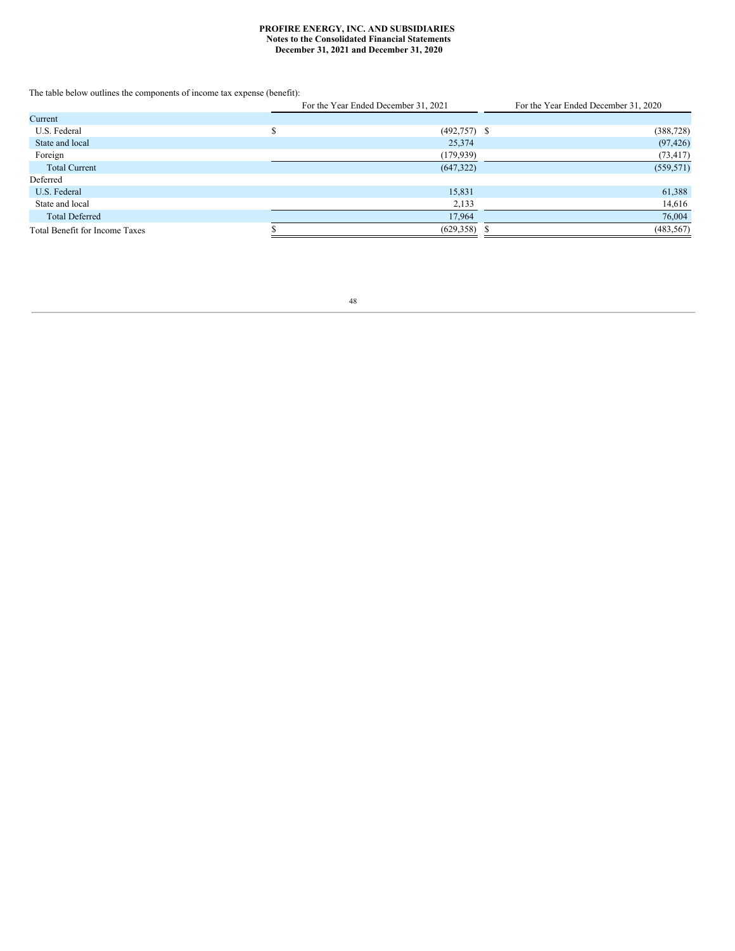The table below outlines the components of income tax expense (benefit):

|                                | For the Year Ended December 31, 2021 | For the Year Ended December 31, 2020 |  |  |  |
|--------------------------------|--------------------------------------|--------------------------------------|--|--|--|
| Current                        |                                      |                                      |  |  |  |
| U.S. Federal                   | $(492,757)$ \$                       | (388, 728)                           |  |  |  |
| State and local                | 25,374                               | (97, 426)                            |  |  |  |
| Foreign                        | (179, 939)                           | (73, 417)                            |  |  |  |
| <b>Total Current</b>           | (647,322)                            | (559, 571)                           |  |  |  |
| Deferred                       |                                      |                                      |  |  |  |
| U.S. Federal                   | 15,831                               | 61,388                               |  |  |  |
| State and local                | 2,133                                | 14,616                               |  |  |  |
| <b>Total Deferred</b>          | 17.964                               | 76,004                               |  |  |  |
| Total Benefit for Income Taxes | $(629,358)$ \$                       | (483, 567)                           |  |  |  |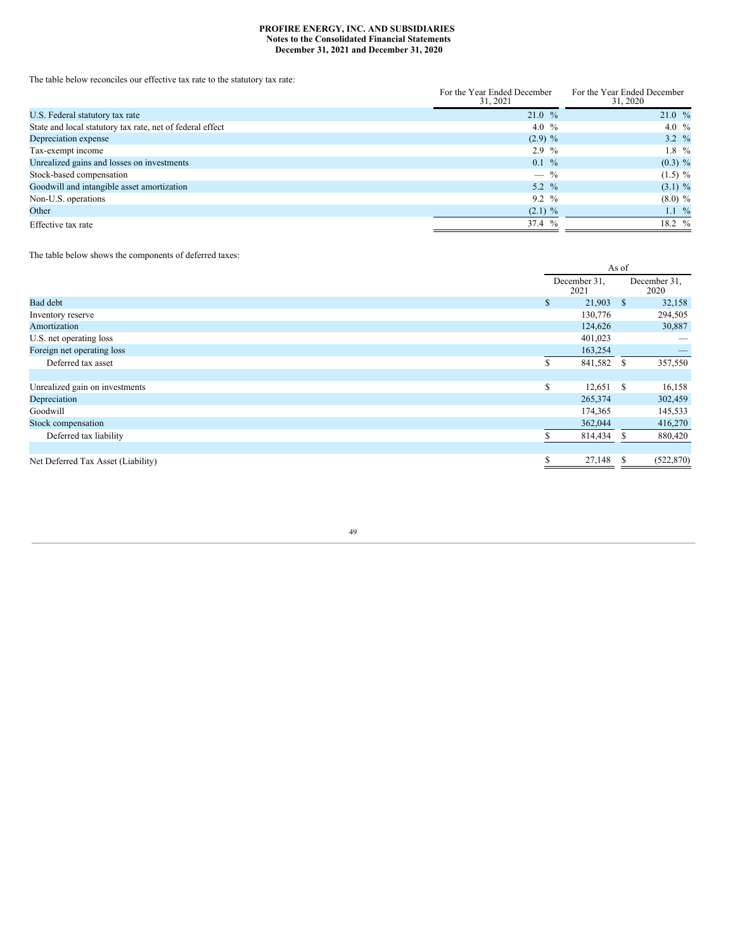The table below reconciles our effective tax rate to the statutory tax rate:

|                                                           | For the Year Ended December<br>31, 2021 | For the Year Ended December<br>31, 2020 |
|-----------------------------------------------------------|-----------------------------------------|-----------------------------------------|
| U.S. Federal statutory tax rate                           | 21.0%                                   | 21.0%                                   |
| State and local statutory tax rate, net of federal effect | 4.0 $\%$                                | 4.0 $%$                                 |
| Depreciation expense                                      | $(2.9)$ %                               | 3.2 $\%$                                |
| Tax-exempt income                                         | $2.9 \%$                                | $1.8\,%$                                |
| Unrealized gains and losses on investments                | $0.1\%$                                 | $(0.3) \%$                              |
| Stock-based compensation                                  | $-$ %                                   | $(1.5) \%$                              |
| Goodwill and intangible asset amortization                | 5.2 $%$                                 | $(3.1)$ %                               |
| Non-U.S. operations                                       | $9.2\%$                                 | $(8.0) \%$                              |
| Other                                                     | $(2.1)$ %                               | 1.1 $\%$                                |
| Effective tax rate                                        | 37.4 $%$                                | 18.2 $%$                                |

The table below shows the components of deferred taxes:

<span id="page-48-0"></span>

|              | 2021    |               | December 31.<br>2020                                           |
|--------------|---------|---------------|----------------------------------------------------------------|
| $\mathbb{S}$ |         |               | 32,158                                                         |
|              | 130,776 |               | 294,505                                                        |
|              | 124,626 |               | 30,887                                                         |
|              | 401,023 |               |                                                                |
|              | 163,254 |               |                                                                |
| S            |         | <sup>\$</sup> | 357,550                                                        |
|              |         |               |                                                                |
| \$           | 12,651  |               | 16,158                                                         |
|              | 265,374 |               | 302,459                                                        |
|              | 174,365 |               | 145,533                                                        |
|              | 362,044 |               | 416,270                                                        |
|              | 814,434 | \$.           | 880,420                                                        |
|              |         |               |                                                                |
| ፍ            |         |               | (522, 870)                                                     |
|              |         | December 31,  | As of<br>$21,903$ \$<br>841,582<br>$\mathbf{s}$<br>$27,148$ \$ |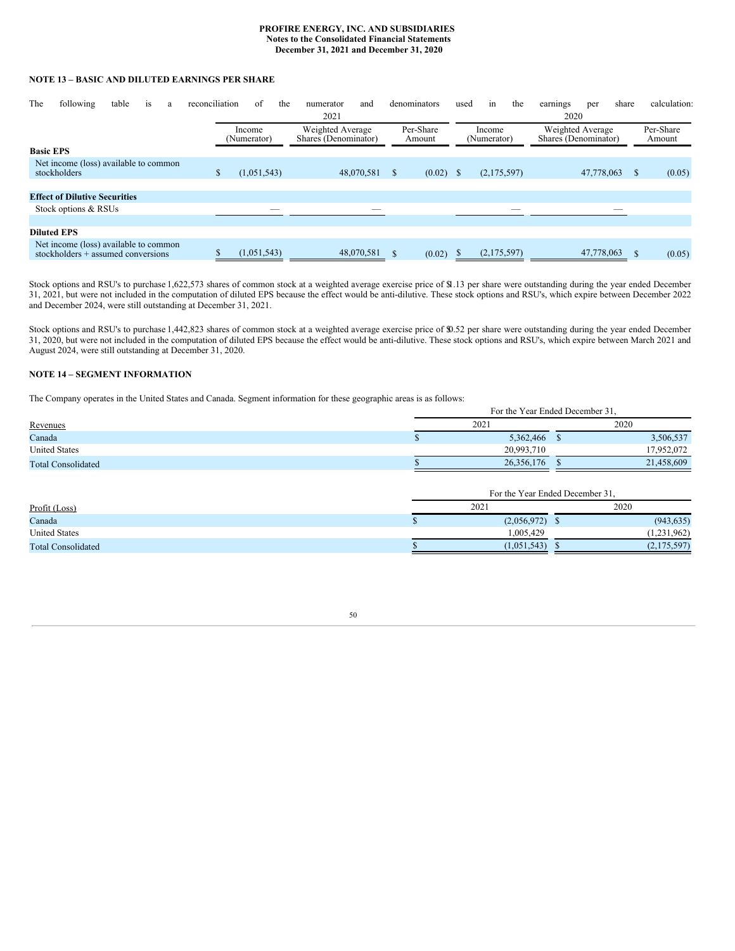## **NOTE 13 – BASIC AND DILUTED EARNINGS PER SHARE**

| The              | following                                                                   | table | <i>is</i> | a | reconciliation | of                    | the | numerator                                | 2021 | and        |     | denominators        | used |                       | in          | the | earnings             | per<br>2020      | share |   | calculation:        |
|------------------|-----------------------------------------------------------------------------|-------|-----------|---|----------------|-----------------------|-----|------------------------------------------|------|------------|-----|---------------------|------|-----------------------|-------------|-----|----------------------|------------------|-------|---|---------------------|
|                  |                                                                             |       |           |   |                | Income<br>(Numerator) |     | Weighted Average<br>Shares (Denominator) |      |            |     | Per-Share<br>Amount |      | Income<br>(Numerator) |             |     | Shares (Denominator) | Weighted Average |       |   | Per-Share<br>Amount |
| <b>Basic EPS</b> |                                                                             |       |           |   |                |                       |     |                                          |      |            |     |                     |      |                       |             |     |                      |                  |       |   |                     |
|                  | Net income (loss) available to common<br>stockholders                       |       |           |   |                | \$<br>(1,051,543)     |     |                                          |      | 48,070,581 |     | (0.02)              | - \$ |                       | (2,175,597) |     |                      | 47,778,063       |       | S | (0.05)              |
|                  | <b>Effect of Dilutive Securities</b>                                        |       |           |   |                |                       |     |                                          |      |            |     |                     |      |                       |             |     |                      |                  |       |   |                     |
|                  | Stock options & RSUs                                                        |       |           |   |                |                       |     |                                          |      |            |     |                     |      |                       |             |     |                      |                  |       |   |                     |
|                  | <b>Diluted EPS</b>                                                          |       |           |   |                |                       |     |                                          |      |            |     |                     |      |                       |             |     |                      |                  |       |   |                     |
|                  | Net income (loss) available to common<br>stockholders + assumed conversions |       |           |   |                | (1,051,543)           |     |                                          |      | 48,070,581 | \$. | (0.02)              |      |                       | (2,175,597) |     |                      | 47,778,063       |       | S | (0.05)              |

Stock options and RSU's to purchase 1,622,573 shares of common stock at a weighted average exercise price of \$1.13 per share were outstanding during the year ended December 31, 2021, but were not included in the computation of diluted EPS because the effect would be anti-dilutive. These stock options and RSU's, which expire between December 2022 and December 2024, were still outstanding at December 31, 2021.

Stock options and RSU's to purchase 1,442,823 shares of common stock at a weighted average exercise price of \$0.52 per share were outstanding during the year ended December 31, 2020, but were not included in the computation of diluted EPS because the effect would be anti-dilutive. These stock options and RSU's, which expire between March 2021 and August 2024, were still outstanding at December 31, 2020.

### **NOTE 14 – SEGMENT INFORMATION**

The Company operates in the United States and Canada. Segment information for these geographic areas is as follows:

|                           | For the Year Ended December 31. |              |      |            |  |  |  |  |
|---------------------------|---------------------------------|--------------|------|------------|--|--|--|--|
| Revenues                  |                                 | 2021         | 2020 |            |  |  |  |  |
| Canada                    |                                 | 5,362,466 \$ |      | 3,506,537  |  |  |  |  |
| <b>United States</b>      |                                 | 20.993.710   |      | 17.952.072 |  |  |  |  |
| <b>Total Consolidated</b> |                                 | 26,356,176   |      | 21.458,609 |  |  |  |  |

|                           | For the Year Ended December 31, |                  |  |             |  |  |  |  |
|---------------------------|---------------------------------|------------------|--|-------------|--|--|--|--|
| Profit (Loss)             |                                 | 2021             |  | 2020        |  |  |  |  |
| Canada                    |                                 | $(2,056,972)$ \$ |  | (943, 635)  |  |  |  |  |
| <b>United States</b>      |                                 | 1.005.429        |  | (1,231,962) |  |  |  |  |
| <b>Total Consolidated</b> |                                 | (1,051,543)      |  | (2,175,597) |  |  |  |  |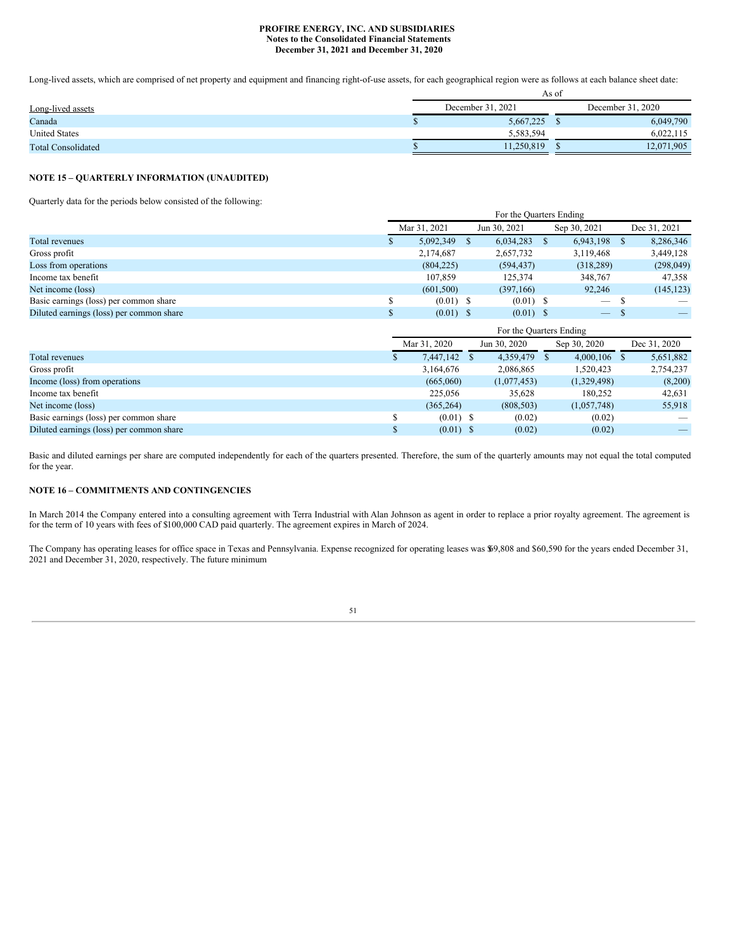Long-lived assets, which are comprised of net property and equipment and financing right-of-use assets, for each geographical region were as follows at each balance sheet date:

|                           | As of             |                   |
|---------------------------|-------------------|-------------------|
| Long-lived assets         | December 31, 2021 | December 31, 2020 |
| Canada                    | 5,667,225         | 6,049,790         |
| <b>United States</b>      | 5,583,594         | 6.022.115         |
| <b>Total Consolidated</b> | 11.250.819        | 12.071.905        |

As of

### **NOTE 15 – QUARTERLY INFORMATION (UNAUDITED)**

Quarterly data for the periods below consisted of the following:

|                                          | For the Quarters Ending |     |              |  |                                 |  |                          |  |  |
|------------------------------------------|-------------------------|-----|--------------|--|---------------------------------|--|--------------------------|--|--|
|                                          | Mar 31, 2021            |     | Jun 30, 2021 |  | Sep 30, 2021                    |  | Dec 31, 2021             |  |  |
| Total revenues                           | 5,092,349               | -86 | 6,034,283    |  | 6,943,198                       |  | 8,286,346                |  |  |
| Gross profit                             | 2,174,687               |     | 2,657,732    |  | 3,119,468                       |  | 3,449,128                |  |  |
| Loss from operations                     | (804, 225)              |     | (594, 437)   |  | (318, 289)                      |  | (298, 049)               |  |  |
| Income tax benefit                       | 107,859                 |     | 125,374      |  | 348,767                         |  | 47,358                   |  |  |
| Net income (loss)                        | (601, 500)              |     | (397,166)    |  | 92.246                          |  | (145, 123)               |  |  |
| Basic earnings (loss) per common share   | $(0.01)$ \$             |     | $(0.01)$ \$  |  | $\hspace{0.1mm}-\hspace{0.1mm}$ |  | $\qquad \qquad$          |  |  |
| Diluted earnings (loss) per common share | $(0.01)$ \$             |     | $(0.01)$ \$  |  | $\overline{\phantom{a}}$        |  | $\overline{\phantom{a}}$ |  |  |

|                                          |              |             |  | For the Quarters Ending |              |                |  |              |
|------------------------------------------|--------------|-------------|--|-------------------------|--------------|----------------|--|--------------|
|                                          | Mar 31, 2020 |             |  | Jun 30, 2020            | Sep 30, 2020 |                |  | Dec 31, 2020 |
| Total revenues                           |              | 7,447,142   |  | 4,359,479               |              | $4,000,106$ \$ |  | 5,651,882    |
| Gross profit                             |              | 3,164,676   |  | 2,086,865               |              | 1,520,423      |  | 2,754,237    |
| Income (loss) from operations            |              | (665,060)   |  | (1,077,453)             |              | (1,329,498)    |  | (8,200)      |
| Income tax benefit                       |              | 225,056     |  | 35,628                  |              | 180,252        |  | 42.631       |
| Net income (loss)                        |              | (365, 264)  |  | (808, 503)              |              | (1,057,748)    |  | 55,918       |
| Basic earnings (loss) per common share   |              | $(0.01)$ \$ |  | (0.02)                  |              | (0.02)         |  |              |
| Diluted earnings (loss) per common share |              | $(0.01)$ \$ |  | (0.02)                  |              | (0.02)         |  |              |

Basic and diluted earnings per share are computed independently for each of the quarters presented. Therefore, the sum of the quarterly amounts may not equal the total computed for the year.

## **NOTE 16 – COMMITMENTS AND CONTINGENCIES**

In March 2014 the Company entered into a consulting agreement with Terra Industrial with Alan Johnson as agent in order to replace a prior royalty agreement. The agreement is for the term of 10 years with fees of \$100,000 CAD paid quarterly. The agreement expires in March of 2024.

The Company has operating leases for office space in Texas and Pennsylvania. Expense recognized for operating leases was \$69,808 and \$60,590 for the years ended December 31, 2021 and December 31, 2020, respectively. The future minimum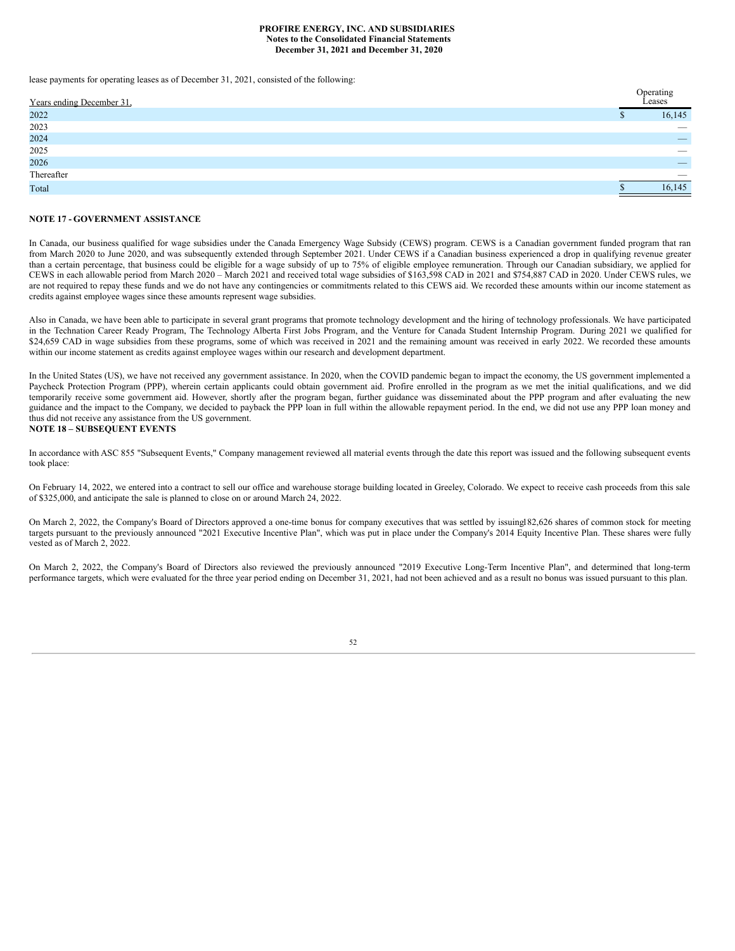lease payments for operating leases as of December 31, 2021, consisted of the following:

| Years ending December 31, | Operating<br>Leases             |
|---------------------------|---------------------------------|
| 2022                      | 16,145                          |
| 2023                      | $\hspace{0.1mm}-\hspace{0.1mm}$ |
| 2024                      | $\hspace{0.1mm}-\hspace{0.1mm}$ |
| 2025                      | $\qquad \qquad$                 |
| 2026                      | $\overbrace{\hspace{25mm}}^{}$  |
| Thereafter                | $\qquad \qquad$                 |
| Total                     | 16,145                          |

## <span id="page-51-0"></span>**NOTE 17 - GOVERNMENT ASSISTANCE**

In Canada, our business qualified for wage subsidies under the Canada Emergency Wage Subsidy (CEWS) program. CEWS is a Canadian government funded program that ran from March 2020 to June 2020, and was subsequently extended through September 2021. Under CEWS if a Canadian business experienced a drop in qualifying revenue greater than a certain percentage, that business could be eligible for a wage subsidy of up to 75% of eligible employee remuneration. Through our Canadian subsidiary, we applied for CEWS in each allowable period from March 2020 – March 2021 and received total wage subsidies of \$163,598 CAD in 2021 and \$754,887 CAD in 2020. Under CEWS rules, we are not required to repay these funds and we do not have any contingencies or commitments related to this CEWS aid. We recorded these amounts within our income statement as credits against employee wages since these amounts represent wage subsidies.

Also in Canada, we have been able to participate in several grant programs that promote technology development and the hiring of technology professionals. We have participated in the Technation Career Ready Program, The Technology Alberta First Jobs Program, and the Venture for Canada Student Internship Program. During 2021 we qualified for \$24,659 CAD in wage subsidies from these programs, some of which was received in 2021 and the remaining amount was received in early 2022. We recorded these amounts within our income statement as credits against employee wages within our research and development department.

In the United States (US), we have not received any government assistance. In 2020, when the COVID pandemic began to impact the economy, the US government implemented a Paycheck Protection Program (PPP), wherein certain applicants could obtain government aid. Profire enrolled in the program as we met the initial qualifications, and we did temporarily receive some government aid. However, shortly after the program began, further guidance was disseminated about the PPP program and after evaluating the new guidance and the impact to the Company, we decided to payback the PPP loan in full within the allowable repayment period. In the end, we did not use any PPP loan money and thus did not receive any assistance from the US government.

# **NOTE 18 – SUBSEQUENT EVENTS**

In accordance with ASC 855 "Subsequent Events," Company management reviewed all material events through the date this report was issued and the following subsequent events took place:

On February 14, 2022, we entered into a contract to sell our office and warehouse storage building located in Greeley, Colorado. We expect to receive cash proceeds from this sale of \$325,000, and anticipate the sale is planned to close on or around March 24, 2022.

On March 2, 2022, the Company's Board of Directors approved a one-time bonus for company executives that was settled by issuing182,626 shares of common stock for meeting targets pursuant to the previously announced "2021 Executive Incentive Plan", which was put in place under the Company's 2014 Equity Incentive Plan. These shares were fully vested as of March 2, 2022.

On March 2, 2022, the Company's Board of Directors also reviewed the previously announced "2019 Executive Long-Term Incentive Plan", and determined that long-term performance targets, which were evaluated for the three year period ending on December 31, 2021, had not been achieved and as a result no bonus was issued pursuant to this plan.

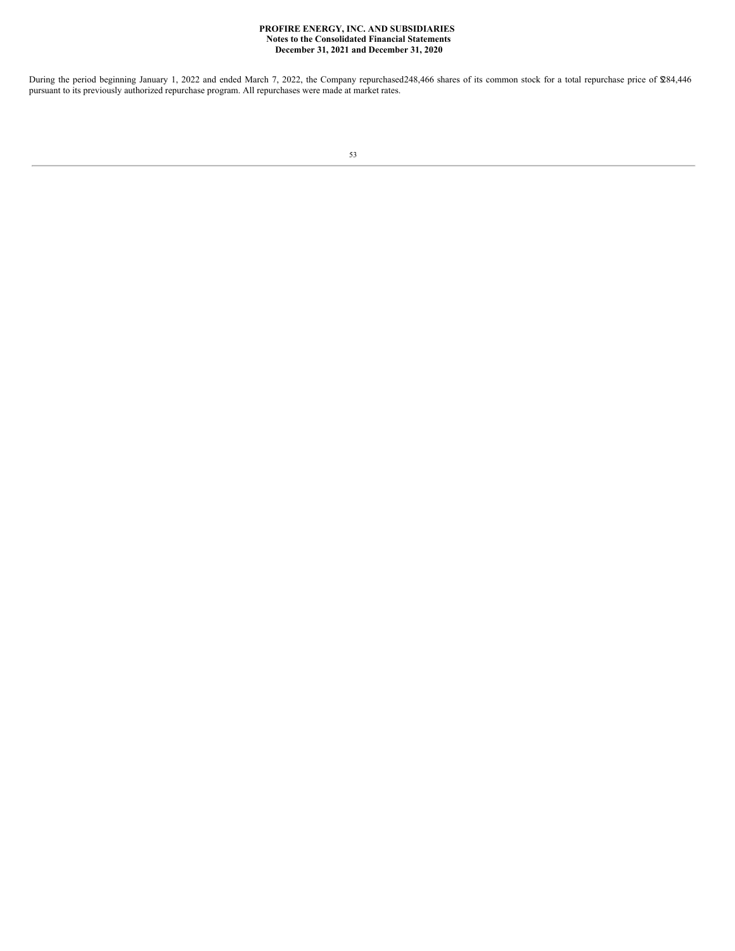<span id="page-52-0"></span>During the period beginning January 1, 2022 and ended March 7, 2022, the Company repurchased248,466 shares of its common stock for a total repurchase price of \$284,446 pursuant to its previously authorized repurchase program. All repurchases were made at market rates.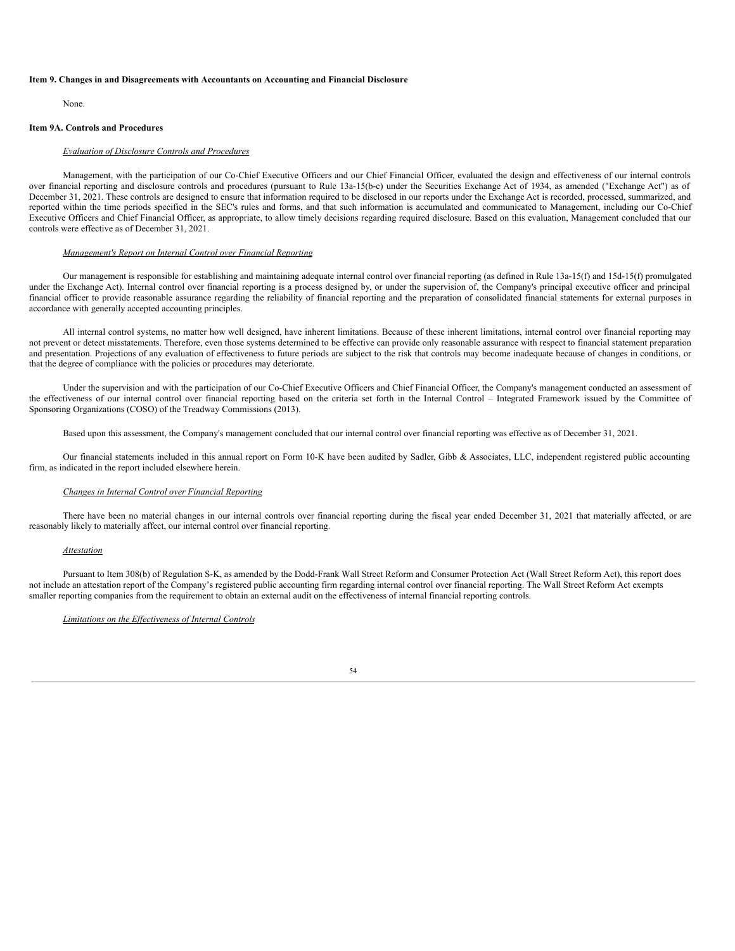### **Item 9. Changes in and Disagreements with Accountants on Accounting and Financial Disclosure**

None.

### <span id="page-53-0"></span>**Item 9A. Controls and Procedures**

### *Evaluation of Disclosure Controls and Procedures*

Management, with the participation of our Co-Chief Executive Officers and our Chief Financial Officer, evaluated the design and effectiveness of our internal controls over financial reporting and disclosure controls and procedures (pursuant to Rule 13a-15(b-c) under the Securities Exchange Act of 1934, as amended ("Exchange Act") as of December 31, 2021. These controls are designed to ensure that information required to be disclosed in our reports under the Exchange Act is recorded, processed, summarized, and reported within the time periods specified in the SEC's rules and forms, and that such information is accumulated and communicated to Management, including our Co-Chief Executive Officers and Chief Financial Officer, as appropriate, to allow timely decisions regarding required disclosure. Based on this evaluation, Management concluded that our controls were effective as of December 31, 2021.

#### *Management's Report on Internal Control over Financial Reporting*

Our management is responsible for establishing and maintaining adequate internal control over financial reporting (as defined in Rule 13a-15(f) and 15d-15(f) promulgated under the Exchange Act). Internal control over financial reporting is a process designed by, or under the supervision of, the Company's principal executive officer and principal financial officer to provide reasonable assurance regarding the reliability of financial reporting and the preparation of consolidated financial statements for external purposes in accordance with generally accepted accounting principles.

All internal control systems, no matter how well designed, have inherent limitations. Because of these inherent limitations, internal control over financial reporting may not prevent or detect misstatements. Therefore, even those systems determined to be effective can provide only reasonable assurance with respect to financial statement preparation and presentation. Projections of any evaluation of effectiveness to future periods are subject to the risk that controls may become inadequate because of changes in conditions, or that the degree of compliance with the policies or procedures may deteriorate.

Under the supervision and with the participation of our Co-Chief Executive Officers and Chief Financial Officer, the Company's management conducted an assessment of the effectiveness of our internal control over financial reporting based on the criteria set forth in the Internal Control – Integrated Framework issued by the Committee of Sponsoring Organizations (COSO) of the Treadway Commissions (2013).

Based upon this assessment, the Company's management concluded that our internal control over financial reporting was effective as of December 31, 2021.

Our financial statements included in this annual report on Form 10-K have been audited by Sadler, Gibb & Associates, LLC, independent registered public accounting firm, as indicated in the report included elsewhere herein.

### *Changes in Internal Control over Financial Reporting*

There have been no material changes in our internal controls over financial reporting during the fiscal year ended December 31, 2021 that materially affected, or are reasonably likely to materially affect, our internal control over financial reporting.

#### *Attestation*

Pursuant to Item 308(b) of Regulation S-K, as amended by the Dodd-Frank Wall Street Reform and Consumer Protection Act (Wall Street Reform Act), this report does not include an attestation report of the Company's registered public accounting firm regarding internal control over financial reporting. The Wall Street Reform Act exempts smaller reporting companies from the requirement to obtain an external audit on the effectiveness of internal financial reporting controls.

### *Limitations on the Ef ectiveness of Internal Controls*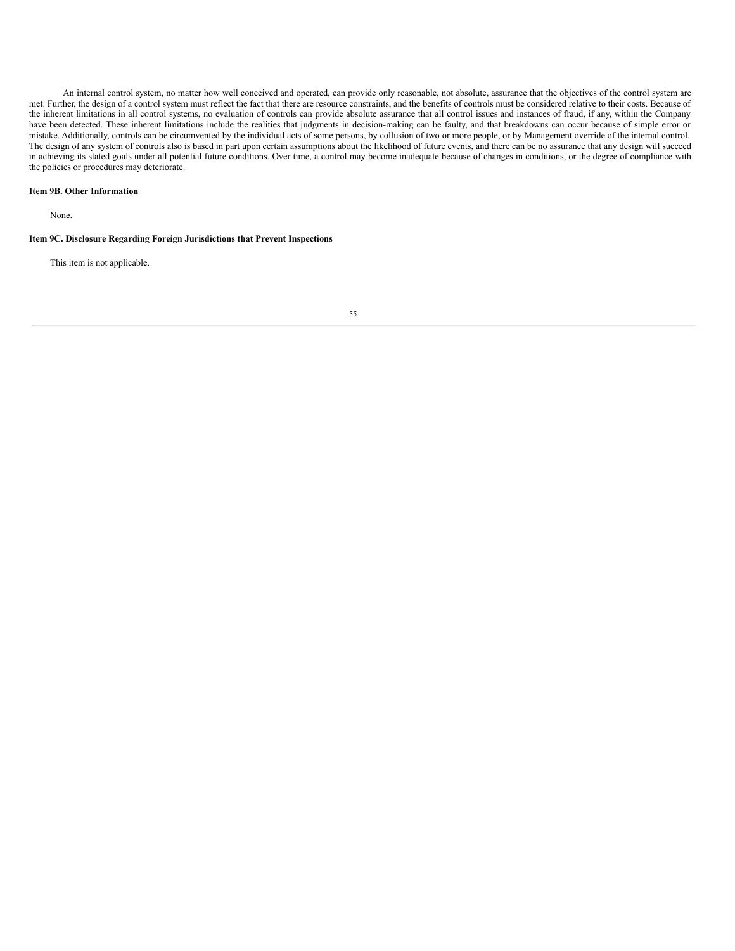An internal control system, no matter how well conceived and operated, can provide only reasonable, not absolute, assurance that the objectives of the control system are met. Further, the design of a control system must reflect the fact that there are resource constraints, and the benefits of controls must be considered relative to their costs. Because of the inherent limitations in all control systems, no evaluation of controls can provide absolute assurance that all control issues and instances of fraud, if any, within the Company have been detected. These inherent limitations include the realities that judgments in decision-making can be faulty, and that breakdowns can occur because of simple error or mistake. Additionally, controls can be circumvented by the individual acts of some persons, by collusion of two or more people, or by Management override of the internal control. The design of any system of controls also is based in part upon certain assumptions about the likelihood of future events, and there can be no assurance that any design will succeed in achieving its stated goals under all potential future conditions. Over time, a control may become inadequate because of changes in conditions, or the degree of compliance with the policies or procedures may deteriorate.

### <span id="page-54-0"></span>**Item 9B. Other Information**

None.

### **Item 9C. Disclosure Regarding Foreign Jurisdictions that Prevent Inspections**

This item is not applicable.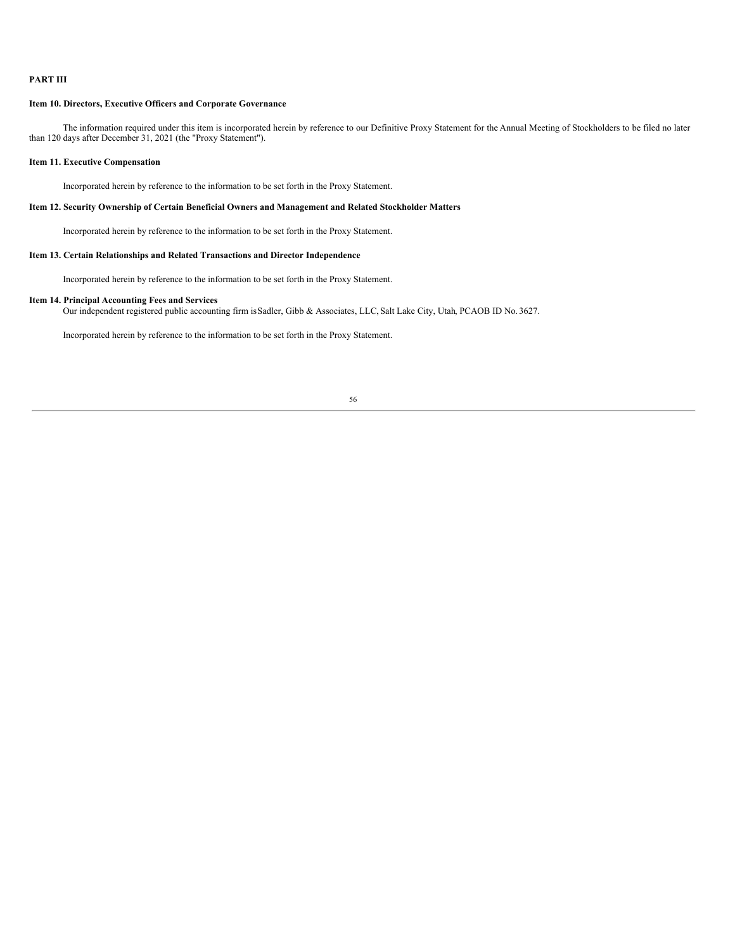### **PART III**

### <span id="page-55-0"></span>**Item 10. Directors, Executive Officers and Corporate Governance**

The information required under this item is incorporated herein by reference to our Definitive Proxy Statement for the Annual Meeting of Stockholders to be filed no later than 120 days after December 31, 2021 (the "Proxy Statement").

### <span id="page-55-1"></span>**Item 11. Executive Compensation**

Incorporated herein by reference to the information to be set forth in the Proxy Statement.

### <span id="page-55-2"></span>**Item 12. Security Ownership of Certain Beneficial Owners and Management and Related Stockholder Matters**

Incorporated herein by reference to the information to be set forth in the Proxy Statement.

### <span id="page-55-3"></span>**Item 13. Certain Relationships and Related Transactions and Director Independence**

Incorporated herein by reference to the information to be set forth in the Proxy Statement.

### <span id="page-55-4"></span>**Item 14. Principal Accounting Fees and Services**

Our independent registered public accounting firm isSadler, Gibb & Associates, LLC, Salt Lake City, Utah, PCAOB ID No. 3627.

Incorporated herein by reference to the information to be set forth in the Proxy Statement.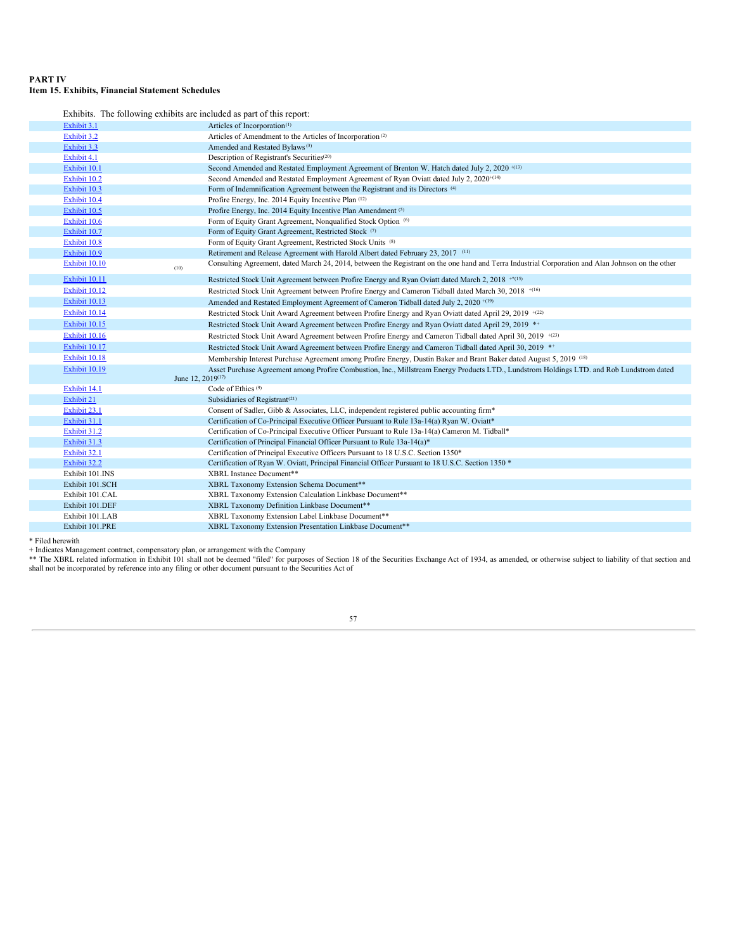## <span id="page-56-0"></span>**PART IV Item 15. Exhibits, Financial Statement Schedules**

| Exhibits. The following exhibits are included as part of this report: |                                                                                                                                                   |
|-----------------------------------------------------------------------|---------------------------------------------------------------------------------------------------------------------------------------------------|
| Exhibit 3.1                                                           | Articles of Incorporation <sup>(1)</sup>                                                                                                          |
| Exhibit 3.2                                                           | Articles of Amendment to the Articles of Incorporation <sup>(2)</sup>                                                                             |
| Exhibit 3.3                                                           | Amended and Restated Bylaws <sup>(3)</sup>                                                                                                        |
| Exhibit 4.1                                                           | Description of Registrant's Securities <sup>(20)</sup>                                                                                            |
| Exhibit 10.1                                                          | Second Amended and Restated Employment Agreement of Brenton W. Hatch dated July 2, 2020 <sup>+(13)</sup>                                          |
| Exhibit 10.2                                                          | Second Amended and Restated Employment Agreement of Ryan Oviatt dated July 2, 2020 <sup>+(14)</sup>                                               |
| Exhibit 10.3                                                          | Form of Indemnification Agreement between the Registrant and its Directors <sup>(4)</sup>                                                         |
| Exhibit 10.4                                                          | Profire Energy, Inc. 2014 Equity Incentive Plan (12)                                                                                              |
| Exhibit 10.5                                                          | Profire Energy, Inc. 2014 Equity Incentive Plan Amendment (5)                                                                                     |
| Exhibit 10.6                                                          | Form of Equity Grant Agreement, Nonqualified Stock Option (6)                                                                                     |
| Exhibit 10.7                                                          | Form of Equity Grant Agreement, Restricted Stock (7)                                                                                              |
| Exhibit 10.8                                                          | Form of Equity Grant Agreement, Restricted Stock Units (8)                                                                                        |
| Exhibit 10.9                                                          | Retirement and Release Agreement with Harold Albert dated February 23, 2017 (11)                                                                  |
| Exhibit 10.10<br>(10)                                                 | Consulting Agreement, dated March 24, 2014, between the Registrant on the one hand and Terra Industrial Corporation and Alan Johnson on the other |
| Exhibit 10.11                                                         | Restricted Stock Unit Agreement between Profire Energy and Ryan Oviatt dated March 2, 2018 <sup>+*(15)</sup>                                      |
| Exhibit 10.12                                                         | Restricted Stock Unit Agreement between Profire Energy and Cameron Tidball dated March 30, 2018 <sup>+(16)</sup>                                  |
| Exhibit 10.13                                                         | Amended and Restated Employment Agreement of Cameron Tidball dated July 2, 2020 <sup>+(19)</sup>                                                  |
| Exhibit 10.14                                                         | Restricted Stock Unit Award Agreement between Profire Energy and Ryan Oviatt dated April 29, 2019 +(22)                                           |
| Exhibit 10.15                                                         | Restricted Stock Unit Award Agreement between Profire Energy and Ryan Oviatt dated April 29, 2019 **                                              |
| Exhibit 10.16                                                         | Restricted Stock Unit Award Agreement between Profire Energy and Cameron Tidball dated April 30, 2019 <sup>+(23)</sup>                            |
| Exhibit 10.17                                                         | Restricted Stock Unit Award Agreement between Profire Energy and Cameron Tidball dated April 30, 2019 **                                          |
| Exhibit 10.18                                                         | Membership Interest Purchase Agreement among Profire Energy, Dustin Baker and Brant Baker dated August 5, 2019 (18)                               |
| Exhibit 10.19                                                         | Asset Purchase Agreement among Profire Combustion, Inc., Millstream Energy Products LTD., Lundstrom Holdings LTD. and Rob Lundstrom dated         |
| June 12, $2019^{(17)}$                                                |                                                                                                                                                   |
| Exhibit 14.1                                                          | Code of Ethics <sup>(9)</sup>                                                                                                                     |
| Exhibit 21                                                            | Subsidiaries of Registrant <sup>(21)</sup>                                                                                                        |
| Exhibit 23.1                                                          | Consent of Sadler, Gibb & Associates, LLC, independent registered public accounting firm*                                                         |
| Exhibit 31.1                                                          | Certification of Co-Principal Executive Officer Pursuant to Rule 13a-14(a) Ryan W. Oviatt*                                                        |
| Exhibit 31.2                                                          | Certification of Co-Principal Executive Officer Pursuant to Rule 13a-14(a) Cameron M. Tidball*                                                    |
| Exhibit 31.3                                                          | Certification of Principal Financial Officer Pursuant to Rule 13a-14(a)*                                                                          |
| Exhibit 32.1                                                          | Certification of Principal Executive Officers Pursuant to 18 U.S.C. Section 1350*                                                                 |
| Exhibit 32.2                                                          | Certification of Ryan W. Oviatt, Principal Financial Officer Pursuant to 18 U.S.C. Section 1350 *                                                 |
| Exhibit 101.INS                                                       | XBRL Instance Document**                                                                                                                          |
| Exhibit 101.SCH                                                       | XBRL Taxonomy Extension Schema Document**                                                                                                         |
| Exhibit 101.CAL                                                       | XBRL Taxonomy Extension Calculation Linkbase Document**                                                                                           |
| Exhibit 101.DEF                                                       | XBRL Taxonomy Definition Linkbase Document**                                                                                                      |
| Exhibit 101.LAB                                                       | XBRL Taxonomy Extension Label Linkbase Document**                                                                                                 |
| Exhibit 101.PRE                                                       | XBRL Taxonomy Extension Presentation Linkbase Document**                                                                                          |

\* Filed herewith<br>+ Indicates Management contract, compensatory plan, or arrangement with the Company<br>\*\* The XBRL related information in Exhibit 101 shall not be deemed "filed" for purposes of Section 18 of the Securities E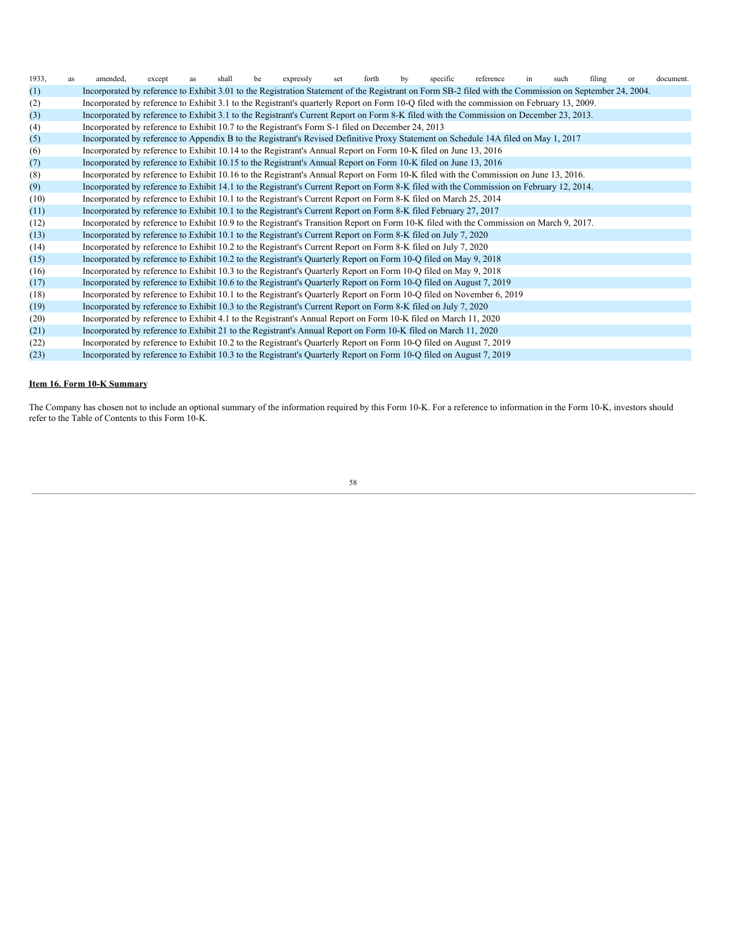| 1933, | as | amended,                                                                                                                                                | except | as | shall | be | expressly | set | forth | by | specific | reference | in | such | filing | or | document. |
|-------|----|---------------------------------------------------------------------------------------------------------------------------------------------------------|--------|----|-------|----|-----------|-----|-------|----|----------|-----------|----|------|--------|----|-----------|
| (1)   |    | Incorporated by reference to Exhibit 3.01 to the Registration Statement of the Registrant on Form SB-2 filed with the Commission on September 24, 2004. |        |    |       |    |           |     |       |    |          |           |    |      |        |    |           |
| (2)   |    | Incorporated by reference to Exhibit 3.1 to the Registrant's quarterly Report on Form 10-Q filed with the commission on February 13, 2009.              |        |    |       |    |           |     |       |    |          |           |    |      |        |    |           |
| (3)   |    | Incorporated by reference to Exhibit 3.1 to the Registrant's Current Report on Form 8-K filed with the Commission on December 23, 2013.                 |        |    |       |    |           |     |       |    |          |           |    |      |        |    |           |
| (4)   |    | Incorporated by reference to Exhibit 10.7 to the Registrant's Form S-1 filed on December 24, 2013                                                       |        |    |       |    |           |     |       |    |          |           |    |      |        |    |           |
| (5)   |    | Incorporated by reference to Appendix B to the Registrant's Revised Definitive Proxy Statement on Schedule 14A filed on May 1, 2017                     |        |    |       |    |           |     |       |    |          |           |    |      |        |    |           |
| (6)   |    | Incorporated by reference to Exhibit 10.14 to the Registrant's Annual Report on Form 10-K filed on June 13, 2016                                        |        |    |       |    |           |     |       |    |          |           |    |      |        |    |           |
| (7)   |    | Incorporated by reference to Exhibit 10.15 to the Registrant's Annual Report on Form 10-K filed on June 13, 2016                                        |        |    |       |    |           |     |       |    |          |           |    |      |        |    |           |
| (8)   |    | Incorporated by reference to Exhibit 10.16 to the Registrant's Annual Report on Form 10-K filed with the Commission on June 13, 2016.                   |        |    |       |    |           |     |       |    |          |           |    |      |        |    |           |
| (9)   |    | Incorporated by reference to Exhibit 14.1 to the Registrant's Current Report on Form 8-K filed with the Commission on February 12, 2014.                |        |    |       |    |           |     |       |    |          |           |    |      |        |    |           |
| (10)  |    | Incorporated by reference to Exhibit 10.1 to the Registrant's Current Report on Form 8-K filed on March 25, 2014                                        |        |    |       |    |           |     |       |    |          |           |    |      |        |    |           |
| (11)  |    | Incorporated by reference to Exhibit 10.1 to the Registrant's Current Report on Form 8-K filed February 27, 2017                                        |        |    |       |    |           |     |       |    |          |           |    |      |        |    |           |
| (12)  |    | Incorporated by reference to Exhibit 10.9 to the Registrant's Transition Report on Form 10-K filed with the Commission on March 9, 2017.                |        |    |       |    |           |     |       |    |          |           |    |      |        |    |           |
| (13)  |    | Incorporated by reference to Exhibit 10.1 to the Registrant's Current Report on Form 8-K filed on July 7, 2020                                          |        |    |       |    |           |     |       |    |          |           |    |      |        |    |           |
| (14)  |    | Incorporated by reference to Exhibit 10.2 to the Registrant's Current Report on Form 8-K filed on July 7, 2020                                          |        |    |       |    |           |     |       |    |          |           |    |      |        |    |           |
| (15)  |    | Incorporated by reference to Exhibit 10.2 to the Registrant's Quarterly Report on Form 10-Q filed on May 9, 2018                                        |        |    |       |    |           |     |       |    |          |           |    |      |        |    |           |
| (16)  |    | Incorporated by reference to Exhibit 10.3 to the Registrant's Quarterly Report on Form 10-Q filed on May 9, 2018                                        |        |    |       |    |           |     |       |    |          |           |    |      |        |    |           |
| (17)  |    | Incorporated by reference to Exhibit 10.6 to the Registrant's Quarterly Report on Form 10-Q filed on August 7, 2019                                     |        |    |       |    |           |     |       |    |          |           |    |      |        |    |           |
| (18)  |    | Incorporated by reference to Exhibit 10.1 to the Registrant's Quarterly Report on Form 10-Q filed on November 6, 2019                                   |        |    |       |    |           |     |       |    |          |           |    |      |        |    |           |
| (19)  |    | Incorporated by reference to Exhibit 10.3 to the Registrant's Current Report on Form 8-K filed on July 7, 2020                                          |        |    |       |    |           |     |       |    |          |           |    |      |        |    |           |
| (20)  |    | Incorporated by reference to Exhibit 4.1 to the Registrant's Annual Report on Form 10-K filed on March 11, 2020                                         |        |    |       |    |           |     |       |    |          |           |    |      |        |    |           |
| (21)  |    | Incorporated by reference to Exhibit 21 to the Registrant's Annual Report on Form 10-K filed on March 11, 2020                                          |        |    |       |    |           |     |       |    |          |           |    |      |        |    |           |
| (22)  |    | Incorporated by reference to Exhibit 10.2 to the Registrant's Quarterly Report on Form 10-Q filed on August 7, 2019                                     |        |    |       |    |           |     |       |    |          |           |    |      |        |    |           |
| (23)  |    | Incorporated by reference to Exhibit 10.3 to the Registrant's Quarterly Report on Form 10-Q filed on August 7, 2019                                     |        |    |       |    |           |     |       |    |          |           |    |      |        |    |           |

# **Item 16. Form 10-K Summary**

<span id="page-57-0"></span>The Company has chosen not to include an optional summary of the information required by this Form 10-K. For a reference to information in the Form 10-K, investors should refer to the Table of Contents to this Form 10-K.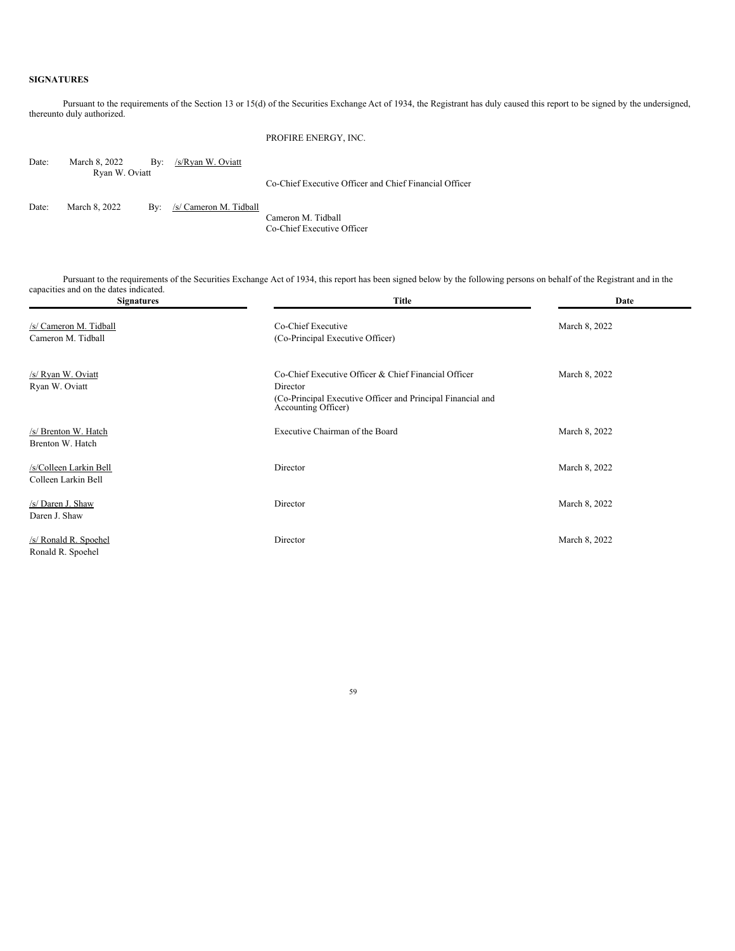## **SIGNATURES**

Pursuant to the requirements of the Section 13 or 15(d) of the Securities Exchange Act of 1934, the Registrant has duly caused this report to be signed by the undersigned, thereunto duly authorized.

PROFIRE ENERGY, INC.

Co-Chief Executive Officer

| Date: | March 8, 2022 By: $/s/Ryan W$ . Oviatt |                            |                                                        |
|-------|----------------------------------------|----------------------------|--------------------------------------------------------|
|       | Ryan W. Oviatt                         |                            |                                                        |
|       |                                        |                            | Co-Chief Executive Officer and Chief Financial Officer |
|       |                                        |                            |                                                        |
| Date: | March 8, 2022                          | By: /s/ Cameron M. Tidball |                                                        |
|       |                                        |                            | Cameron M. Tidball                                     |

Pursuant to the requirements of the Securities Exchange Act of 1934, this report has been signed below by the following persons on behalf of the Registrant and in the capacities and on the dates indicated.

| <b>Signatures</b>                             | <b>Title</b>                                                                                                                                           | Date          |  |  |
|-----------------------------------------------|--------------------------------------------------------------------------------------------------------------------------------------------------------|---------------|--|--|
| /s/ Cameron M. Tidball<br>Cameron M. Tidball  | Co-Chief Executive<br>(Co-Principal Executive Officer)                                                                                                 | March 8, 2022 |  |  |
| /s/ Ryan W. Oviatt<br>Ryan W. Oviatt          | Co-Chief Executive Officer & Chief Financial Officer<br>Director<br>(Co-Principal Executive Officer and Principal Financial and<br>Accounting Officer) | March 8, 2022 |  |  |
| /s/ Brenton W. Hatch<br>Brenton W. Hatch      | Executive Chairman of the Board                                                                                                                        | March 8, 2022 |  |  |
| /s/Colleen Larkin Bell<br>Colleen Larkin Bell | Director                                                                                                                                               | March 8, 2022 |  |  |
| /s/ Daren J. Shaw<br>Daren J. Shaw            | Director                                                                                                                                               | March 8, 2022 |  |  |
| /s/ Ronald R. Spoehel<br>Ronald R. Spoehel    | Director                                                                                                                                               | March 8, 2022 |  |  |

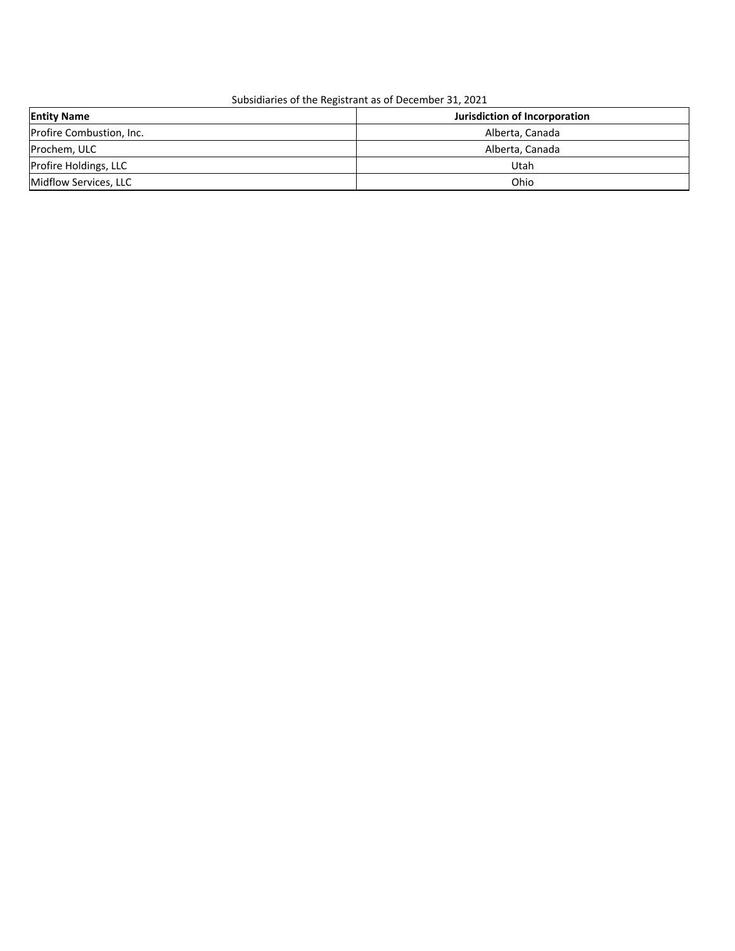<span id="page-59-0"></span>

| Subsidiaries of the Registrant as of December 31, 2021 |  |  |  |  |  |
|--------------------------------------------------------|--|--|--|--|--|
| Jurisdiction of Incorporation                          |  |  |  |  |  |
| Alberta, Canada                                        |  |  |  |  |  |
| Alberta, Canada                                        |  |  |  |  |  |
| Utah                                                   |  |  |  |  |  |
| Ohio                                                   |  |  |  |  |  |
|                                                        |  |  |  |  |  |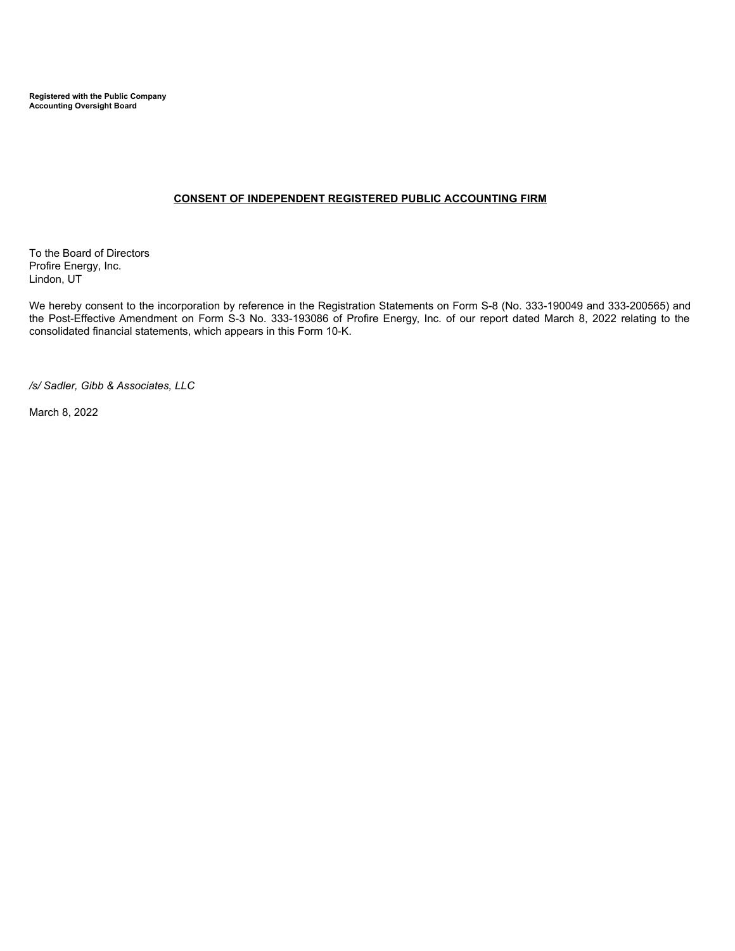<span id="page-60-0"></span>**Registered with the Public Company Accounting Oversight Board**

# **CONSENT OF INDEPENDENT REGISTERED PUBLIC ACCOUNTING FIRM**

To the Board of Directors Profire Energy, Inc. Lindon, UT

We hereby consent to the incorporation by reference in the Registration Statements on Form S-8 (No. 333-190049 and 333-200565) and the Post-Effective Amendment on Form S-3 No. 333-193086 of Profire Energy, Inc. of our report dated March 8, 2022 relating to the consolidated financial statements, which appears in this Form 10-K.

*/s/ Sadler, Gibb & Associates, LLC*

March 8, 2022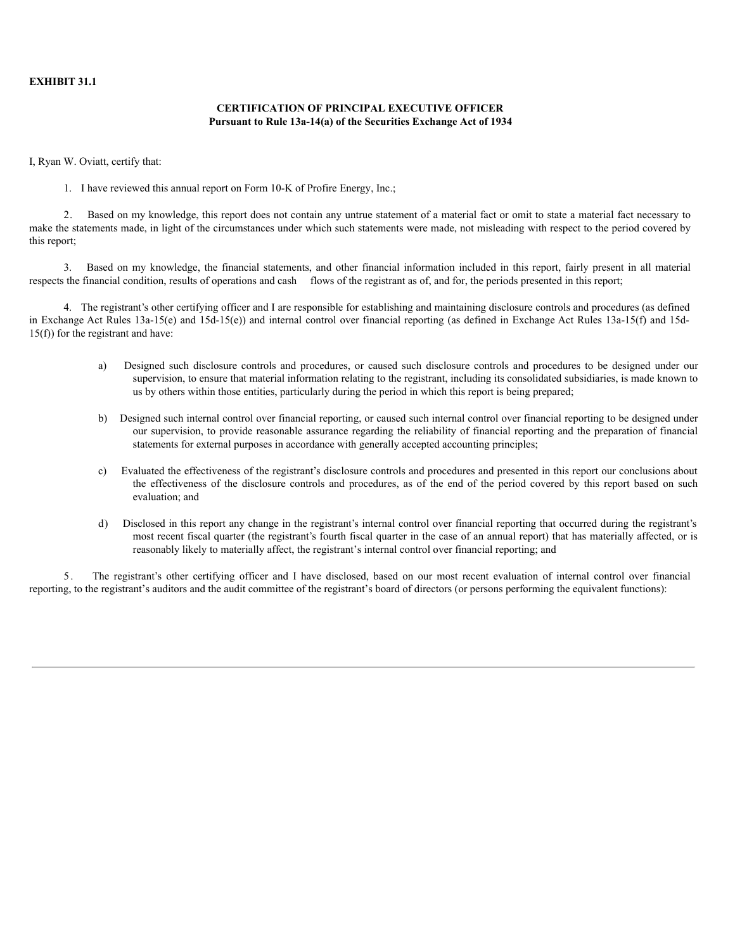## **CERTIFICATION OF PRINCIPAL EXECUTIVE OFFICER Pursuant to Rule 13a-14(a) of the Securities Exchange Act of 1934**

<span id="page-61-0"></span>I, Ryan W. Oviatt, certify that:

1. I have reviewed this annual report on Form 10-K of Profire Energy, Inc.;

2. Based on my knowledge, this report does not contain any untrue statement of a material fact or omit to state a material fact necessary to make the statements made, in light of the circumstances under which such statements were made, not misleading with respect to the period covered by this report;

3. Based on my knowledge, the financial statements, and other financial information included in this report, fairly present in all material respects the financial condition, results of operations and cash flows of the registrant as of, and for, the periods presented in this report;

4. The registrant's other certifying officer and I are responsible for establishing and maintaining disclosure controls and procedures (as defined in Exchange Act Rules 13a-15(e) and 15d-15(e)) and internal control over financial reporting (as defined in Exchange Act Rules 13a-15(f) and 15d-15(f)) for the registrant and have:

- a) Designed such disclosure controls and procedures, or caused such disclosure controls and procedures to be designed under our supervision, to ensure that material information relating to the registrant, including its consolidated subsidiaries, is made known to us by others within those entities, particularly during the period in which this report is being prepared;
- b) Designed such internal control over financial reporting, or caused such internal control over financial reporting to be designed under our supervision, to provide reasonable assurance regarding the reliability of financial reporting and the preparation of financial statements for external purposes in accordance with generally accepted accounting principles;
- c) Evaluated the effectiveness of the registrant's disclosure controls and procedures and presented in this report our conclusions about the effectiveness of the disclosure controls and procedures, as of the end of the period covered by this report based on such evaluation; and
- d) Disclosed in this report any change in the registrant's internal control over financial reporting that occurred during the registrant's most recent fiscal quarter (the registrant's fourth fiscal quarter in the case of an annual report) that has materially affected, or is reasonably likely to materially affect, the registrant's internal control over financial reporting; and

The registrant's other certifying officer and I have disclosed, based on our most recent evaluation of internal control over financial reporting, to the registrant's auditors and the audit committee of the registrant's board of directors (or persons performing the equivalent functions):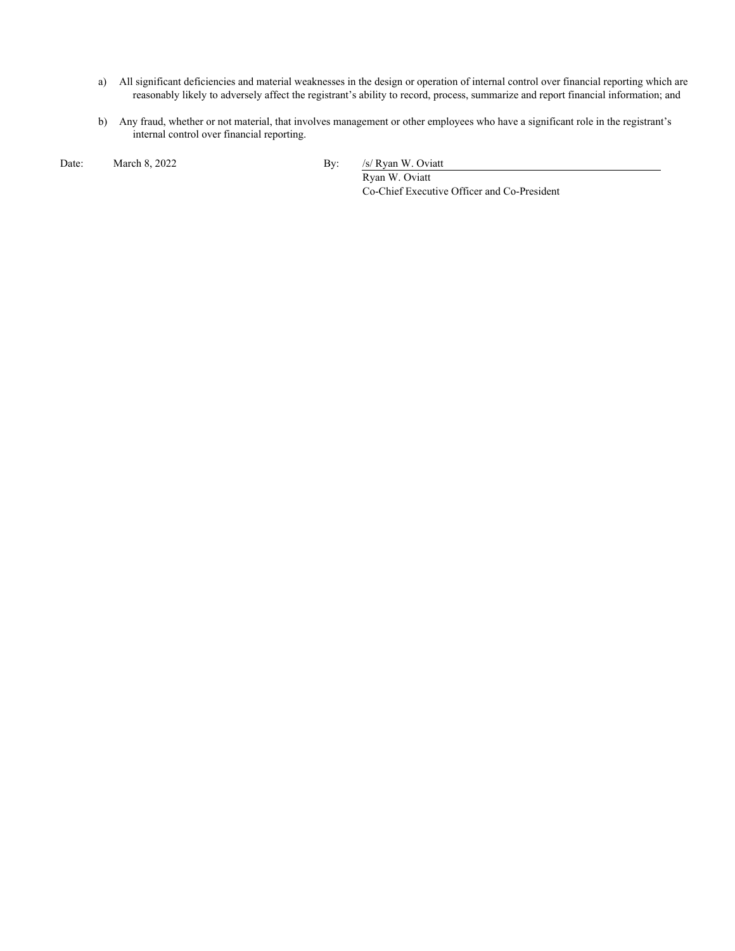- a) All significant deficiencies and material weaknesses in the design or operation of internal control over financial reporting which are reasonably likely to adversely affect the registrant's ability to record, process, summarize and report financial information; and
- b) Any fraud, whether or not material, that involves management or other employees who have a significant role in the registrant's internal control over financial reporting.

Date: March 8, 2022 By: /s/ Ryan W. Oviatt

Ryan W. Oviatt Co-Chief Executive Officer and Co-President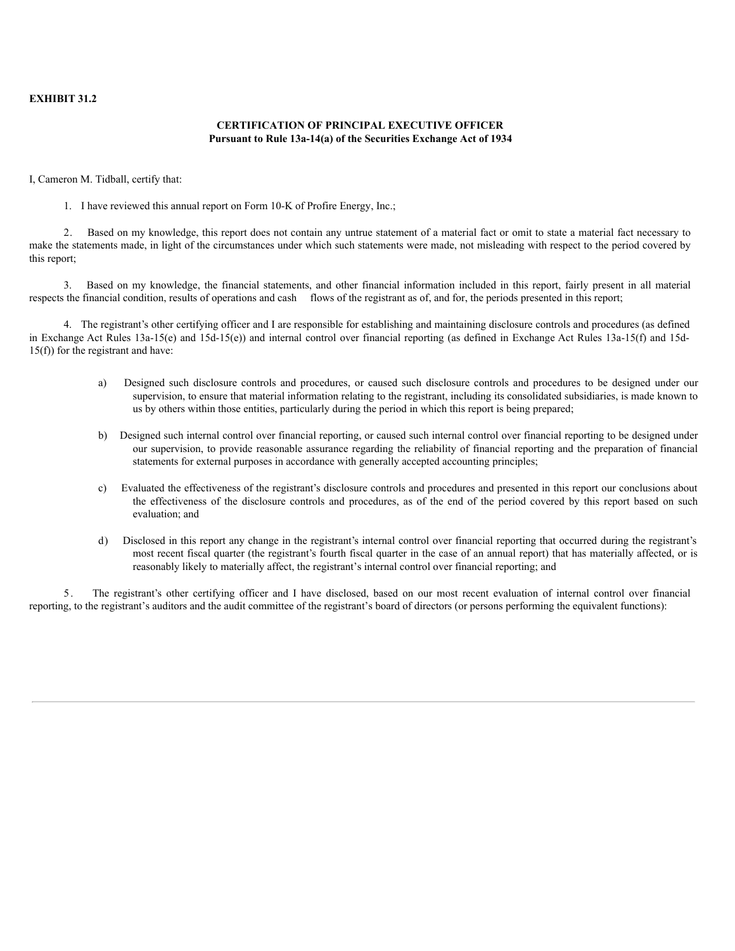## **CERTIFICATION OF PRINCIPAL EXECUTIVE OFFICER Pursuant to Rule 13a-14(a) of the Securities Exchange Act of 1934**

<span id="page-63-0"></span>I, Cameron M. Tidball, certify that:

1. I have reviewed this annual report on Form 10-K of Profire Energy, Inc.;

2. Based on my knowledge, this report does not contain any untrue statement of a material fact or omit to state a material fact necessary to make the statements made, in light of the circumstances under which such statements were made, not misleading with respect to the period covered by this report;

3. Based on my knowledge, the financial statements, and other financial information included in this report, fairly present in all material respects the financial condition, results of operations and cash flows of the registrant as of, and for, the periods presented in this report;

4. The registrant's other certifying officer and I are responsible for establishing and maintaining disclosure controls and procedures (as defined in Exchange Act Rules 13a-15(e) and 15d-15(e)) and internal control over financial reporting (as defined in Exchange Act Rules 13a-15(f) and 15d-15(f)) for the registrant and have:

- a) Designed such disclosure controls and procedures, or caused such disclosure controls and procedures to be designed under our supervision, to ensure that material information relating to the registrant, including its consolidated subsidiaries, is made known to us by others within those entities, particularly during the period in which this report is being prepared;
- b) Designed such internal control over financial reporting, or caused such internal control over financial reporting to be designed under our supervision, to provide reasonable assurance regarding the reliability of financial reporting and the preparation of financial statements for external purposes in accordance with generally accepted accounting principles;
- c) Evaluated the effectiveness of the registrant's disclosure controls and procedures and presented in this report our conclusions about the effectiveness of the disclosure controls and procedures, as of the end of the period covered by this report based on such evaluation; and
- d) Disclosed in this report any change in the registrant's internal control over financial reporting that occurred during the registrant's most recent fiscal quarter (the registrant's fourth fiscal quarter in the case of an annual report) that has materially affected, or is reasonably likely to materially affect, the registrant's internal control over financial reporting; and

5 . The registrant's other certifying officer and I have disclosed, based on our most recent evaluation of internal control over financial reporting, to the registrant's auditors and the audit committee of the registrant's board of directors (or persons performing the equivalent functions):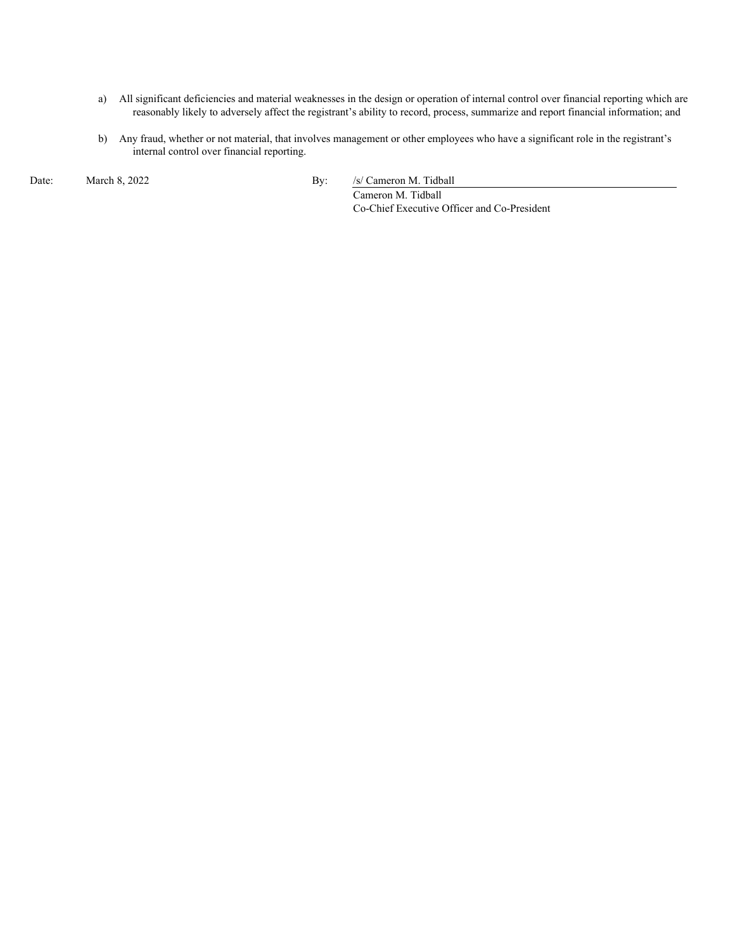- a) All significant deficiencies and material weaknesses in the design or operation of internal control over financial reporting which are reasonably likely to adversely affect the registrant's ability to record, process, summarize and report financial information; and
- b) Any fraud, whether or not material, that involves management or other employees who have a significant role in the registrant's internal control over financial reporting.

Date: March 8, 2022 By: /s/ Cameron M. Tidball

Cameron M. Tidball Co-Chief Executive Officer and Co-President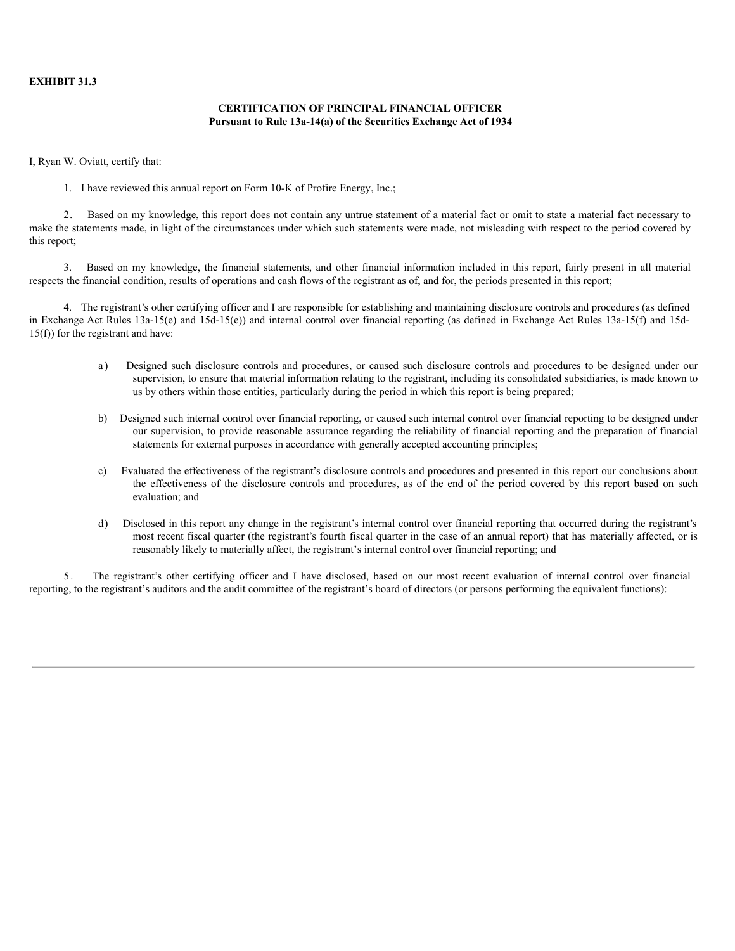## **CERTIFICATION OF PRINCIPAL FINANCIAL OFFICER Pursuant to Rule 13a-14(a) of the Securities Exchange Act of 1934**

<span id="page-65-0"></span>I, Ryan W. Oviatt, certify that:

1. I have reviewed this annual report on Form 10-K of Profire Energy, Inc.;

2. Based on my knowledge, this report does not contain any untrue statement of a material fact or omit to state a material fact necessary to make the statements made, in light of the circumstances under which such statements were made, not misleading with respect to the period covered by this report;

3. Based on my knowledge, the financial statements, and other financial information included in this report, fairly present in all material respects the financial condition, results of operations and cash flows of the registrant as of, and for, the periods presented in this report;

4. The registrant's other certifying officer and I are responsible for establishing and maintaining disclosure controls and procedures (as defined in Exchange Act Rules 13a-15(e) and 15d-15(e)) and internal control over financial reporting (as defined in Exchange Act Rules 13a-15(f) and 15d-15(f)) for the registrant and have:

- a ) Designed such disclosure controls and procedures, or caused such disclosure controls and procedures to be designed under our supervision, to ensure that material information relating to the registrant, including its consolidated subsidiaries, is made known to us by others within those entities, particularly during the period in which this report is being prepared;
- b) Designed such internal control over financial reporting, or caused such internal control over financial reporting to be designed under our supervision, to provide reasonable assurance regarding the reliability of financial reporting and the preparation of financial statements for external purposes in accordance with generally accepted accounting principles;
- c) Evaluated the effectiveness of the registrant's disclosure controls and procedures and presented in this report our conclusions about the effectiveness of the disclosure controls and procedures, as of the end of the period covered by this report based on such evaluation; and
- d) Disclosed in this report any change in the registrant's internal control over financial reporting that occurred during the registrant's most recent fiscal quarter (the registrant's fourth fiscal quarter in the case of an annual report) that has materially affected, or is reasonably likely to materially affect, the registrant's internal control over financial reporting; and

5 . The registrant's other certifying officer and I have disclosed, based on our most recent evaluation of internal control over financial reporting, to the registrant's auditors and the audit committee of the registrant's board of directors (or persons performing the equivalent functions):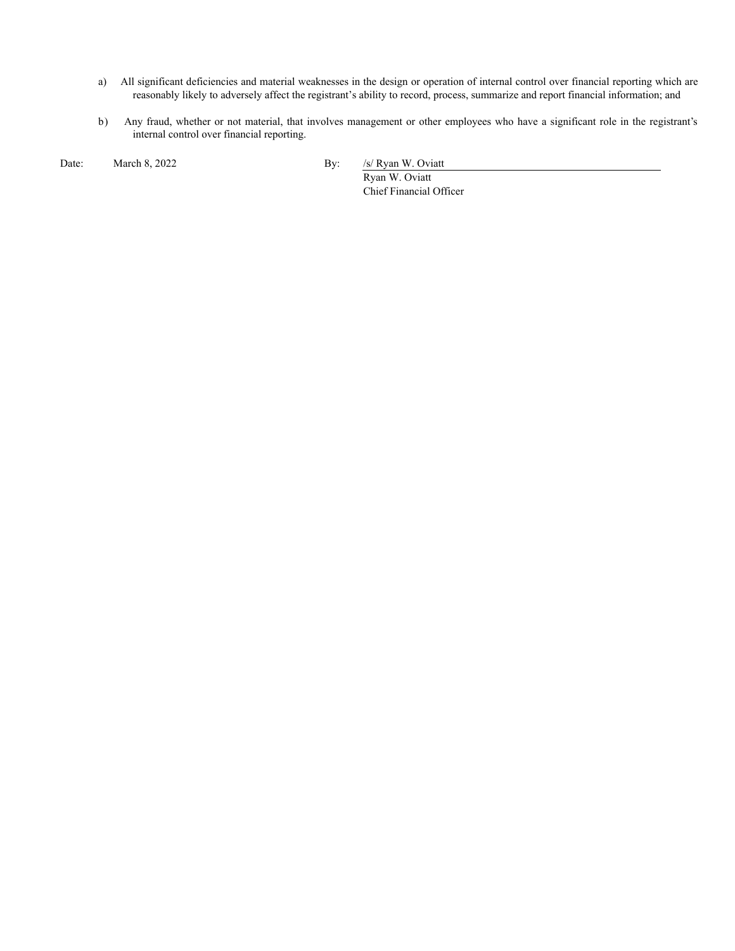- a) All significant deficiencies and material weaknesses in the design or operation of internal control over financial reporting which are reasonably likely to adversely affect the registrant's ability to record, process, summarize and report financial information; and
- b) Any fraud, whether or not material, that involves management or other employees who have a significant role in the registrant's internal control over financial reporting.

Date: March 8, 2022 By: /s/ Ryan W. Oviatt

Ryan W. Oviatt Chief Financial Officer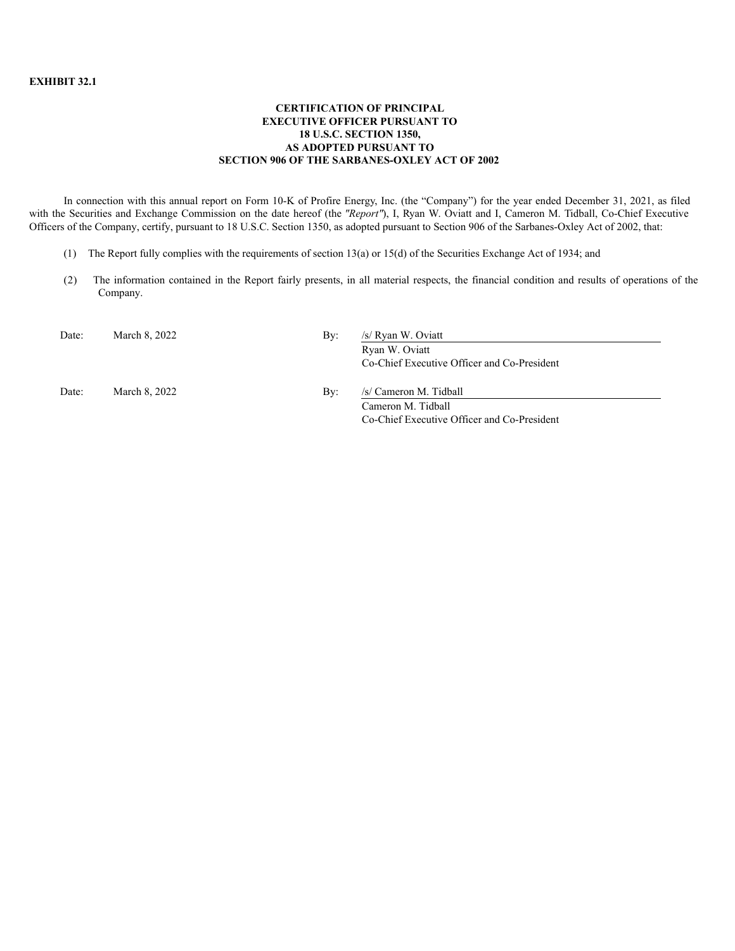## <span id="page-67-0"></span>**EXHIBIT 32.1**

## **CERTIFICATION OF PRINCIPAL EXECUTIVE OFFICER PURSUANT TO 18 U.S.C. SECTION 1350, AS ADOPTED PURSUANT TO SECTION 906 OF THE SARBANES-OXLEY ACT OF 2002**

In connection with this annual report on Form 10-K of Profire Energy, Inc. (the "Company") for the year ended December 31, 2021, as filed with the Securities and Exchange Commission on the date hereof (the "Report"), I, Ryan W. Oviatt and I, Cameron M. Tidball, Co-Chief Executive Officers of the Company, certify, pursuant to 18 U.S.C. Section 1350, as adopted pursuant to Section 906 of the Sarbanes-Oxley Act of 2002, that:

- (1) The Report fully complies with the requirements of section 13(a) or 15(d) of the Securities Exchange Act of 1934; and
- (2) The information contained in the Report fairly presents, in all material respects, the financial condition and results of operations of the Company.

Date: March 8, 2022 By: /s/ Ryan W. Oviatt

Ryan W. Oviatt Co-Chief Executive Officer and Co-President

Date: March 8, 2022 By: /s/ Cameron M. Tidball

Cameron M. Tidball Co-Chief Executive Officer and Co-President